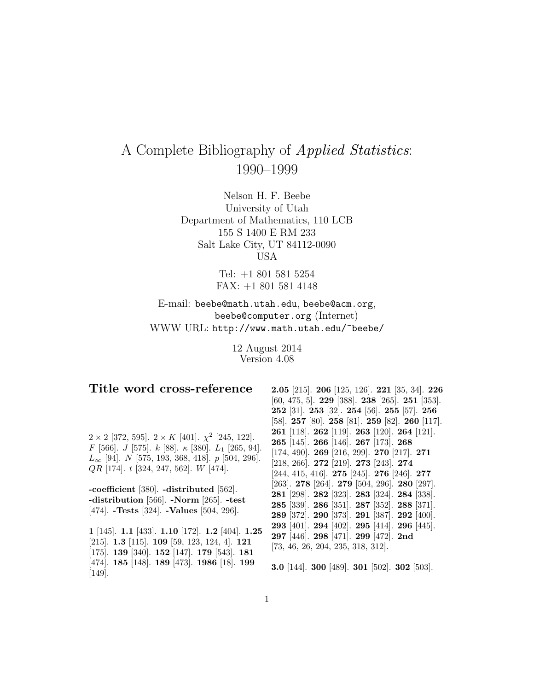# A Complete Bibliography of Applied Statistics: 1990–1999

Nelson H. F. Beebe University of Utah Department of Mathematics, 110 LCB 155 S 1400 E RM 233 Salt Lake City, UT 84112-0090 USA

> Tel: +1 801 581 5254 FAX: +1 801 581 4148

E-mail: beebe@math.utah.edu, beebe@acm.org, beebe@computer.org (Internet) WWW URL: http://www.math.utah.edu/~beebe/

> 12 August 2014 Version 4.08

# **Title word cross-reference**

 $2 \times 2$  [372, 595].  $2 \times K$  [401].  $\chi^2$  [245, 122]. F [566]. J [575]. k [88].  $\kappa$  [380].  $L_1$  [265, 94].  $L_{\infty}$  [94]. N [575, 193, 368, 418]. p [504, 296].  $QR$  [174]. t [324, 247, 562]. W [474].

**-coefficient** [380]. **-distributed** [562]. **-distribution** [566]. **-Norm** [265]. **-test** [474]. **-Tests** [324]. **-Values** [504, 296].

**1** [145]. **1.1** [433]. **1.10** [172]. **1.2** [404]. **1.25** [215]. **1.3** [115]. **109** [59, 123, 124, 4]. **121** [175]. **139** [340]. **152** [147]. **179** [543]. **181** [474]. **185** [148]. **189** [473]. **1986** [18]. **199** [149].

**2.05** [215]. **206** [125, 126]. **221** [35, 34]. **226** [60, 475, 5]. **229** [388]. **238** [265]. **251** [353]. **252** [31]. **253** [32]. **254** [56]. **255** [57]. **256** [58]. **257** [80]. **258** [81]. **259** [82]. **260** [117]. **261** [118]. **262** [119]. **263** [120]. **264** [121]. **265** [145]. **266** [146]. **267** [173]. **268** [174, 490]. **269** [216, 299]. **270** [217]. **271** [218, 266]. **272** [219]. **273** [243]. **274** [244, 415, 416]. **275** [245]. **276** [246]. **277** [263]. **278** [264]. **279** [504, 296]. **280** [297]. **281** [298]. **282** [323]. **283** [324]. **284** [338]. **285** [339]. **286** [351]. **287** [352]. **288** [371]. **289** [372]. **290** [373]. **291** [387]. **292** [400]. **293** [401]. **294** [402]. **295** [414]. **296** [445]. **297** [446]. **298** [471]. **299** [472]. **2nd** [73, 46, 26, 204, 235, 318, 312].

**3.0** [144]. **300** [489]. **301** [502]. **302** [503].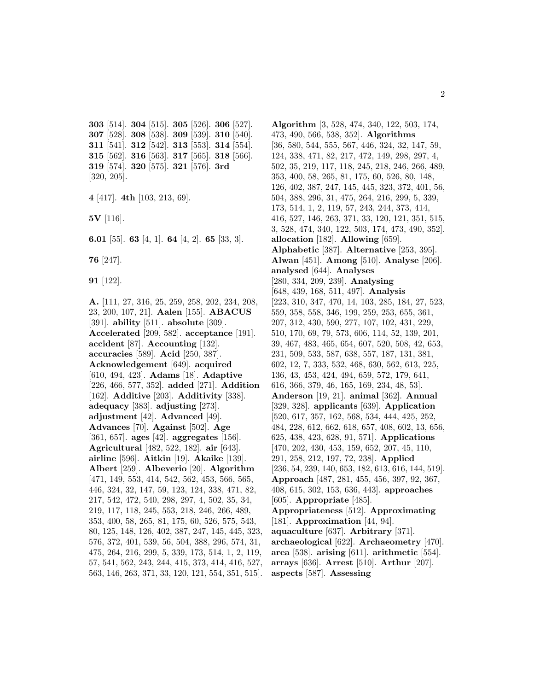[514]. **304** [515]. **305** [526]. **306** [527]. [528]. **308** [538]. **309** [539]. **310** [540]. [541]. **312** [542]. **313** [553]. **314** [554]. [562]. **316** [563]. **317** [565]. **318** [566]. [574]. **320** [575]. **321** [576]. **3rd** [320, 205].

```
4 [417]. 4th [103, 213, 69].
```
**5V** [116].

**6.01** [55]. **63** [4, 1]. **64** [4, 2]. **65** [33, 3].

**76** [247].

**91** [122].

**A.** [111, 27, 316, 25, 259, 258, 202, 234, 208, 23, 200, 107, 21]. **Aalen** [155]. **ABACUS** [391]. **ability** [511]. **absolute** [309]. **Accelerated** [209, 582]. **acceptance** [191]. **accident** [87]. **Accounting** [132]. **accuracies** [589]. **Acid** [250, 387]. **Acknowledgement** [649]. **acquired** [610, 494, 423]. **Adams** [18]. **Adaptive** [226, 466, 577, 352]. **added** [271]. **Addition** [162]. **Additive** [203]. **Additivity** [338]. **adequacy** [383]. **adjusting** [273]. **adjustment** [42]. **Advanced** [49]. **Advances** [70]. **Against** [502]. **Age** [361, 657]. **ages** [42]. **aggregates** [156]. **Agricultural** [482, 522, 182]. **air** [643]. **airline** [596]. **Aitkin** [19]. **Akaike** [139]. **Albert** [259]. **Albeverio** [20]. **Algorithm** [471, 149, 553, 414, 542, 562, 453, 566, 565, 446, 324, 32, 147, 59, 123, 124, 338, 471, 82, 217, 542, 472, 540, 298, 297, 4, 502, 35, 34, 219, 117, 118, 245, 553, 218, 246, 266, 489, 353, 400, 58, 265, 81, 175, 60, 526, 575, 543, 80, 125, 148, 126, 402, 387, 247, 145, 445, 323, 576, 372, 401, 539, 56, 504, 388, 296, 574, 31, 475, 264, 216, 299, 5, 339, 173, 514, 1, 2, 119, 57, 541, 562, 243, 244, 415, 373, 414, 416, 527, 563, 146, 263, 371, 33, 120, 121, 554, 351, 515].

**Algorithm** [3, 528, 474, 340, 122, 503, 174, 473, 490, 566, 538, 352]. **Algorithms** [36, 580, 544, 555, 567, 446, 324, 32, 147, 59, 124, 338, 471, 82, 217, 472, 149, 298, 297, 4, 502, 35, 219, 117, 118, 245, 218, 246, 266, 489, 353, 400, 58, 265, 81, 175, 60, 526, 80, 148, 126, 402, 387, 247, 145, 445, 323, 372, 401, 56, 504, 388, 296, 31, 475, 264, 216, 299, 5, 339, 173, 514, 1, 2, 119, 57, 243, 244, 373, 414, 416, 527, 146, 263, 371, 33, 120, 121, 351, 515, 3, 528, 474, 340, 122, 503, 174, 473, 490, 352]. **allocation** [182]. **Allowing** [659]. **Alphabetic** [387]. **Alternative** [253, 395]. **Alwan** [451]. **Among** [510]. **Analyse** [206]. **analysed** [644]. **Analyses** [280, 334, 209, 239]. **Analysing** [648, 439, 168, 511, 497]. **Analysis** [223, 310, 347, 470, 14, 103, 285, 184, 27, 523, 559, 358, 558, 346, 199, 259, 253, 655, 361, 207, 312, 430, 590, 277, 107, 102, 431, 229, 510, 170, 69, 79, 573, 606, 114, 52, 139, 201, 39, 467, 483, 465, 654, 607, 520, 508, 42, 653, 231, 509, 533, 587, 638, 557, 187, 131, 381, 602, 12, 7, 333, 532, 468, 630, 562, 613, 225, 136, 43, 453, 424, 494, 659, 572, 179, 641, 616, 366, 379, 46, 165, 169, 234, 48, 53]. **Anderson** [19, 21]. **animal** [362]. **Annual** [329, 328]. **applicants** [639]. **Application** [520, 617, 357, 162, 568, 534, 444, 425, 252, 484, 228, 612, 662, 618, 657, 408, 602, 13, 656, 625, 438, 423, 628, 91, 571]. **Applications** [470, 202, 430, 453, 159, 652, 207, 45, 110, 291, 258, 212, 197, 72, 238]. **Applied** [236, 54, 239, 140, 653, 182, 613, 616, 144, 519]. **Approach** [487, 281, 455, 456, 397, 92, 367, 408, 615, 302, 153, 636, 443]. **approaches** [605]. **Appropriate** [485]. **Appropriateness** [512]. **Approximating** [181]. **Approximation** [44, 94]. **aquaculture** [637]. **Arbitrary** [371]. **archaeological** [622]. **Archaeometry** [470]. **area** [538]. **arising** [611]. **arithmetic** [554]. **arrays** [636]. **Arrest** [510]. **Arthur** [207]. **aspects** [587]. **Assessing**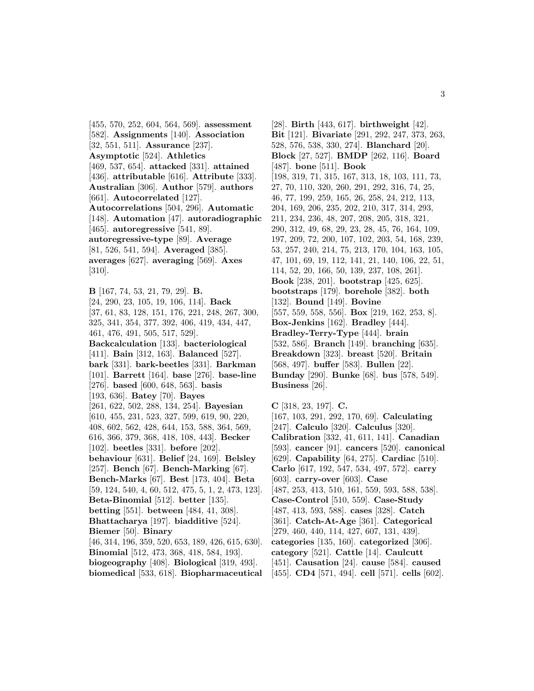[455, 570, 252, 604, 564, 569]. **assessment** [582]. **Assignments** [140]. **Association** [32, 551, 511]. **Assurance** [237]. **Asymptotic** [524]. **Athletics** [469, 537, 654]. **attacked** [331]. **attained** [436]. **attributable** [616]. **Attribute** [333]. **Australian** [306]. **Author** [579]. **authors** [661]. **Autocorrelated** [127]. **Autocorrelations** [504, 296]. **Automatic** [148]. **Automation** [47]. **autoradiographic** [465]. **autoregressive** [541, 89]. **autoregressive-type** [89]. **Average** [81, 526, 541, 594]. **Averaged** [385]. **averages** [627]. **averaging** [569]. **Axes** [310].

**B** [167, 74, 53, 21, 79, 29]. **B.** [24, 290, 23, 105, 19, 106, 114]. **Back** [37, 61, 83, 128, 151, 176, 221, 248, 267, 300, 325, 341, 354, 377, 392, 406, 419, 434, 447, 461, 476, 491, 505, 517, 529]. **Backcalculation** [133]. **bacteriological** [411]. **Bain** [312, 163]. **Balanced** [527]. **bark** [331]. **bark-beetles** [331]. **Barkman** [101]. **Barrett** [164]. **base** [276]. **base-line** [276]. **based** [600, 648, 563]. **basis** [193, 636]. **Batey** [70]. **Bayes** [261, 622, 502, 288, 134, 254]. **Bayesian** [610, 455, 231, 523, 327, 599, 619, 90, 220, 408, 602, 562, 428, 644, 153, 588, 364, 569, 616, 366, 379, 368, 418, 108, 443]. **Becker** [102]. **beetles** [331]. **before** [202]. **behaviour** [631]. **Belief** [24, 169]. **Belsley** [257]. **Bench** [67]. **Bench-Marking** [67]. **Bench-Marks** [67]. **Best** [173, 404]. **Beta** [59, 124, 540, 4, 60, 512, 475, 5, 1, 2, 473, 123]. **Beta-Binomial** [512]. **better** [135]. **betting** [551]. **between** [484, 41, 308]. **Bhattacharya** [197]. **biadditive** [524]. **Biemer** [50]. **Binary** [46, 314, 196, 359, 520, 653, 189, 426, 615, 630]. **Binomial** [512, 473, 368, 418, 584, 193]. **biogeography** [408]. **Biological** [319, 493].

**biomedical** [533, 618]. **Biopharmaceutical**

[28]. **Birth** [443, 617]. **birthweight** [42]. **Bit** [121]. **Bivariate** [291, 292, 247, 373, 263, 528, 576, 538, 330, 274]. **Blanchard** [20]. **Block** [27, 527]. **BMDP** [262, 116]. **Board** [487]. **bone** [511]. **Book** [198, 319, 71, 315, 167, 313, 18, 103, 111, 73, 27, 70, 110, 320, 260, 291, 292, 316, 74, 25, 46, 77, 199, 259, 165, 26, 258, 24, 212, 113, 204, 169, 206, 235, 202, 210, 317, 314, 293, 211, 234, 236, 48, 207, 208, 205, 318, 321, 290, 312, 49, 68, 29, 23, 28, 45, 76, 164, 109, 197, 209, 72, 200, 107, 102, 203, 54, 168, 239, 53, 257, 240, 214, 75, 213, 170, 104, 163, 105, 47, 101, 69, 19, 112, 141, 21, 140, 106, 22, 51, 114, 52, 20, 166, 50, 139, 237, 108, 261]. **Book** [238, 201]. **bootstrap** [425, 625]. **bootstraps** [179]. **borehole** [382]. **both** [132]. **Bound** [149]. **Bovine** [557, 559, 558, 556]. **Box** [219, 162, 253, 8]. **Box-Jenkins** [162]. **Bradley** [444]. **Bradley-Terry-Type** [444]. **brain** [532, 586]. **Branch** [149]. **branching** [635]. **Breakdown** [323]. **breast** [520]. **Britain** [568, 497]. **buffer** [583]. **Bullen** [22]. **Bunday** [290]. **Bunke** [68]. **bus** [578, 549]. **Business** [26].

**C** [318, 23, 197]. **C.** [167, 103, 291, 292, 170, 69]. **Calculating** [247]. **Calculo** [320]. **Calculus** [320]. **Calibration** [332, 41, 611, 141]. **Canadian** [593]. **cancer** [91]. **cancers** [520]. **canonical** [629]. **Capability** [64, 275]. **Cardiac** [510]. **Carlo** [617, 192, 547, 534, 497, 572]. **carry** [603]. **carry-over** [603]. **Case** [487, 253, 413, 510, 161, 559, 593, 588, 538]. **Case-Control** [510, 559]. **Case-Study** [487, 413, 593, 588]. **cases** [328]. **Catch** [361]. **Catch-At-Age** [361]. **Categorical** [279, 460, 440, 114, 427, 607, 131, 439]. **categories** [135, 160]. **categorized** [306]. **category** [521]. **Cattle** [14]. **Caulcutt** [451]. **Causation** [24]. **cause** [584]. **caused** [455]. **CD4** [571, 494]. **cell** [571]. **cells** [602].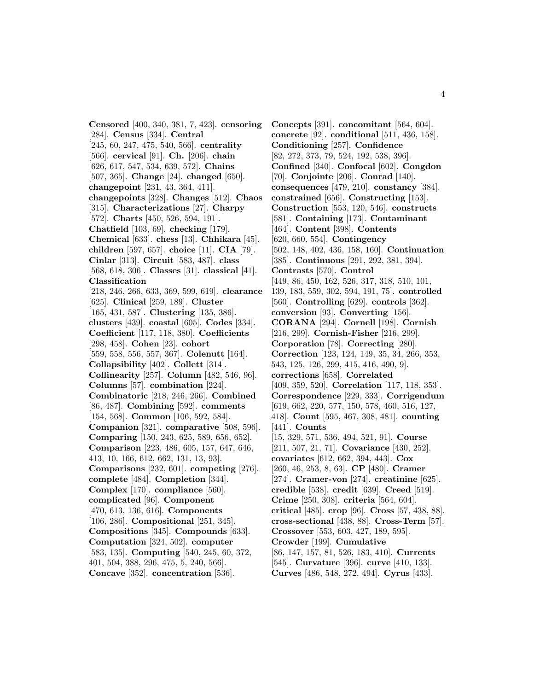**Censored** [400, 340, 381, 7, 423]. **censoring** [284]. **Census** [334]. **Central** [245, 60, 247, 475, 540, 566]. **centrality** [566]. **cervical** [91]. **Ch.** [206]. **chain** [626, 617, 547, 534, 639, 572]. **Chains** [507, 365]. **Change** [24]. **changed** [650]. **changepoint** [231, 43, 364, 411]. **changepoints** [328]. **Changes** [512]. **Chaos** [315]. **Characterizations** [27]. **Charpy** [572]. **Charts** [450, 526, 594, 191]. **Chatfield** [103, 69]. **checking** [179]. **Chemical** [633]. **chess** [13]. **Chhikara** [45]. **children** [597, 657]. **choice** [11]. **CIA** [79]. **Cinlar** [313]. **Circuit** [583, 487]. **class** [568, 618, 306]. **Classes** [31]. **classical** [41]. **Classification** [218, 246, 266, 633, 369, 599, 619]. **clearance** [625]. **Clinical** [259, 189]. **Cluster** [165, 431, 587]. **Clustering** [135, 386]. **clusters** [439]. **coastal** [605]. **Codes** [334]. **Coefficient** [117, 118, 380]. **Coefficients** [298, 458]. **Cohen** [23]. **cohort** [559, 558, 556, 557, 367]. **Colenutt** [164]. **Collapsibility** [402]. **Collett** [314]. **Collinearity** [257]. **Column** [482, 546, 96]. **Columns** [57]. **combination** [224]. **Combinatoric** [218, 246, 266]. **Combined** [86, 487]. **Combining** [592]. **comments** [154, 568]. **Common** [106, 592, 584]. **Companion** [321]. **comparative** [508, 596]. **Comparing** [150, 243, 625, 589, 656, 652]. **Comparison** [223, 486, 605, 157, 647, 646, 413, 10, 166, 612, 662, 131, 13, 93]. **Comparisons** [232, 601]. **competing** [276]. **complete** [484]. **Completion** [344]. **Complex** [170]. **compliance** [560]. **complicated** [96]. **Component** [470, 613, 136, 616]. **Components** [106, 286]. **Compositional** [251, 345]. **Compositions** [345]. **Compounds** [633]. **Computation** [324, 502]. **computer** [583, 135]. **Computing** [540, 245, 60, 372, 401, 504, 388, 296, 475, 5, 240, 566]. **Concave** [352]. **concentration** [536].

**Concepts** [391]. **concomitant** [564, 604]. **concrete** [92]. **conditional** [511, 436, 158]. **Conditioning** [257]. **Confidence** [82, 272, 373, 79, 524, 192, 538, 396]. **Confined** [340]. **Confocal** [602]. **Congdon** [70]. **Conjointe** [206]. **Conrad** [140]. **consequences** [479, 210]. **constancy** [384]. **constrained** [656]. **Constructing** [153]. **Construction** [553, 120, 546]. **constructs** [581]. **Containing** [173]. **Contaminant** [464]. **Content** [398]. **Contents** [620, 660, 554]. **Contingency** [502, 148, 402, 436, 158, 160]. **Continuation** [385]. **Continuous** [291, 292, 381, 394]. **Contrasts** [570]. **Control** [449, 86, 450, 162, 526, 317, 318, 510, 101, 139, 183, 559, 302, 594, 191, 75]. **controlled** [560]. **Controlling** [629]. **controls** [362]. **conversion** [93]. **Converting** [156]. **CORANA** [294]. **Cornell** [198]. **Cornish** [216, 299]. **Cornish-Fisher** [216, 299]. **Corporation** [78]. **Correcting** [280]. **Correction** [123, 124, 149, 35, 34, 266, 353, 543, 125, 126, 299, 415, 416, 490, 9]. **corrections** [658]. **Correlated** [409, 359, 520]. **Correlation** [117, 118, 353]. **Correspondence** [229, 333]. **Corrigendum** [619, 662, 220, 577, 150, 578, 460, 516, 127, 418]. **Count** [595, 467, 308, 481]. **counting** [441]. **Counts** [15, 329, 571, 536, 494, 521, 91]. **Course** [211, 507, 21, 71]. **Covariance** [430, 252]. **covariates** [612, 662, 394, 443]. **Cox** [260, 46, 253, 8, 63]. **CP** [480]. **Cramer** [274]. **Cramer-von** [274]. **creatinine** [625]. **credible** [538]. **credit** [639]. **Creed** [519]. **Crime** [250, 308]. **criteria** [564, 604]. **critical** [485]. **crop** [96]. **Cross** [57, 438, 88]. **cross-sectional** [438, 88]. **Cross-Term** [57]. **Crossover** [553, 603, 427, 189, 595]. **Crowder** [199]. **Cumulative** [86, 147, 157, 81, 526, 183, 410]. **Currents** [545]. **Curvature** [396]. **curve** [410, 133]. **Curves** [486, 548, 272, 494]. **Cyrus** [433].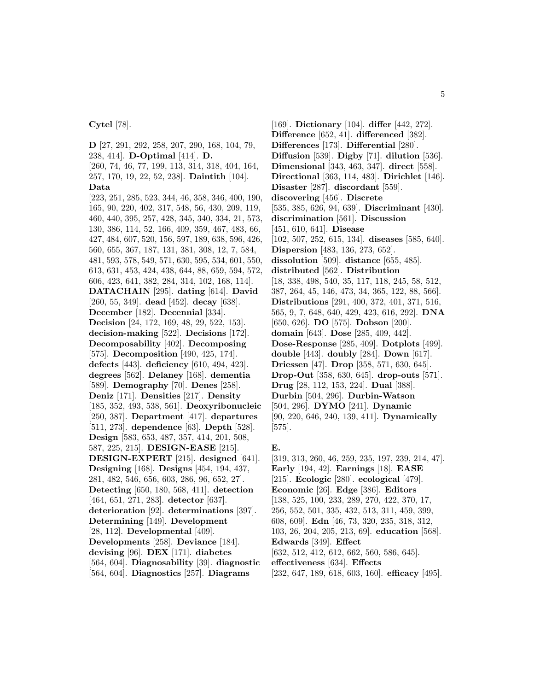**Cytel** [78].

**D** [27, 291, 292, 258, 207, 290, 168, 104, 79, 238, 414]. **D-Optimal** [414]. **D.** [260, 74, 46, 77, 199, 113, 314, 318, 404, 164, 257, 170, 19, 22, 52, 238]. **Daintith** [104]. **Data** [223, 251, 285, 523, 344, 46, 358, 346, 400, 190, 165, 90, 220, 402, 317, 548, 56, 430, 209, 119, 460, 440, 395, 257, 428, 345, 340, 334, 21, 573, 130, 386, 114, 52, 166, 409, 359, 467, 483, 66, 427, 484, 607, 520, 156, 597, 189, 638, 596, 426, 560, 655, 367, 187, 131, 381, 308, 12, 7, 584, 481, 593, 578, 549, 571, 630, 595, 534, 601, 550, 613, 631, 453, 424, 438, 644, 88, 659, 594, 572, 606, 423, 641, 382, 284, 314, 102, 168, 114]. **DATACHAIN** [295]. **dating** [614]. **David** [260, 55, 349]. **dead** [452]. **decay** [638]. **December** [182]. **Decennial** [334]. **Decision** [24, 172, 169, 48, 29, 522, 153]. **decision-making** [522]. **Decisions** [172]. **Decomposability** [402]. **Decomposing** [575]. **Decomposition** [490, 425, 174]. **defects** [443]. **deficiency** [610, 494, 423]. **degrees** [562]. **Delaney** [168]. **dementia** [589]. **Demography** [70]. **Denes** [258]. **Deniz** [171]. **Densities** [217]. **Density** [185, 352, 493, 538, 561]. **Deoxyribonucleic** [250, 387]. **Department** [417]. **departures** [511, 273]. **dependence** [63]. **Depth** [528]. **Design** [583, 653, 487, 357, 414, 201, 508, 587, 225, 215]. **DESIGN-EASE** [215]. **DESIGN-EXPERT** [215]. **designed** [641]. **Designing** [168]. **Designs** [454, 194, 437, 281, 482, 546, 656, 603, 286, 96, 652, 27]. **Detecting** [650, 180, 568, 411]. **detection** [464, 651, 271, 283]. **detector** [637]. **deterioration** [92]. **determinations** [397]. **Determining** [149]. **Development** [28, 112]. **Developmental** [409]. **Developments** [258]. **Deviance** [184]. **devising** [96]. **DEX** [171]. **diabetes** [564, 604]. **Diagnosability** [39]. **diagnostic** [564, 604]. **Diagnostics** [257]. **Diagrams**

[169]. **Dictionary** [104]. **differ** [442, 272]. **Difference** [652, 41]. **differenced** [382]. **Differences** [173]. **Differential** [280]. **Diffusion** [539]. **Digby** [71]. **dilution** [536]. **Dimensional** [343, 463, 347]. **direct** [558]. **Directional** [363, 114, 483]. **Dirichlet** [146]. **Disaster** [287]. **discordant** [559]. **discovering** [456]. **Discrete** [535, 385, 626, 94, 639]. **Discriminant** [430]. **discrimination** [561]. **Discussion** [451, 610, 641]. **Disease** [102, 507, 252, 615, 134]. **diseases** [585, 640]. **Dispersion** [483, 136, 273, 652]. **dissolution** [509]. **distance** [655, 485]. **distributed** [562]. **Distribution** [18, 338, 498, 540, 35, 117, 118, 245, 58, 512, 387, 264, 45, 146, 473, 34, 365, 122, 88, 566]. **Distributions** [291, 400, 372, 401, 371, 516, 565, 9, 7, 648, 640, 429, 423, 616, 292]. **DNA** [650, 626]. **DO** [575]. **Dobson** [200]. **domain** [643]. **Dose** [285, 409, 442]. **Dose-Response** [285, 409]. **Dotplots** [499]. **double** [443]. **doubly** [284]. **Down** [617]. **Driessen** [47]. **Drop** [358, 571, 630, 645]. **Drop-Out** [358, 630, 645]. **drop-outs** [571]. **Drug** [28, 112, 153, 224]. **Dual** [388]. **Durbin** [504, 296]. **Durbin-Watson** [504, 296]. **DYMO** [241]. **Dynamic** [90, 220, 646, 240, 139, 411]. **Dynamically** [575].

### **E.**

[319, 313, 260, 46, 259, 235, 197, 239, 214, 47]. **Early** [194, 42]. **Earnings** [18]. **EASE** [215]. **Ecologic** [280]. **ecological** [479]. **Economic** [26]. **Edge** [386]. **Editors** [138, 525, 100, 233, 289, 270, 422, 370, 17, 256, 552, 501, 335, 432, 513, 311, 459, 399, 608, 609]. **Edn** [46, 73, 320, 235, 318, 312, 103, 26, 204, 205, 213, 69]. **education** [568]. **Edwards** [349]. **Effect** [632, 512, 412, 612, 662, 560, 586, 645]. **effectiveness** [634]. **Effects** [232, 647, 189, 618, 603, 160]. **efficacy** [495].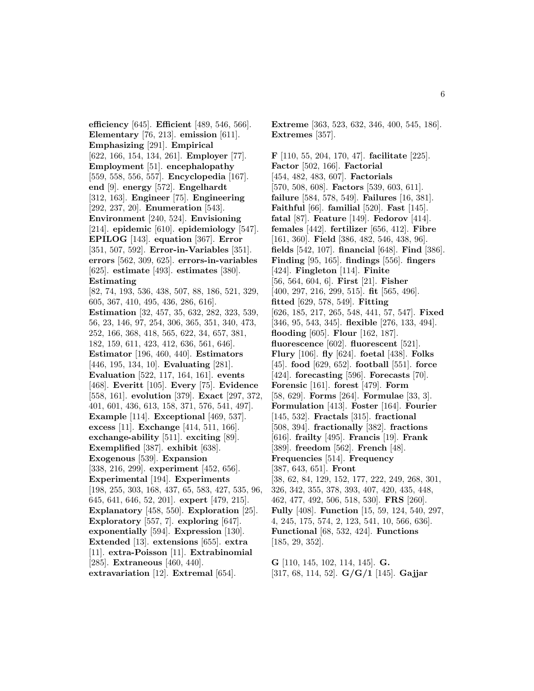**efficiency** [645]. **Efficient** [489, 546, 566]. **Elementary** [76, 213]. **emission** [611]. **Emphasizing** [291]. **Empirical** [622, 166, 154, 134, 261]. **Employer** [77]. **Employment** [51]. **encephalopathy** [559, 558, 556, 557]. **Encyclopedia** [167]. **end** [9]. **energy** [572]. **Engelhardt** [312, 163]. **Engineer** [75]. **Engineering** [292, 237, 20]. **Enumeration** [543]. **Environment** [240, 524]. **Envisioning** [214]. **epidemic** [610]. **epidemiology** [547]. **EPILOG** [143]. **equation** [367]. **Error** [351, 507, 592]. **Error-in-Variables** [351]. **errors** [562, 309, 625]. **errors-in-variables** [625]. **estimate** [493]. **estimates** [380]. **Estimating** [82, 74, 193, 536, 438, 507, 88, 186, 521, 329, 605, 367, 410, 495, 436, 286, 616]. **Estimation** [32, 457, 35, 632, 282, 323, 539, 56, 23, 146, 97, 254, 306, 365, 351, 340, 473, 252, 166, 368, 418, 565, 622, 34, 657, 381, 182, 159, 611, 423, 412, 636, 561, 646]. **Estimator** [196, 460, 440]. **Estimators** [446, 195, 134, 10]. **Evaluating** [281]. **Evaluation** [522, 117, 164, 161]. **events** [468]. **Everitt** [105]. **Every** [75]. **Evidence** [558, 161]. **evolution** [379]. **Exact** [297, 372, 401, 601, 436, 613, 158, 371, 576, 541, 497]. **Example** [114]. **Exceptional** [469, 537]. **excess** [11]. **Exchange** [414, 511, 166]. **exchange-ability** [511]. **exciting** [89]. **Exemplified** [387]. **exhibit** [638]. **Exogenous** [539]. **Expansion** [338, 216, 299]. **experiment** [452, 656]. **Experimental** [194]. **Experiments** [198, 255, 303, 168, 437, 65, 583, 427, 535, 96, 645, 641, 646, 52, 201]. **expert** [479, 215]. **Explanatory** [458, 550]. **Exploration** [25]. **Exploratory** [557, 7]. **exploring** [647]. **exponentially** [594]. **Expression** [130]. **Extended** [13]. **extensions** [655]. **extra** [11]. **extra-Poisson** [11]. **Extrabinomial** [285]. **Extraneous** [460, 440]. **extravariation** [12]. **Extremal** [654].

**Extreme** [363, 523, 632, 346, 400, 545, 186]. **Extremes** [357].

**F** [110, 55, 204, 170, 47]. **facilitate** [225]. **Factor** [502, 166]. **Factorial** [454, 482, 483, 607]. **Factorials** [570, 508, 608]. **Factors** [539, 603, 611]. **failure** [584, 578, 549]. **Failures** [16, 381]. **Faithful** [66]. **familial** [520]. **Fast** [145]. **fatal** [87]. **Feature** [149]. **Fedorov** [414]. **females** [442]. **fertilizer** [656, 412]. **Fibre** [161, 360]. **Field** [386, 482, 546, 438, 96]. **fields** [542, 107]. **financial** [648]. **Find** [386]. **Finding** [95, 165]. **findings** [556]. **fingers** [424]. **Fingleton** [114]. **Finite** [56, 564, 604, 6]. **First** [21]. **Fisher** [400, 297, 216, 299, 515]. **fit** [565, 496]. **fitted** [629, 578, 549]. **Fitting** [626, 185, 217, 265, 548, 441, 57, 547]. **Fixed** [346, 95, 543, 345]. **flexible** [276, 133, 494]. **flooding** [605]. **Flour** [162, 187]. **fluorescence** [602]. **fluorescent** [521]. **Flury** [106]. **fly** [624]. **foetal** [438]. **Folks** [45]. **food** [629, 652]. **football** [551]. **force** [424]. **forecasting** [596]. **Forecasts** [70]. **Forensic** [161]. **forest** [479]. **Form** [58, 629]. **Forms** [264]. **Formulae** [33, 3]. **Formulation** [413]. **Foster** [164]. **Fourier** [145, 532]. **Fractals** [315]. **fractional** [508, 394]. **fractionally** [382]. **fractions** [616]. **frailty** [495]. **Francis** [19]. **Frank** [389]. **freedom** [562]. **French** [48]. **Frequencies** [514]. **Frequency** [387, 643, 651]. **Front** [38, 62, 84, 129, 152, 177, 222, 249, 268, 301, 326, 342, 355, 378, 393, 407, 420, 435, 448, 462, 477, 492, 506, 518, 530]. **FRS** [260]. **Fully** [408]. **Function** [15, 59, 124, 540, 297, 4, 245, 175, 574, 2, 123, 541, 10, 566, 636]. **Functional** [68, 532, 424]. **Functions** [185, 29, 352].

**G** [110, 145, 102, 114, 145]. **G.** [317, 68, 114, 52]. **G/G/1** [145]. **Gajjar**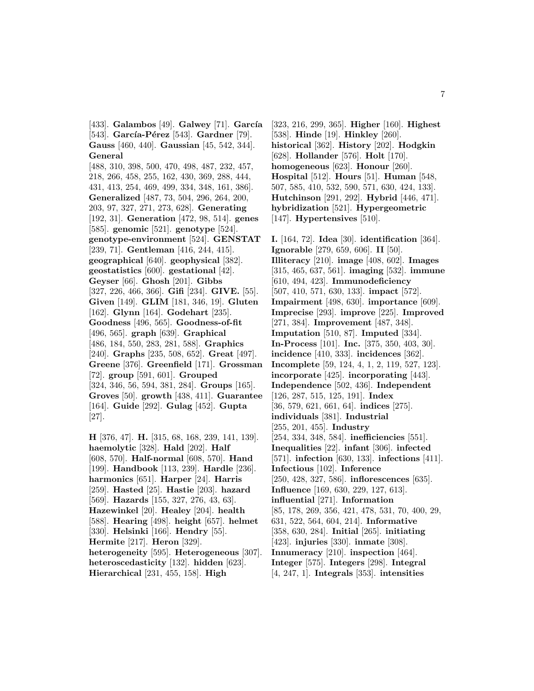[433]. **Galambos** [49]. **Galwey** [71]. **García** [543]. **García-Pérez** [543]. **Gardner** [79]. **Gauss** [460, 440]. **Gaussian** [45, 542, 344]. **General** [488, 310, 398, 500, 470, 498, 487, 232, 457, 218, 266, 458, 255, 162, 430, 369, 288, 444, 431, 413, 254, 469, 499, 334, 348, 161, 386]. **Generalized** [487, 73, 504, 296, 264, 200, 203, 97, 327, 271, 273, 628]. **Generating** [192, 31]. **Generation** [472, 98, 514]. **genes** [585]. **genomic** [521]. **genotype** [524]. **genotype-environment** [524]. **GENSTAT** [239, 71]. **Gentleman** [416, 244, 415]. **geographical** [640]. **geophysical** [382]. **geostatistics** [600]. **gestational** [42]. **Geyser** [66]. **Ghosh** [201]. **Gibbs** [327, 226, 466, 366]. **Gifi** [234]. **GIVE.** [55]. **Given** [149]. **GLIM** [181, 346, 19]. **Gluten** [162]. **Glynn** [164]. **Godehart** [235]. **Goodness** [496, 565]. **Goodness-of-fit** [496, 565]. **graph** [639]. **Graphical** [486, 184, 550, 283, 281, 588]. **Graphics** [240]. **Graphs** [235, 508, 652]. **Great** [497]. **Greene** [376]. **Greenfield** [171]. **Grossman** [72]. **group** [591, 601]. **Grouped** [324, 346, 56, 594, 381, 284]. **Groups** [165]. **Groves** [50]. **growth** [438, 411]. **Guarantee** [164]. **Guide** [292]. **Gulag** [452]. **Gupta** [27].

**H** [376, 47]. **H.** [315, 68, 168, 239, 141, 139]. **haemolytic** [328]. **Hald** [202]. **Half** [608, 570]. **Half-normal** [608, 570]. **Hand** [199]. **Handbook** [113, 239]. **Hardle** [236]. **harmonics** [651]. **Harper** [24]. **Harris** [259]. **Hasted** [25]. **Hastie** [203]. **hazard** [569]. **Hazards** [155, 327, 276, 43, 63]. **Hazewinkel** [20]. **Healey** [204]. **health** [588]. **Hearing** [498]. **height** [657]. **helmet** [330]. **Helsinki** [166]. **Hendry** [55]. **Hermite** [217]. **Heron** [329]. **heterogeneity** [595]. **Heterogeneous** [307]. **heteroscedasticity** [132]. **hidden** [623]. **Hierarchical** [231, 455, 158]. **High**

[323, 216, 299, 365]. **Higher** [160]. **Highest** [538]. **Hinde** [19]. **Hinkley** [260]. **historical** [362]. **History** [202]. **Hodgkin** [628]. **Hollander** [576]. **Holt** [170]. **homogeneous** [623]. **Honour** [260]. **Hospital** [512]. **Hours** [51]. **Human** [548, 507, 585, 410, 532, 590, 571, 630, 424, 133]. **Hutchinson** [291, 292]. **Hybrid** [446, 471]. **hybridization** [521]. **Hypergeometric** [147]. **Hypertensives** [510].

**I.** [164, 72]. **Idea** [30]. **identification** [364]. **Ignorable** [279, 659, 606]. **II** [50]. **Illiteracy** [210]. **image** [408, 602]. **Images** [315, 465, 637, 561]. **imaging** [532]. **immune** [610, 494, 423]. **Immunodeficiency** [507, 410, 571, 630, 133]. **impact** [572]. **Impairment** [498, 630]. **importance** [609]. **Imprecise** [293]. **improve** [225]. **Improved** [271, 384]. **Improvement** [487, 348]. **Imputation** [510, 87]. **Imputed** [334]. **In-Process** [101]. **Inc.** [375, 350, 403, 30]. **incidence** [410, 333]. **incidences** [362]. **Incomplete** [59, 124, 4, 1, 2, 119, 527, 123]. **incorporate** [425]. **incorporating** [443]. **Independence** [502, 436]. **Independent** [126, 287, 515, 125, 191]. **Index** [36, 579, 621, 661, 64]. **indices** [275]. **individuals** [381]. **Industrial** [255, 201, 455]. **Industry** [254, 334, 348, 584]. **inefficiencies** [551]. **Inequalities** [22]. **infant** [306]. **infected** [571]. **infection** [630, 133]. **infections** [411]. **Infectious** [102]. **Inference** [250, 428, 327, 586]. **inflorescences** [635]. **Influence** [169, 630, 229, 127, 613]. **influential** [271]. **Information** [85, 178, 269, 356, 421, 478, 531, 70, 400, 29, 631, 522, 564, 604, 214]. **Informative** [358, 630, 284]. **Initial** [265]. **initiating** [423]. **injuries** [330]. **inmate** [308]. **Innumeracy** [210]. **inspection** [464]. **Integer** [575]. **Integers** [298]. **Integral** [4, 247, 1]. **Integrals** [353]. **intensities**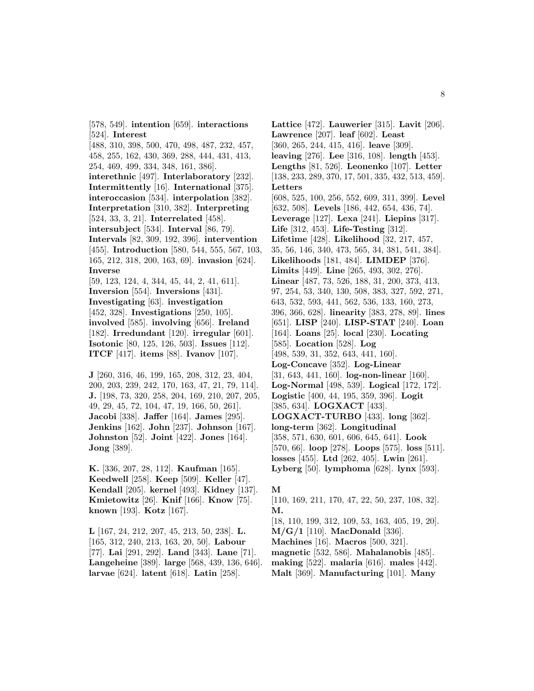[524]. **Interest** [488, 310, 398, 500, 470, 498, 487, 232, 457, 458, 255, 162, 430, 369, 288, 444, 431, 413, 254, 469, 499, 334, 348, 161, 386]. **interethnic** [497]. **Interlaboratory** [232]. **Intermittently** [16]. **International** [375]. **interoccasion** [534]. **interpolation** [382]. **Interpretation** [310, 382]. **Interpreting** [524, 33, 3, 21]. **Interrelated** [458]. **intersubject** [534]. **Interval** [86, 79]. **Intervals** [82, 309, 192, 396]. **intervention** [455]. **Introduction** [580, 544, 555, 567, 103, 165, 212, 318, 200, 163, 69]. **invasion** [624]. **Inverse** [59, 123, 124, 4, 344, 45, 44, 2, 41, 611]. **Inversion** [554]. **Inversions** [431]. **Investigating** [63]. **investigation** [452, 328]. **Investigations** [250, 105]. **involved** [585]. **involving** [656]. **Ireland** [182]. **Irredundant** [120]. **irregular** [601]. **Isotonic** [80, 125, 126, 503]. **Issues** [112]. **ITCF** [417]. **items** [88]. **Ivanov** [107].

[578, 549]. **intention** [659]. **interactions**

**J** [260, 316, 46, 199, 165, 208, 312, 23, 404, 200, 203, 239, 242, 170, 163, 47, 21, 79, 114]. **J.** [198, 73, 320, 258, 204, 169, 210, 207, 205, 49, 29, 45, 72, 104, 47, 19, 166, 50, 261]. **Jacobi** [338]. **Jaffer** [164]. **James** [295]. **Jenkins** [162]. **John** [237]. **Johnson** [167]. **Johnston** [52]. **Joint** [422]. **Jones** [164]. **Jong** [389].

**K.** [336, 207, 28, 112]. **Kaufman** [165]. **Keedwell** [258]. **Keep** [509]. **Keller** [47]. **Kendall** [205]. **kernel** [493]. **Kidney** [137]. **Kmietowitz** [26]. **Knif** [166]. **Know** [75]. **known** [193]. **Kotz** [167].

**L** [167, 24, 212, 207, 45, 213, 50, 238]. **L.** [165, 312, 240, 213, 163, 20, 50]. **Labour** [77]. **Lai** [291, 292]. **Land** [343]. **Lane** [71]. **Langeheine** [389]. **large** [568, 439, 136, 646]. **larvae** [624]. **latent** [618]. **Latin** [258].

**Lattice** [472]. **Lauwerier** [315]. **Lavit** [206]. **Lawrence** [207]. **leaf** [602]. **Least** [360, 265, 244, 415, 416]. **leave** [309]. **leaving** [276]. **Lee** [316, 108]. **length** [453]. **Lengths** [81, 526]. **Leonenko** [107]. **Letter** [138, 233, 289, 370, 17, 501, 335, 432, 513, 459]. **Letters** [608, 525, 100, 256, 552, 609, 311, 399]. **Level** [632, 508]. **Levels** [186, 442, 654, 436, 74]. **Leverage** [127]. **Lexa** [241]. **Liepins** [317]. **Life** [312, 453]. **Life-Testing** [312]. **Lifetime** [428]. **Likelihood** [32, 217, 457, 35, 56, 146, 340, 473, 565, 34, 381, 541, 384]. **Likelihoods** [181, 484]. **LIMDEP** [376]. **Limits** [449]. **Line** [265, 493, 302, 276]. **Linear** [487, 73, 526, 188, 31, 200, 373, 413, 97, 254, 53, 340, 130, 508, 383, 327, 592, 271, 643, 532, 593, 441, 562, 536, 133, 160, 273, 396, 366, 628]. **linearity** [383, 278, 89]. **lines** [651]. **LISP** [240]. **LISP-STAT** [240]. **Loan** [164]. **Loans** [25]. **local** [230]. **Locating** [585]. **Location** [528]. **Log** [498, 539, 31, 352, 643, 441, 160]. **Log-Concave** [352]. **Log-Linear** [31, 643, 441, 160]. **log-non-linear** [160]. **Log-Normal** [498, 539]. **Logical** [172, 172]. **Logistic** [400, 44, 195, 359, 396]. **Logit** [385, 634]. **LOGXACT** [433]. **LOGXACT-TURBO** [433]. **long** [362]. **long-term** [362]. **Longitudinal** [358, 571, 630, 601, 606, 645, 641]. **Look** [570, 66]. **loop** [278]. **Loops** [575]. **loss** [511]. **losses** [455]. **Ltd** [262, 405]. **Lwin** [261]. **Lyberg** [50]. **lymphoma** [628]. **lynx** [593].

#### **M**

[110, 169, 211, 170, 47, 22, 50, 237, 108, 32]. **M.**

[18, 110, 199, 312, 109, 53, 163, 405, 19, 20]. **M/G/1** [110]. **MacDonald** [336].

**Machines** [16]. **Macros** [500, 321].

**magnetic** [532, 586]. **Mahalanobis** [485].

**making** [522]. **malaria** [616]. **males** [442].

**Malt** [369]. **Manufacturing** [101]. **Many**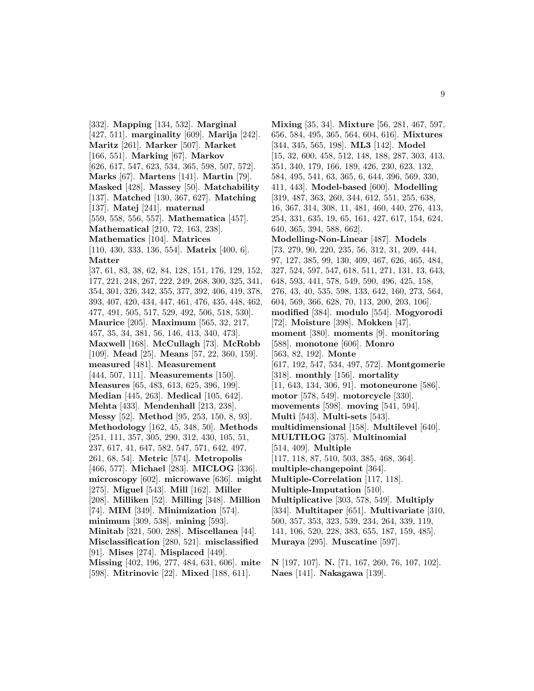[332]. **Mapping** [134, 532]. **Marginal** [427, 511]. **marginality** [609]. **Marija** [242]. **Maritz** [261]. **Marker** [507]. **Market** [166, 551]. **Marking** [67]. **Markov** [626, 617, 547, 623, 534, 365, 598, 507, 572]. **Marks** [67]. **Martens** [141]. **Martin** [79]. **Masked** [428]. **Massey** [50]. **Matchability** [137]. **Matched** [130, 367, 627]. **Matching** [137]. **Matej** [241]. **maternal** [559, 558, 556, 557]. **Mathematica** [457]. **Mathematical** [210, 72, 163, 238]. **Mathematics** [104]. **Matrices** [110, 430, 333, 136, 554]. **Matrix** [400, 6]. **Matter** [37, 61, 83, 38, 62, 84, 128, 151, 176, 129, 152, 177, 221, 248, 267, 222, 249, 268, 300, 325, 341, 354, 301, 326, 342, 355, 377, 392, 406, 419, 378, 393, 407, 420, 434, 447, 461, 476, 435, 448, 462, 477, 491, 505, 517, 529, 492, 506, 518, 530]. **Maurice** [205]. **Maximum** [565, 32, 217, 457, 35, 34, 381, 56, 146, 413, 340, 473]. **Maxwell** [168]. **McCullagh** [73]. **McRobb** [109]. **Mead** [25]. **Means** [57, 22, 360, 159]. **measured** [481]. **Measurement** [444, 507, 111]. **Measurements** [150]. **Measures** [65, 483, 613, 625, 396, 199]. **Median** [445, 263]. **Medical** [105, 642]. **Mehta** [433]. **Mendenhall** [213, 238]. **Messy** [52]. **Method** [95, 253, 150, 8, 93]. **Methodology** [162, 45, 348, 50]. **Methods** [251, 111, 357, 305, 290, 312, 430, 105, 51, 237, 617, 41, 647, 582, 547, 571, 642, 497, 261, 68, 54]. **Metric** [574]. **Metropolis** [466, 577]. **Michael** [283]. **MICLOG** [336]. **microscopy** [602]. **microwave** [636]. **might** [275]. **Miguel** [543]. **Mill** [162]. **Miller** [208]. **Milliken** [52]. **Milling** [348]. **Million** [74]. **MIM** [349]. **Minimization** [574]. **minimum** [309, 538]. **mining** [593]. **Minitab** [321, 500, 288]. **Miscellanea** [44]. **Misclassification** [280, 521]. **misclassified** [91]. **Mises** [274]. **Misplaced** [449]. **Missing** [402, 196, 277, 484, 631, 606]. **mite** [598]. **Mitrinovic** [22]. **Mixed** [188, 611].

**Mixing** [35, 34]. **Mixture** [56, 281, 467, 597, 656, 584, 495, 365, 564, 604, 616]. **Mixtures** [344, 345, 565, 198]. **ML3** [142]. **Model** [15, 32, 600, 458, 512, 148, 188, 287, 303, 413, 351, 340, 179, 166, 189, 426, 230, 623, 132, 584, 495, 541, 63, 365, 6, 644, 396, 569, 330, 411, 443]. **Model-based** [600]. **Modelling** [319, 487, 363, 260, 344, 612, 551, 255, 638, 16, 367, 314, 308, 11, 481, 460, 440, 276, 413, 254, 331, 635, 19, 65, 161, 427, 617, 154, 624, 640, 365, 394, 588, 662]. **Modelling-Non-Linear** [487]. **Models** [73, 279, 90, 220, 235, 56, 312, 31, 209, 444, 97, 127, 385, 99, 130, 409, 467, 626, 465, 484, 327, 524, 597, 547, 618, 511, 271, 131, 13, 643, 648, 593, 441, 578, 549, 590, 496, 425, 158, 276, 43, 40, 535, 598, 133, 642, 160, 273, 564, 604, 569, 366, 628, 70, 113, 200, 203, 106]. **modified** [384]. **modulo** [554]. **Mogyorodi** [72]. **Moisture** [398]. **Mokken** [47]. **moment** [380]. **moments** [9]. **monitoring** [588]. **monotone** [606]. **Monro** [563, 82, 192]. **Monte** [617, 192, 547, 534, 497, 572]. **Montgomerie** [318]. **monthly** [156]. **mortality** [11, 643, 134, 306, 91]. **motoneurone** [586]. **motor** [578, 549]. **motorcycle** [330]. **movements** [598]. **moving** [541, 594]. **Multi** [543]. **Multi-sets** [543]. **multidimensional** [158]. **Multilevel** [640]. **MULTILOG** [375]. **Multinomial** [514, 409]. **Multiple** [117, 118, 87, 510, 503, 385, 468, 364]. **multiple-changepoint** [364]. **Multiple-Correlation** [117, 118]. **Multiple-Imputation** [510]. **Multiplicative** [303, 578, 549]. **Multiply** [334]. **Multitaper** [651]. **Multivariate** [310, 500, 357, 353, 323, 539, 234, 264, 339, 119, 141, 106, 520, 228, 383, 655, 187, 159, 485]. **Muraya** [295]. **Muscatine** [597].

**N** [197, 107]. **N.** [71, 167, 260, 76, 107, 102]. **Naes** [141]. **Nakagawa** [139].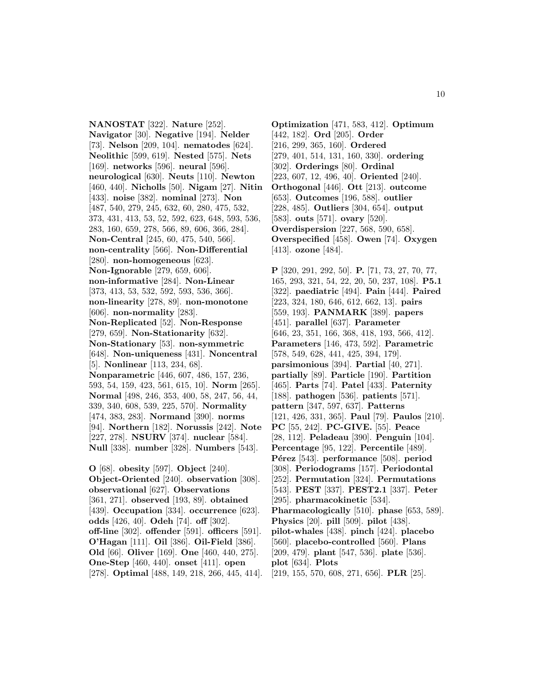**NANOSTAT** [322]. **Nature** [252]. **Navigator** [30]. **Negative** [194]. **Nelder** [73]. **Nelson** [209, 104]. **nematodes** [624]. **Neolithic** [599, 619]. **Nested** [575]. **Nets** [169]. **networks** [596]. **neural** [596]. **neurological** [630]. **Neuts** [110]. **Newton** [460, 440]. **Nicholls** [50]. **Nigam** [27]. **Nitin** [433]. **noise** [382]. **nominal** [273]. **Non** [487, 540, 279, 245, 632, 60, 280, 475, 532, 373, 431, 413, 53, 52, 592, 623, 648, 593, 536, 283, 160, 659, 278, 566, 89, 606, 366, 284]. **Non-Central** [245, 60, 475, 540, 566]. **non-centrality** [566]. **Non-Differential** [280]. **non-homogeneous** [623]. **Non-Ignorable** [279, 659, 606]. **non-informative** [284]. **Non-Linear** [373, 413, 53, 532, 592, 593, 536, 366]. **non-linearity** [278, 89]. **non-monotone** [606]. **non-normality** [283]. **Non-Replicated** [52]. **Non-Response** [279, 659]. **Non-Stationarity** [632]. **Non-Stationary** [53]. **non-symmetric** [648]. **Non-uniqueness** [431]. **Noncentral** [5]. **Nonlinear** [113, 234, 68]. **Nonparametric** [446, 607, 486, 157, 236, 593, 54, 159, 423, 561, 615, 10]. **Norm** [265]. **Normal** [498, 246, 353, 400, 58, 247, 56, 44, 339, 340, 608, 539, 225, 570]. **Normality** [474, 383, 283]. **Normand** [390]. **norms** [94]. **Northern** [182]. **Norussis** [242]. **Note** [227, 278]. **NSURV** [374]. **nuclear** [584]. **Null** [338]. **number** [328]. **Numbers** [543].

**O** [68]. **obesity** [597]. **Object** [240]. **Object-Oriented** [240]. **observation** [308]. **observational** [627]. **Observations** [361, 271]. **observed** [193, 89]. **obtained** [439]. **Occupation** [334]. **occurrence** [623]. **odds** [426, 40]. **Odeh** [74]. **off** [302]. **off-line** [302]. **offender** [591]. **officers** [591]. **O'Hagan** [111]. **Oil** [386]. **Oil-Field** [386]. **Old** [66]. **Oliver** [169]. **One** [460, 440, 275]. **One-Step** [460, 440]. **onset** [411]. **open** [278]. **Optimal** [488, 149, 218, 266, 445, 414].

**Optimization** [471, 583, 412]. **Optimum** [442, 182]. **Ord** [205]. **Order** [216, 299, 365, 160]. **Ordered** [279, 401, 514, 131, 160, 330]. **ordering** [302]. **Orderings** [80]. **Ordinal** [223, 607, 12, 496, 40]. **Oriented** [240]. **Orthogonal** [446]. **Ott** [213]. **outcome** [653]. **Outcomes** [196, 588]. **outlier** [228, 485]. **Outliers** [304, 654]. **output** [583]. **outs** [571]. **ovary** [520]. **Overdispersion** [227, 568, 590, 658]. **Overspecified** [458]. **Owen** [74]. **Oxygen** [413]. **ozone** [484].

**P** [320, 291, 292, 50]. **P.** [71, 73, 27, 70, 77, 165, 293, 321, 54, 22, 20, 50, 237, 108]. **P5.1** [322]. **paediatric** [494]. **Pain** [444]. **Paired** [223, 324, 180, 646, 612, 662, 13]. **pairs** [559, 193]. **PANMARK** [389]. **papers** [451]. **parallel** [637]. **Parameter** [646, 23, 351, 166, 368, 418, 193, 566, 412]. **Parameters** [146, 473, 592]. **Parametric** [578, 549, 628, 441, 425, 394, 179]. **parsimonious** [394]. **Partial** [40, 271]. **partially** [89]. **Particle** [190]. **Partition** [465]. **Parts** [74]. **Patel** [433]. **Paternity** [188]. **pathogen** [536]. **patients** [571]. **pattern** [347, 597, 637]. **Patterns** [121, 426, 331, 365]. **Paul** [79]. **Paulos** [210]. **PC** [55, 242]. **PC-GIVE.** [55]. **Peace** [28, 112]. **Peladeau** [390]. **Penguin** [104]. **Percentage** [95, 122]. **Percentile** [489]. **Pérez** [543]. **performance** [508]. **period** [308]. **Periodograms** [157]. **Periodontal** [252]. **Permutation** [324]. **Permutations** [543]. **PEST** [337]. **PEST2.1** [337]. **Peter** [295]. **pharmacokinetic** [534]. **Pharmacologically** [510]. **phase** [653, 589]. **Physics** [20]. **pill** [509]. **pilot** [438]. **pilot-whales** [438]. **pinch** [424]. **placebo** [560]. **placebo-controlled** [560]. **Plans** [209, 479]. **plant** [547, 536]. **plate** [536]. **plot** [634]. **Plots** [219, 155, 570, 608, 271, 656]. **PLR** [25].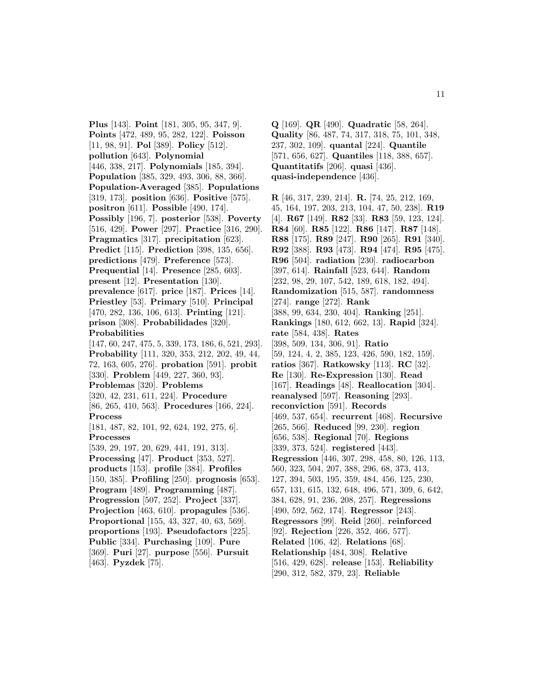**Plus** [143]. **Point** [181, 305, 95, 347, 9]. **Points** [472, 489, 95, 282, 122]. **Poisson** [11, 98, 91]. **Pol** [389]. **Policy** [512]. **pollution** [643]. **Polynomial** [446, 338, 217]. **Polynomials** [185, 394]. **Population** [385, 329, 493, 306, 88, 366]. **Population-Averaged** [385]. **Populations** [319, 173]. **position** [636]. **Positive** [575]. **positron** [611]. **Possible** [490, 174]. **Possibly** [196, 7]. **posterior** [538]. **Poverty** [516, 429]. **Power** [297]. **Practice** [316, 290]. **Pragmatics** [317]. **precipitation** [623]. **Predict** [115]. **Prediction** [398, 135, 656]. **predictions** [479]. **Preference** [573]. **Prequential** [14]. **Presence** [285, 603]. **present** [12]. **Presentation** [130]. **prevalence** [617]. **price** [187]. **Prices** [14]. **Priestley** [53]. **Primary** [510]. **Principal** [470, 282, 136, 106, 613]. **Printing** [121]. **prison** [308]. **Probabilidades** [320]. **Probabilities** [147, 60, 247, 475, 5, 339, 173, 186, 6, 521, 293]. **Probability** [111, 320, 353, 212, 202, 49, 44, 72, 163, 605, 276]. **probation** [591]. **probit** [330]. **Problem** [449, 227, 360, 93]. **Problemas** [320]. **Problems** [320, 42, 231, 611, 224]. **Procedure** [86, 265, 410, 563]. **Procedures** [166, 224]. **Process** [181, 487, 82, 101, 92, 624, 192, 275, 6]. **Processes** [539, 29, 197, 20, 629, 441, 191, 313]. **Processing** [47]. **Product** [353, 527]. **products** [153]. **profile** [384]. **Profiles** [150, 385]. **Profiling** [250]. **prognosis** [653]. **Program** [489]. **Programming** [487]. **Progression** [507, 252]. **Project** [337]. **Projection** [463, 610]. **propagules** [536]. **Proportional** [155, 43, 327, 40, 63, 569]. **proportions** [193]. **Pseudofactors** [225]. **Public** [334]. **Purchasing** [109]. **Pure** [369]. **Puri** [27]. **purpose** [556]. **Pursuit** [463]. **Pyzdek** [75].

**Q** [169]. **QR** [490]. **Quadratic** [58, 264]. **Quality** [86, 487, 74, 317, 318, 75, 101, 348, 237, 302, 109]. **quantal** [224]. **Quantile** [571, 656, 627]. **Quantiles** [118, 388, 657]. **Quantitatifs** [206]. **quasi** [436]. **quasi-independence** [436].

**R** [46, 317, 239, 214]. **R.** [74, 25, 212, 169, 45, 164, 197, 203, 213, 104, 47, 50, 238]. **R19** [4]. **R67** [149]. **R82** [33]. **R83** [59, 123, 124]. **R84** [60]. **R85** [122]. **R86** [147]. **R87** [148]. **R88** [175]. **R89** [247]. **R90** [265]. **R91** [340]. **R92** [388]. **R93** [473]. **R94** [474]. **R95** [475]. **R96** [504]. **radiation** [230]. **radiocarbon** [397, 614]. **Rainfall** [523, 644]. **Random** [232, 98, 29, 107, 542, 189, 618, 182, 494]. **Randomization** [515, 587]. **randomness** [274]. **range** [272]. **Rank** [388, 99, 634, 230, 404]. **Ranking** [251]. **Rankings** [180, 612, 662, 13]. **Rapid** [324]. **rate** [584, 438]. **Rates** [398, 509, 134, 306, 91]. **Ratio** [59, 124, 4, 2, 385, 123, 426, 590, 182, 159]. **ratios** [367]. **Ratkowsky** [113]. **RC** [32]. **Re** [130]. **Re-Expression** [130]. **Read** [167]. **Readings** [48]. **Reallocation** [304]. **reanalysed** [597]. **Reasoning** [293]. **reconviction** [591]. **Records** [469, 537, 654]. **recurrent** [468]. **Recursive** [265, 566]. **Reduced** [99, 230]. **region** [656, 538]. **Regional** [70]. **Regions** [339, 373, 524]. **registered** [443]. **Regression** [446, 307, 298, 458, 80, 126, 113, 560, 323, 504, 207, 388, 296, 68, 373, 413, 127, 394, 503, 195, 359, 484, 456, 125, 230, 657, 131, 615, 132, 648, 496, 571, 309, 6, 642, 384, 628, 91, 236, 208, 257]. **Regressions** [490, 592, 562, 174]. **Regressor** [243]. **Regressors** [99]. **Reid** [260]. **reinforced** [92]. **Rejection** [226, 352, 466, 577]. **Related** [106, 42]. **Relations** [68]. **Relationship** [484, 308]. **Relative** [516, 429, 628]. **release** [153]. **Reliability** [290, 312, 582, 379, 23]. **Reliable**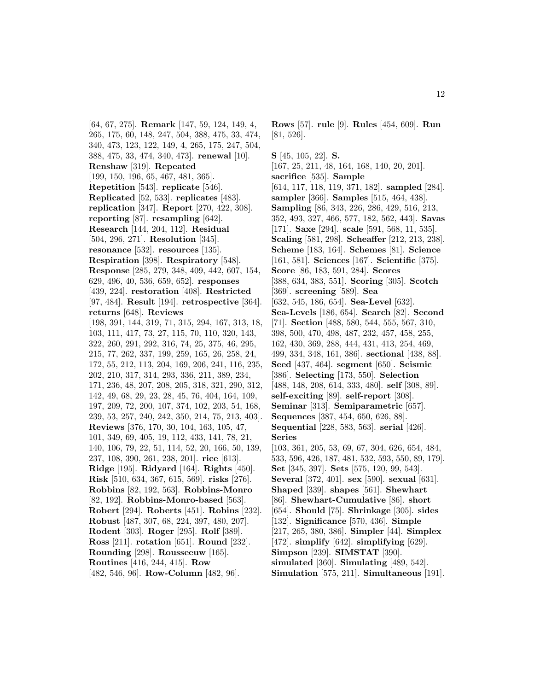[64, 67, 275]. **Remark** [147, 59, 124, 149, 4, 265, 175, 60, 148, 247, 504, 388, 475, 33, 474, 340, 473, 123, 122, 149, 4, 265, 175, 247, 504, 388, 475, 33, 474, 340, 473]. **renewal** [10]. **Renshaw** [319]. **Repeated** [199, 150, 196, 65, 467, 481, 365]. **Repetition** [543]. **replicate** [546]. **Replicated** [52, 533]. **replicates** [483]. **replication** [347]. **Report** [270, 422, 308]. **reporting** [87]. **resampling** [642]. **Research** [144, 204, 112]. **Residual** [504, 296, 271]. **Resolution** [345]. **resonance** [532]. **resources** [135]. **Respiration** [398]. **Respiratory** [548]. **Response** [285, 279, 348, 409, 442, 607, 154, 629, 496, 40, 536, 659, 652]. **responses** [439, 224]. **restoration** [408]. **Restricted** [97, 484]. **Result** [194]. **retrospective** [364]. **returns** [648]. **Reviews** [198, 391, 144, 319, 71, 315, 294, 167, 313, 18, 103, 111, 417, 73, 27, 115, 70, 110, 320, 143, 322, 260, 291, 292, 316, 74, 25, 375, 46, 295, 215, 77, 262, 337, 199, 259, 165, 26, 258, 24, 172, 55, 212, 113, 204, 169, 206, 241, 116, 235, 202, 210, 317, 314, 293, 336, 211, 389, 234, 171, 236, 48, 207, 208, 205, 318, 321, 290, 312, 142, 49, 68, 29, 23, 28, 45, 76, 404, 164, 109, 197, 209, 72, 200, 107, 374, 102, 203, 54, 168, 239, 53, 257, 240, 242, 350, 214, 75, 213, 403]. **Reviews** [376, 170, 30, 104, 163, 105, 47, 101, 349, 69, 405, 19, 112, 433, 141, 78, 21, 140, 106, 79, 22, 51, 114, 52, 20, 166, 50, 139, 237, 108, 390, 261, 238, 201]. **rice** [613]. **Ridge** [195]. **Ridyard** [164]. **Rights** [450]. **Risk** [510, 634, 367, 615, 569]. **risks** [276]. **Robbins** [82, 192, 563]. **Robbins-Monro** [82, 192]. **Robbins-Monro-based** [563]. **Robert** [294]. **Roberts** [451]. **Robins** [232]. **Robust** [487, 307, 68, 224, 397, 480, 207]. **Rodent** [303]. **Roger** [295]. **Rolf** [389]. **Ross** [211]. **rotation** [651]. **Round** [232]. **Rounding** [298]. **Rousseeuw** [165]. **Routines** [416, 244, 415]. **Row** [482, 546, 96]. **Row-Column** [482, 96].

**Rows** [57]. **rule** [9]. **Rules** [454, 609]. **Run** [81, 526].

**S** [45, 105, 22]. **S.** [167, 25, 211, 48, 164, 168, 140, 20, 201]. **sacrifice** [535]. **Sample** [614, 117, 118, 119, 371, 182]. **sampled** [284]. **sampler** [366]. **Samples** [515, 464, 438]. **Sampling** [86, 343, 226, 286, 429, 516, 213, 352, 493, 327, 466, 577, 182, 562, 443]. **Savas** [171]. **Saxe** [294]. **scale** [591, 568, 11, 535]. **Scaling** [581, 298]. **Scheaffer** [212, 213, 238]. **Scheme** [183, 164]. **Schemes** [81]. **Science** [161, 581]. **Sciences** [167]. **Scientific** [375]. **Score** [86, 183, 591, 284]. **Scores** [388, 634, 383, 551]. **Scoring** [305]. **Scotch** [369]. **screening** [589]. **Sea** [632, 545, 186, 654]. **Sea-Level** [632]. **Sea-Levels** [186, 654]. **Search** [82]. **Second** [71]. **Section** [488, 580, 544, 555, 567, 310, 398, 500, 470, 498, 487, 232, 457, 458, 255, 162, 430, 369, 288, 444, 431, 413, 254, 469, 499, 334, 348, 161, 386]. **sectional** [438, 88]. **Seed** [437, 464]. **segment** [650]. **Seismic** [386]. **Selecting** [173, 550]. **Selection** [488, 148, 208, 614, 333, 480]. **self** [308, 89]. **self-exciting** [89]. **self-report** [308]. **Seminar** [313]. **Semiparametric** [657]. **Sequences** [387, 454, 650, 626, 88]. **Sequential** [228, 583, 563]. **serial** [426]. **Series** [103, 361, 205, 53, 69, 67, 304, 626, 654, 484, 533, 596, 426, 187, 481, 532, 593, 550, 89, 179]. **Set** [345, 397]. **Sets** [575, 120, 99, 543]. **Several** [372, 401]. **sex** [590]. **sexual** [631]. **Shaped** [339]. **shapes** [561]. **Shewhart** [86]. **Shewhart-Cumulative** [86]. **short** [654]. **Should** [75]. **Shrinkage** [305]. **sides** [132]. **Significance** [570, 436]. **Simple** [217, 265, 380, 386]. **Simpler** [44]. **Simplex** [472]. **simplify** [642]. **simplifying** [629]. **Simpson** [239]. **SIMSTAT** [390]. **simulated** [360]. **Simulating** [489, 542]. **Simulation** [575, 211]. **Simultaneous** [191].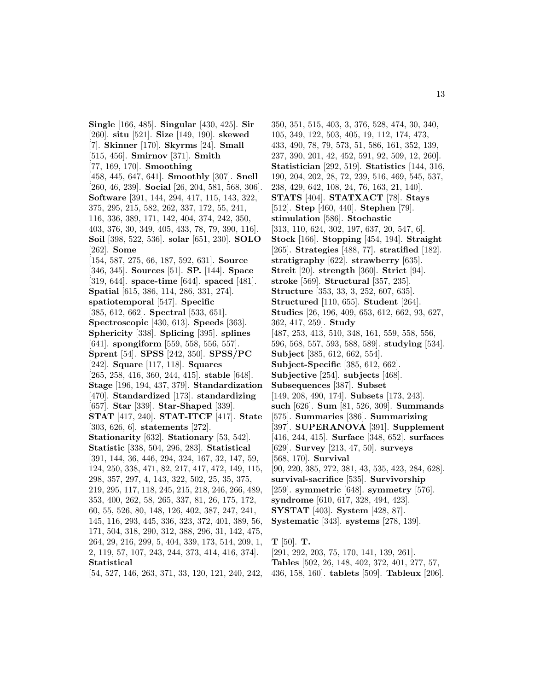**Single** [166, 485]. **Singular** [430, 425]. **Sir** [260]. **situ** [521]. **Size** [149, 190]. **skewed** [7]. **Skinner** [170]. **Skyrms** [24]. **Small** [515, 456]. **Smirnov** [371]. **Smith** [77, 169, 170]. **Smoothing** [458, 445, 647, 641]. **Smoothly** [307]. **Snell** [260, 46, 239]. **Social** [26, 204, 581, 568, 306]. **Software** [391, 144, 294, 417, 115, 143, 322, 375, 295, 215, 582, 262, 337, 172, 55, 241, 116, 336, 389, 171, 142, 404, 374, 242, 350, 403, 376, 30, 349, 405, 433, 78, 79, 390, 116]. **Soil** [398, 522, 536]. **solar** [651, 230]. **SOLO** [262]. **Some** [154, 587, 275, 66, 187, 592, 631]. **Source** [346, 345]. **Sources** [51]. **SP.** [144]. **Space** [319, 644]. **space-time** [644]. **spaced** [481]. **Spatial** [615, 386, 114, 286, 331, 274]. **spatiotemporal** [547]. **Specific** [385, 612, 662]. **Spectral** [533, 651]. **Spectroscopic** [430, 613]. **Speeds** [363]. **Sphericity** [338]. **Splicing** [395]. **splines** [641]. **spongiform** [559, 558, 556, 557]. **Sprent** [54]. **SPSS** [242, 350]. **SPSS/PC** [242]. **Square** [117, 118]. **Squares** [265, 258, 416, 360, 244, 415]. **stable** [648]. **Stage** [196, 194, 437, 379]. **Standardization** [470]. **Standardized** [173]. **standardizing** [657]. **Star** [339]. **Star-Shaped** [339]. **STAT** [417, 240]. **STAT-ITCF** [417]. **State** [303, 626, 6]. **statements** [272]. **Stationarity** [632]. **Stationary** [53, 542]. **Statistic** [338, 504, 296, 283]. **Statistical** [391, 144, 36, 446, 294, 324, 167, 32, 147, 59, 124, 250, 338, 471, 82, 217, 417, 472, 149, 115, 298, 357, 297, 4, 143, 322, 502, 25, 35, 375, 219, 295, 117, 118, 245, 215, 218, 246, 266, 489, 353, 400, 262, 58, 265, 337, 81, 26, 175, 172, 60, 55, 526, 80, 148, 126, 402, 387, 247, 241, 145, 116, 293, 445, 336, 323, 372, 401, 389, 56, 171, 504, 318, 290, 312, 388, 296, 31, 142, 475, 264, 29, 216, 299, 5, 404, 339, 173, 514, 209, 1, 2, 119, 57, 107, 243, 244, 373, 414, 416, 374]. **Statistical**

[54, 527, 146, 263, 371, 33, 120, 121, 240, 242,

350, 351, 515, 403, 3, 376, 528, 474, 30, 340, 105, 349, 122, 503, 405, 19, 112, 174, 473, 433, 490, 78, 79, 573, 51, 586, 161, 352, 139, 237, 390, 201, 42, 452, 591, 92, 509, 12, 260]. **Statistician** [292, 519]. **Statistics** [144, 316, 190, 204, 202, 28, 72, 239, 516, 469, 545, 537, 238, 429, 642, 108, 24, 76, 163, 21, 140]. **STATS** [404]. **STATXACT** [78]. **Stays** [512]. **Step** [460, 440]. **Stephen** [79]. **stimulation** [586]. **Stochastic** [313, 110, 624, 302, 197, 637, 20, 547, 6]. **Stock** [166]. **Stopping** [454, 194]. **Straight** [265]. **Strategies** [488, 77]. **stratified** [182]. **stratigraphy** [622]. **strawberry** [635]. **Streit** [20]. **strength** [360]. **Strict** [94]. **stroke** [569]. **Structural** [357, 235]. **Structure** [353, 33, 3, 252, 607, 635]. **Structured** [110, 655]. **Student** [264]. **Studies** [26, 196, 409, 653, 612, 662, 93, 627, 362, 417, 259]. **Study** [487, 253, 413, 510, 348, 161, 559, 558, 556, 596, 568, 557, 593, 588, 589]. **studying** [534]. **Subject** [385, 612, 662, 554]. **Subject-Specific** [385, 612, 662]. **Subjective** [254]. **subjects** [468]. **Subsequences** [387]. **Subset** [149, 208, 490, 174]. **Subsets** [173, 243]. **such** [626]. **Sum** [81, 526, 309]. **Summands** [575]. **Summaries** [386]. **Summarizing** [397]. **SUPERANOVA** [391]. **Supplement** [416, 244, 415]. **Surface** [348, 652]. **surfaces** [629]. **Survey** [213, 47, 50]. **surveys** [568, 170]. **Survival** [90, 220, 385, 272, 381, 43, 535, 423, 284, 628]. **survival-sacrifice** [535]. **Survivorship** [259]. **symmetric** [648]. **symmetry** [576]. **syndrome** [610, 617, 328, 494, 423]. **SYSTAT** [403]. **System** [428, 87]. **Systematic** [343]. **systems** [278, 139].

**T** [50]. **T.**

[291, 292, 203, 75, 170, 141, 139, 261].

**Tables** [502, 26, 148, 402, 372, 401, 277, 57, 436, 158, 160]. **tablets** [509]. **Tableux** [206].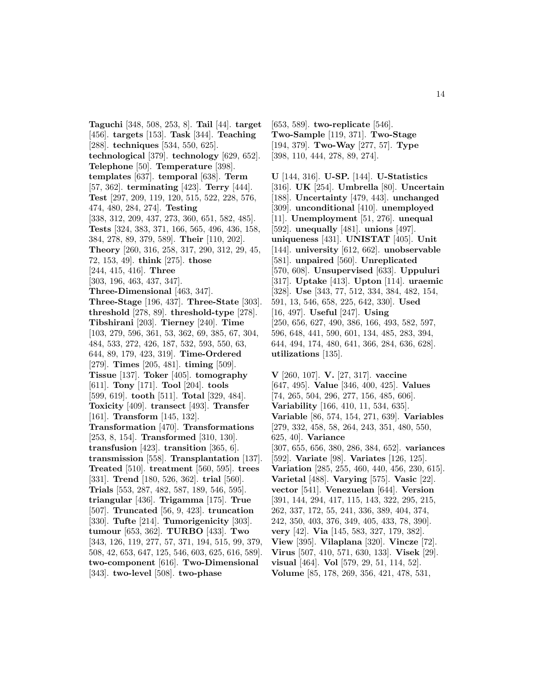**Taguchi** [348, 508, 253, 8]. **Tail** [44]. **target** [456]. **targets** [153]. **Task** [344]. **Teaching** [288]. **techniques** [534, 550, 625]. **technological** [379]. **technology** [629, 652]. **Telephone** [50]. **Temperature** [398]. **templates** [637]. **temporal** [638]. **Term** [57, 362]. **terminating** [423]. **Terry** [444]. **Test** [297, 209, 119, 120, 515, 522, 228, 576, 474, 480, 284, 274]. **Testing** [338, 312, 209, 437, 273, 360, 651, 582, 485]. **Tests** [324, 383, 371, 166, 565, 496, 436, 158, 384, 278, 89, 379, 589]. **Their** [110, 202]. **Theory** [260, 316, 258, 317, 290, 312, 29, 45, 72, 153, 49]. **think** [275]. **those** [244, 415, 416]. **Three** [303, 196, 463, 437, 347]. **Three-Dimensional** [463, 347]. **Three-Stage** [196, 437]. **Three-State** [303]. **threshold** [278, 89]. **threshold-type** [278]. **Tibshirani** [203]. **Tierney** [240]. **Time** [103, 279, 596, 361, 53, 362, 69, 385, 67, 304, 484, 533, 272, 426, 187, 532, 593, 550, 63, 644, 89, 179, 423, 319]. **Time-Ordered** [279]. **Times** [205, 481]. **timing** [509]. **Tissue** [137]. **Toker** [405]. **tomography** [611]. **Tony** [171]. **Tool** [204]. **tools** [599, 619]. **tooth** [511]. **Total** [329, 484]. **Toxicity** [409]. **transect** [493]. **Transfer** [161]. **Transform** [145, 132]. **Transformation** [470]. **Transformations** [253, 8, 154]. **Transformed** [310, 130]. **transfusion** [423]. **transition** [365, 6]. **transmission** [558]. **Transplantation** [137]. **Treated** [510]. **treatment** [560, 595]. **trees** [331]. **Trend** [180, 526, 362]. **trial** [560]. **Trials** [553, 287, 482, 587, 189, 546, 595]. **triangular** [436]. **Trigamma** [175]. **True** [507]. **Truncated** [56, 9, 423]. **truncation** [330]. **Tufte** [214]. **Tumorigenicity** [303]. **tumour** [653, 362]. **TURBO** [433]. **Two** [343, 126, 119, 277, 57, 371, 194, 515, 99, 379, 508, 42, 653, 647, 125, 546, 603, 625, 616, 589]. **two-component** [616]. **Two-Dimensional** [343]. **two-level** [508]. **two-phase**

[653, 589]. **two-replicate** [546]. **Two-Sample** [119, 371]. **Two-Stage** [194, 379]. **Two-Way** [277, 57]. **Type** [398, 110, 444, 278, 89, 274].

**U** [144, 316]. **U-SP.** [144]. **U-Statistics** [316]. **UK** [254]. **Umbrella** [80]. **Uncertain** [188]. **Uncertainty** [479, 443]. **unchanged** [309]. **unconditional** [410]. **unemployed** [11]. **Unemployment** [51, 276]. **unequal** [592]. **unequally** [481]. **unions** [497]. **uniqueness** [431]. **UNISTAT** [405]. **Unit** [144]. **university** [612, 662]. **unobservable** [581]. **unpaired** [560]. **Unreplicated** [570, 608]. **Unsupervised** [633]. **Uppuluri** [317]. **Uptake** [413]. **Upton** [114]. **uraemic** [328]. **Use** [343, 77, 512, 334, 384, 482, 154, 591, 13, 546, 658, 225, 642, 330]. **Used** [16, 497]. **Useful** [247]. **Using** [250, 656, 627, 490, 386, 166, 493, 582, 597, 596, 648, 441, 590, 601, 134, 485, 283, 394, 644, 494, 174, 480, 641, 366, 284, 636, 628]. **utilizations** [135].

**V** [260, 107]. **V.** [27, 317]. **vaccine** [647, 495]. **Value** [346, 400, 425]. **Values** [74, 265, 504, 296, 277, 156, 485, 606]. **Variability** [166, 410, 11, 534, 635]. **Variable** [86, 574, 154, 271, 639]. **Variables** [279, 332, 458, 58, 264, 243, 351, 480, 550, 625, 40]. **Variance** [307, 655, 656, 380, 286, 384, 652]. **variances** [592]. **Variate** [98]. **Variates** [126, 125]. **Variation** [285, 255, 460, 440, 456, 230, 615]. **Varietal** [488]. **Varying** [575]. **Vasic** [22]. **vector** [541]. **Venezuelan** [644]. **Version** [391, 144, 294, 417, 115, 143, 322, 295, 215, 262, 337, 172, 55, 241, 336, 389, 404, 374, 242, 350, 403, 376, 349, 405, 433, 78, 390]. **very** [42]. **Via** [145, 583, 327, 179, 382]. **View** [395]. **Vilaplana** [320]. **Vincze** [72]. **Virus** [507, 410, 571, 630, 133]. **Visek** [29]. **visual** [464]. **Vol** [579, 29, 51, 114, 52]. **Volume** [85, 178, 269, 356, 421, 478, 531,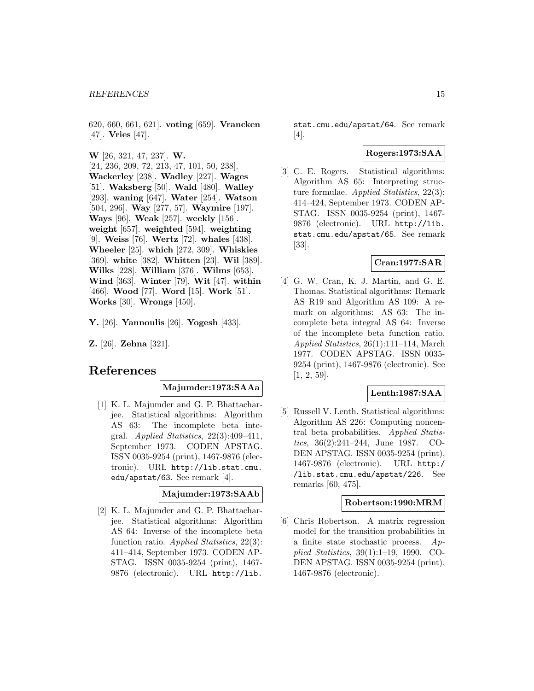620, 660, 661, 621]. **voting** [659]. **Vrancken** [47]. **Vries** [47].

**W** [26, 321, 47, 237]. **W.** [24, 236, 209, 72, 213, 47, 101, 50, 238]. **Wackerley** [238]. **Wadley** [227]. **Wages** [51]. **Waksberg** [50]. **Wald** [480]. **Walley** [293]. **waning** [647]. **Water** [254]. **Watson** [504, 296]. **Way** [277, 57]. **Waymire** [197]. **Ways** [96]. **Weak** [257]. **weekly** [156]. **weight** [657]. **weighted** [594]. **weighting** [9]. **Weiss** [76]. **Wertz** [72]. **whales** [438]. **Wheeler** [25]. **which** [272, 309]. **Whiskies** [369]. **white** [382]. **Whitten** [23]. **Wil** [389]. **Wilks** [228]. **William** [376]. **Wilms** [653]. **Wind** [363]. **Winter** [79]. **Wit** [47]. **within** [466]. **Wood** [77]. **Word** [15]. **Work** [51]. **Works** [30]. **Wrongs** [450].

**Y.** [26]. **Yannoulis** [26]. **Yogesh** [433].

**Z.** [26]. **Zehna** [321].

# **References**

# **Majumder:1973:SAAa**

[1] K. L. Majumder and G. P. Bhattacharjee. Statistical algorithms: Algorithm AS 63: The incomplete beta integral. Applied Statistics, 22(3):409–411, September 1973. CODEN APSTAG. ISSN 0035-9254 (print), 1467-9876 (electronic). URL http://lib.stat.cmu. edu/apstat/63. See remark [4].

### **Majumder:1973:SAAb**

[2] K. L. Majumder and G. P. Bhattacharjee. Statistical algorithms: Algorithm AS 64: Inverse of the incomplete beta function ratio. Applied Statistics, 22(3): 411–414, September 1973. CODEN AP-STAG. ISSN 0035-9254 (print), 1467- 9876 (electronic). URL http://lib.

stat.cmu.edu/apstat/64. See remark [4].

# **Rogers:1973:SAA**

[3] C. E. Rogers. Statistical algorithms: Algorithm AS 65: Interpreting structure formulae. Applied Statistics, 22(3): 414–424, September 1973. CODEN AP-STAG. ISSN 0035-9254 (print), 1467- 9876 (electronic). URL http://lib. stat.cmu.edu/apstat/65. See remark [33].

### **Cran:1977:SAR**

[4] G. W. Cran, K. J. Martin, and G. E. Thomas. Statistical algorithms: Remark AS R19 and Algorithm AS 109: A remark on algorithms: AS 63: The incomplete beta integral AS 64: Inverse of the incomplete beta function ratio. Applied Statistics, 26(1):111–114, March 1977. CODEN APSTAG. ISSN 0035- 9254 (print), 1467-9876 (electronic). See [1, 2, 59].

# **Lenth:1987:SAA**

[5] Russell V. Lenth. Statistical algorithms: Algorithm AS 226: Computing noncentral beta probabilities. Applied Statistics, 36(2):241–244, June 1987. CO-DEN APSTAG. ISSN 0035-9254 (print), 1467-9876 (electronic). URL http:/ /lib.stat.cmu.edu/apstat/226. See remarks [60, 475].

#### **Robertson:1990:MRM**

[6] Chris Robertson. A matrix regression model for the transition probabilities in a finite state stochastic process.  $Ap$ plied Statistics, 39(1):1–19, 1990. CO-DEN APSTAG. ISSN 0035-9254 (print), 1467-9876 (electronic).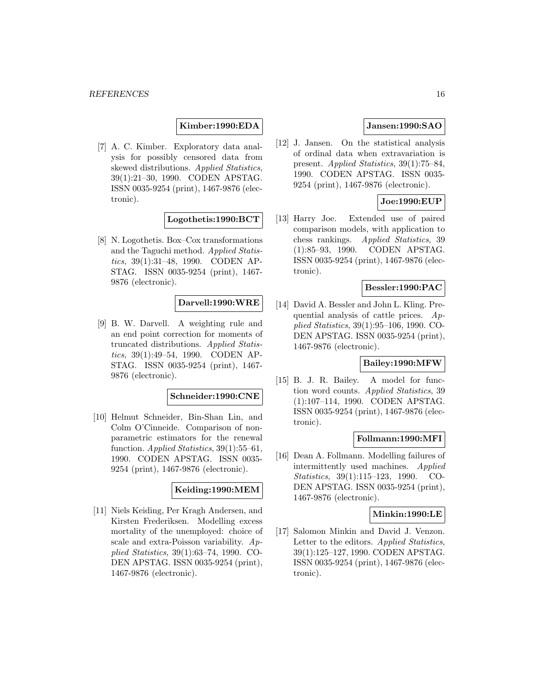**Kimber:1990:EDA**

[7] A. C. Kimber. Exploratory data analysis for possibly censored data from skewed distributions. Applied Statistics, 39(1):21–30, 1990. CODEN APSTAG. ISSN 0035-9254 (print), 1467-9876 (electronic).

**Logothetis:1990:BCT**

[8] N. Logothetis. Box–Cox transformations and the Taguchi method. Applied Statistics, 39(1):31–48, 1990. CODEN AP-STAG. ISSN 0035-9254 (print), 1467- 9876 (electronic).

### **Darvell:1990:WRE**

[9] B. W. Darvell. A weighting rule and an end point correction for moments of truncated distributions. Applied Statistics, 39(1):49–54, 1990. CODEN AP-STAG. ISSN 0035-9254 (print), 1467- 9876 (electronic).

#### **Schneider:1990:CNE**

[10] Helmut Schneider, Bin-Shan Lin, and Colm O'Cinneide. Comparison of nonparametric estimators for the renewal function. *Applied Statistics*, 39(1):55–61, 1990. CODEN APSTAG. ISSN 0035- 9254 (print), 1467-9876 (electronic).

#### **Keiding:1990:MEM**

[11] Niels Keiding, Per Kragh Andersen, and Kirsten Frederiksen. Modelling excess mortality of the unemployed: choice of scale and extra-Poisson variability. Applied Statistics, 39(1):63–74, 1990. CO-DEN APSTAG. ISSN 0035-9254 (print), 1467-9876 (electronic).

### **Jansen:1990:SAO**

[12] J. Jansen. On the statistical analysis of ordinal data when extravariation is present. Applied Statistics, 39(1):75–84, 1990. CODEN APSTAG. ISSN 0035- 9254 (print), 1467-9876 (electronic).

# **Joe:1990:EUP**

[13] Harry Joe. Extended use of paired comparison models, with application to chess rankings. Applied Statistics, 39 (1):85–93, 1990. CODEN APSTAG. ISSN 0035-9254 (print), 1467-9876 (electronic).

# **Bessler:1990:PAC**

[14] David A. Bessler and John L. Kling. Prequential analysis of cattle prices. Applied Statistics, 39(1):95–106, 1990. CO-DEN APSTAG. ISSN 0035-9254 (print), 1467-9876 (electronic).

### **Bailey:1990:MFW**

[15] B. J. R. Bailey. A model for function word counts. Applied Statistics, 39 (1):107–114, 1990. CODEN APSTAG. ISSN 0035-9254 (print), 1467-9876 (electronic).

#### **Follmann:1990:MFI**

[16] Dean A. Follmann. Modelling failures of intermittently used machines. Applied Statistics, 39(1):115–123, 1990. CO-DEN APSTAG. ISSN 0035-9254 (print), 1467-9876 (electronic).

#### **Minkin:1990:LE**

[17] Salomon Minkin and David J. Venzon. Letter to the editors. Applied Statistics, 39(1):125–127, 1990. CODEN APSTAG. ISSN 0035-9254 (print), 1467-9876 (electronic).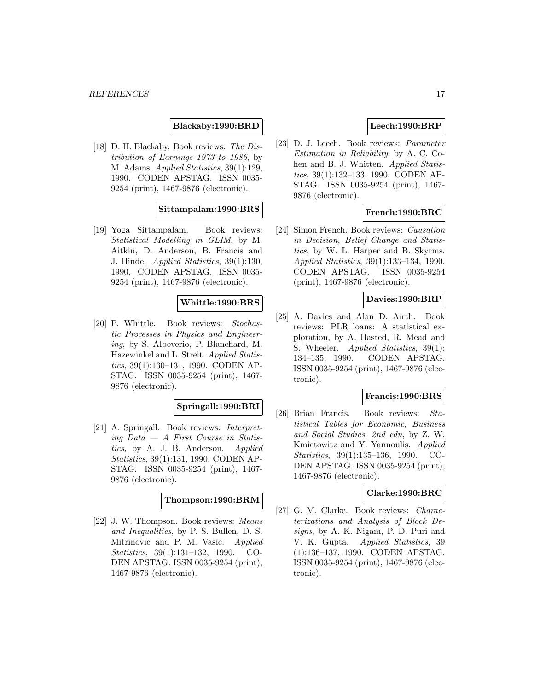# **Blackaby:1990:BRD**

[18] D. H. Blackaby. Book reviews: The Distribution of Earnings 1973 to 1986, by M. Adams. Applied Statistics, 39(1):129, 1990. CODEN APSTAG. ISSN 0035- 9254 (print), 1467-9876 (electronic).

### **Sittampalam:1990:BRS**

[19] Yoga Sittampalam. Book reviews: Statistical Modelling in GLIM, by M. Aitkin, D. Anderson, B. Francis and J. Hinde. Applied Statistics, 39(1):130, 1990. CODEN APSTAG. ISSN 0035- 9254 (print), 1467-9876 (electronic).

### **Whittle:1990:BRS**

[20] P. Whittle. Book reviews: Stochastic Processes in Physics and Engineering, by S. Albeverio, P. Blanchard, M. Hazewinkel and L. Streit. Applied Statistics, 39(1):130–131, 1990. CODEN AP-STAG. ISSN 0035-9254 (print), 1467- 9876 (electronic).

# **Springall:1990:BRI**

[21] A. Springall. Book reviews: Interpreting Data  $-$  A First Course in Statistics, by A. J. B. Anderson. Applied Statistics, 39(1):131, 1990. CODEN AP-STAG. ISSN 0035-9254 (print), 1467- 9876 (electronic).

#### **Thompson:1990:BRM**

[22] J. W. Thompson. Book reviews: Means and Inequalities, by P. S. Bullen, D. S. Mitrinovic and P. M. Vasic. Applied Statistics, 39(1):131–132, 1990. CO-DEN APSTAG. ISSN 0035-9254 (print), 1467-9876 (electronic).

# **Leech:1990:BRP**

[23] D. J. Leech. Book reviews: Parameter Estimation in Reliability, by A. C. Cohen and B. J. Whitten. Applied Statistics, 39(1):132–133, 1990. CODEN AP-STAG. ISSN 0035-9254 (print), 1467- 9876 (electronic).

# **French:1990:BRC**

[24] Simon French. Book reviews: Causation in Decision, Belief Change and Statistics, by W. L. Harper and B. Skyrms. Applied Statistics, 39(1):133–134, 1990. CODEN APSTAG. ISSN 0035-9254 (print), 1467-9876 (electronic).

#### **Davies:1990:BRP**

[25] A. Davies and Alan D. Airth. Book reviews: PLR loans: A statistical exploration, by A. Hasted, R. Mead and S. Wheeler. *Applied Statistics*, 39(1): 134–135, 1990. CODEN APSTAG. ISSN 0035-9254 (print), 1467-9876 (electronic).

#### **Francis:1990:BRS**

[26] Brian Francis. Book reviews: Statistical Tables for Economic, Business and Social Studies. 2nd edn, by Z. W. Kmietowitz and Y. Yannoulis. Applied Statistics, 39(1):135–136, 1990. CO-DEN APSTAG. ISSN 0035-9254 (print), 1467-9876 (electronic).

#### **Clarke:1990:BRC**

[27] G. M. Clarke. Book reviews: Characterizations and Analysis of Block Designs, by A. K. Nigam, P. D. Puri and V. K. Gupta. Applied Statistics, 39 (1):136–137, 1990. CODEN APSTAG. ISSN 0035-9254 (print), 1467-9876 (electronic).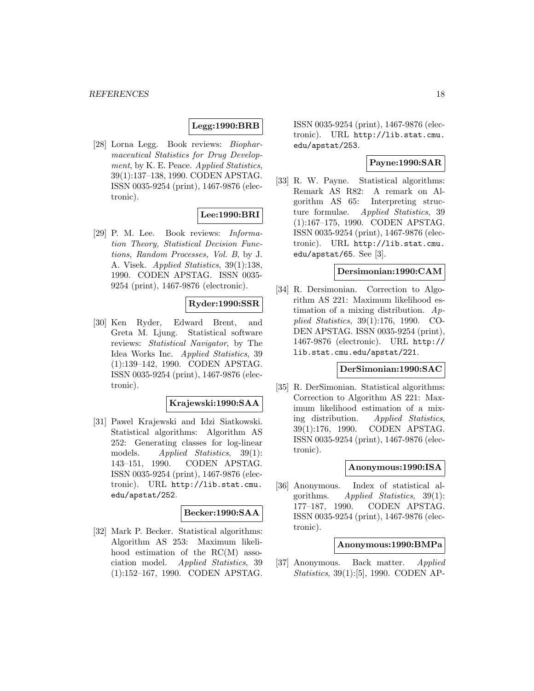# **Legg:1990:BRB**

[28] Lorna Legg. Book reviews: Biopharmaceutical Statistics for Drug Development, by K. E. Peace. Applied Statistics, 39(1):137–138, 1990. CODEN APSTAG. ISSN 0035-9254 (print), 1467-9876 (electronic).

# **Lee:1990:BRI**

[29] P. M. Lee. Book reviews: Information Theory, Statistical Decision Functions, Random Processes, Vol. B, by J. A. Visek. Applied Statistics, 39(1):138, 1990. CODEN APSTAG. ISSN 0035- 9254 (print), 1467-9876 (electronic).

### **Ryder:1990:SSR**

[30] Ken Ryder, Edward Brent, and Greta M. Ljung. Statistical software reviews: Statistical Navigator, by The Idea Works Inc. Applied Statistics, 39 (1):139–142, 1990. CODEN APSTAG. ISSN 0035-9254 (print), 1467-9876 (electronic).

# **Krajewski:1990:SAA**

[31] Pawel Krajewski and Idzi Siatkowski. Statistical algorithms: Algorithm AS 252: Generating classes for log-linear models. Applied Statistics, 39(1): 143–151, 1990. CODEN APSTAG. ISSN 0035-9254 (print), 1467-9876 (electronic). URL http://lib.stat.cmu. edu/apstat/252.

### **Becker:1990:SAA**

[32] Mark P. Becker. Statistical algorithms: Algorithm AS 253: Maximum likelihood estimation of the RC(M) association model. Applied Statistics, 39 (1):152–167, 1990. CODEN APSTAG. ISSN 0035-9254 (print), 1467-9876 (electronic). URL http://lib.stat.cmu. edu/apstat/253.

### **Payne:1990:SAR**

[33] R. W. Payne. Statistical algorithms: Remark AS R82: A remark on Algorithm AS 65: Interpreting structure formulae. Applied Statistics, 39 (1):167–175, 1990. CODEN APSTAG. ISSN 0035-9254 (print), 1467-9876 (electronic). URL http://lib.stat.cmu. edu/apstat/65. See [3].

#### **Dersimonian:1990:CAM**

[34] R. Dersimonian. Correction to Algorithm AS 221: Maximum likelihood estimation of a mixing distribution.  $Ap$ plied Statistics, 39(1):176, 1990. CO-DEN APSTAG. ISSN 0035-9254 (print), 1467-9876 (electronic). URL http:// lib.stat.cmu.edu/apstat/221.

### **DerSimonian:1990:SAC**

[35] R. DerSimonian. Statistical algorithms: Correction to Algorithm AS 221: Maximum likelihood estimation of a mixing distribution. Applied Statistics, 39(1):176, 1990. CODEN APSTAG. ISSN 0035-9254 (print), 1467-9876 (electronic).

# **Anonymous:1990:ISA**

[36] Anonymous. Index of statistical algorithms. Applied Statistics, 39(1): 177–187, 1990. CODEN APSTAG. ISSN 0035-9254 (print), 1467-9876 (electronic).

# **Anonymous:1990:BMPa**

[37] Anonymous. Back matter. Applied Statistics, 39(1):[5], 1990. CODEN AP-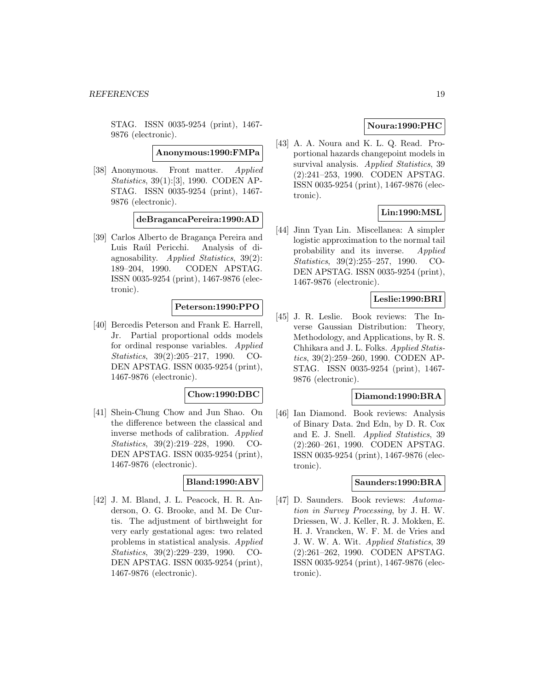STAG. ISSN 0035-9254 (print), 1467- 9876 (electronic).

**Anonymous:1990:FMPa**

[38] Anonymous. Front matter. Applied Statistics, 39(1):[3], 1990. CODEN AP-STAG. ISSN 0035-9254 (print), 1467- 9876 (electronic).

#### **deBragancaPereira:1990:AD**

[39] Carlos Alberto de Bragança Pereira and Luis Raúl Pericchi. Analysis of diagnosability. Applied Statistics, 39(2): 189–204, 1990. CODEN APSTAG. ISSN 0035-9254 (print), 1467-9876 (electronic).

# **Peterson:1990:PPO**

[40] Bercedis Peterson and Frank E. Harrell, Jr. Partial proportional odds models for ordinal response variables. Applied Statistics, 39(2):205–217, 1990. CO-DEN APSTAG. ISSN 0035-9254 (print), 1467-9876 (electronic).

#### **Chow:1990:DBC**

[41] Shein-Chung Chow and Jun Shao. On the difference between the classical and inverse methods of calibration. Applied Statistics, 39(2):219–228, 1990. CO-DEN APSTAG. ISSN 0035-9254 (print), 1467-9876 (electronic).

### **Bland:1990:ABV**

[42] J. M. Bland, J. L. Peacock, H. R. Anderson, O. G. Brooke, and M. De Curtis. The adjustment of birthweight for very early gestational ages: two related problems in statistical analysis. Applied Statistics, 39(2):229–239, 1990. CO-DEN APSTAG. ISSN 0035-9254 (print), 1467-9876 (electronic).

# **Noura:1990:PHC**

[43] A. A. Noura and K. L. Q. Read. Proportional hazards changepoint models in survival analysis. Applied Statistics, 39 (2):241–253, 1990. CODEN APSTAG. ISSN 0035-9254 (print), 1467-9876 (electronic).

# **Lin:1990:MSL**

[44] Jinn Tyan Lin. Miscellanea: A simpler logistic approximation to the normal tail probability and its inverse. Applied Statistics, 39(2):255–257, 1990. CO-DEN APSTAG. ISSN 0035-9254 (print), 1467-9876 (electronic).

### **Leslie:1990:BRI**

[45] J. R. Leslie. Book reviews: The Inverse Gaussian Distribution: Theory, Methodology, and Applications, by R. S. Chhikara and J. L. Folks. Applied Statistics, 39(2):259–260, 1990. CODEN AP-STAG. ISSN 0035-9254 (print), 1467- 9876 (electronic).

#### **Diamond:1990:BRA**

[46] Ian Diamond. Book reviews: Analysis of Binary Data. 2nd Edn, by D. R. Cox and E. J. Snell. Applied Statistics, 39 (2):260–261, 1990. CODEN APSTAG. ISSN 0035-9254 (print), 1467-9876 (electronic).

#### **Saunders:1990:BRA**

[47] D. Saunders. Book reviews: Automation in Survey Processing, by J. H. W. Driessen, W. J. Keller, R. J. Mokken, E. H. J. Vrancken, W. F. M. de Vries and J. W. W. A. Wit. Applied Statistics, 39 (2):261–262, 1990. CODEN APSTAG. ISSN 0035-9254 (print), 1467-9876 (electronic).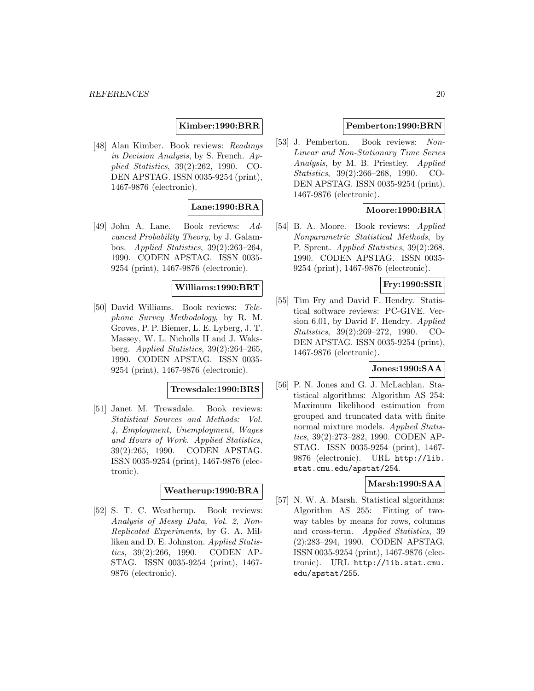### **Kimber:1990:BRR**

[48] Alan Kimber. Book reviews: Readings in Decision Analysis, by S. French. Applied Statistics, 39(2):262, 1990. CO-DEN APSTAG. ISSN 0035-9254 (print), 1467-9876 (electronic).

#### **Lane:1990:BRA**

[49] John A. Lane. Book reviews: Advanced Probability Theory, by J. Galambos. Applied Statistics, 39(2):263–264, 1990. CODEN APSTAG. ISSN 0035- 9254 (print), 1467-9876 (electronic).

### **Williams:1990:BRT**

[50] David Williams. Book reviews: Telephone Survey Methodology, by R. M. Groves, P. P. Biemer, L. E. Lyberg, J. T. Massey, W. L. Nicholls II and J. Waksberg. Applied Statistics, 39(2):264–265, 1990. CODEN APSTAG. ISSN 0035- 9254 (print), 1467-9876 (electronic).

#### **Trewsdale:1990:BRS**

[51] Janet M. Trewsdale. Book reviews: Statistical Sources and Methods: Vol. 4, Employment, Unemployment, Wages and Hours of Work. Applied Statistics, 39(2):265, 1990. CODEN APSTAG. ISSN 0035-9254 (print), 1467-9876 (electronic).

# **Weatherup:1990:BRA**

[52] S. T. C. Weatherup. Book reviews: Analysis of Messy Data, Vol. 2, Non-Replicated Experiments, by G. A. Milliken and D. E. Johnston. Applied Statistics, 39(2):266, 1990. CODEN AP-STAG. ISSN 0035-9254 (print), 1467- 9876 (electronic).

#### **Pemberton:1990:BRN**

[53] J. Pemberton. Book reviews: Non-Linear and Non-Stationary Time Series Analysis, by M. B. Priestley. Applied Statistics, 39(2):266–268, 1990. CO-DEN APSTAG. ISSN 0035-9254 (print), 1467-9876 (electronic).

### **Moore:1990:BRA**

[54] B. A. Moore. Book reviews: Applied Nonparametric Statistical Methods, by P. Sprent. *Applied Statistics*, 39(2):268, 1990. CODEN APSTAG. ISSN 0035- 9254 (print), 1467-9876 (electronic).

#### **Fry:1990:SSR**

[55] Tim Fry and David F. Hendry. Statistical software reviews: PC-GIVE. Version 6.01, by David F. Hendry. Applied Statistics, 39(2):269–272, 1990. CO-DEN APSTAG. ISSN 0035-9254 (print), 1467-9876 (electronic).

#### **Jones:1990:SAA**

[56] P. N. Jones and G. J. McLachlan. Statistical algorithms: Algorithm AS 254: Maximum likelihood estimation from grouped and truncated data with finite normal mixture models. Applied Statistics, 39(2):273–282, 1990. CODEN AP-STAG. ISSN 0035-9254 (print), 1467- 9876 (electronic). URL http://lib. stat.cmu.edu/apstat/254.

#### **Marsh:1990:SAA**

[57] N. W. A. Marsh. Statistical algorithms: Algorithm AS 255: Fitting of twoway tables by means for rows, columns and cross-term. Applied Statistics, 39 (2):283–294, 1990. CODEN APSTAG. ISSN 0035-9254 (print), 1467-9876 (electronic). URL http://lib.stat.cmu. edu/apstat/255.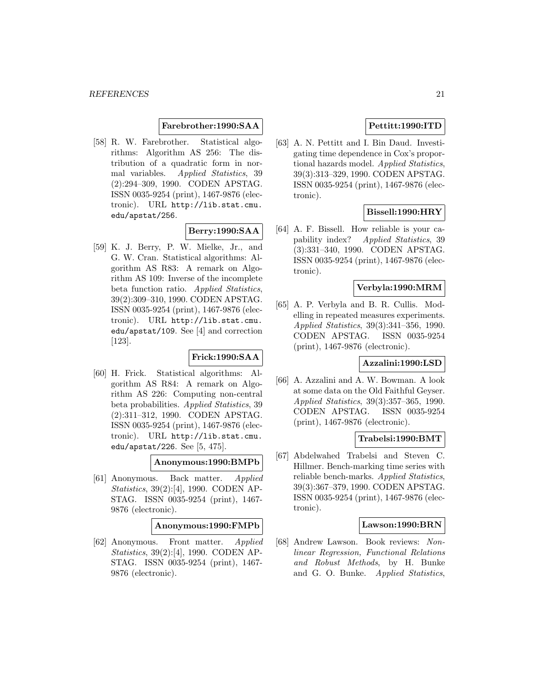### **Farebrother:1990:SAA**

[58] R. W. Farebrother. Statistical algorithms: Algorithm AS 256: The distribution of a quadratic form in normal variables. Applied Statistics, 39 (2):294–309, 1990. CODEN APSTAG. ISSN 0035-9254 (print), 1467-9876 (electronic). URL http://lib.stat.cmu. edu/apstat/256.

# **Berry:1990:SAA**

[59] K. J. Berry, P. W. Mielke, Jr., and G. W. Cran. Statistical algorithms: Algorithm AS R83: A remark on Algorithm AS 109: Inverse of the incomplete beta function ratio. Applied Statistics, 39(2):309–310, 1990. CODEN APSTAG. ISSN 0035-9254 (print), 1467-9876 (electronic). URL http://lib.stat.cmu. edu/apstat/109. See [4] and correction [123].

#### **Frick:1990:SAA**

[60] H. Frick. Statistical algorithms: Algorithm AS R84: A remark on Algorithm AS 226: Computing non-central beta probabilities. Applied Statistics, 39 (2):311–312, 1990. CODEN APSTAG. ISSN 0035-9254 (print), 1467-9876 (electronic). URL http://lib.stat.cmu. edu/apstat/226. See [5, 475].

#### **Anonymous:1990:BMPb**

[61] Anonymous. Back matter. Applied Statistics, 39(2):[4], 1990. CODEN AP-STAG. ISSN 0035-9254 (print), 1467- 9876 (electronic).

# **Anonymous:1990:FMPb**

[62] Anonymous. Front matter. Applied Statistics, 39(2):[4], 1990. CODEN AP-STAG. ISSN 0035-9254 (print), 1467- 9876 (electronic).

# **Pettitt:1990:ITD**

[63] A. N. Pettitt and I. Bin Daud. Investigating time dependence in Cox's proportional hazards model. Applied Statistics, 39(3):313–329, 1990. CODEN APSTAG. ISSN 0035-9254 (print), 1467-9876 (electronic).

### **Bissell:1990:HRY**

[64] A. F. Bissell. How reliable is your capability index? Applied Statistics, 39 (3):331–340, 1990. CODEN APSTAG. ISSN 0035-9254 (print), 1467-9876 (electronic).

### **Verbyla:1990:MRM**

[65] A. P. Verbyla and B. R. Cullis. Modelling in repeated measures experiments. Applied Statistics, 39(3):341–356, 1990. CODEN APSTAG. ISSN 0035-9254 (print), 1467-9876 (electronic).

#### **Azzalini:1990:LSD**

[66] A. Azzalini and A. W. Bowman. A look at some data on the Old Faithful Geyser. Applied Statistics, 39(3):357–365, 1990. CODEN APSTAG. ISSN 0035-9254 (print), 1467-9876 (electronic).

#### **Trabelsi:1990:BMT**

[67] Abdelwahed Trabelsi and Steven C. Hillmer. Bench-marking time series with reliable bench-marks. Applied Statistics, 39(3):367–379, 1990. CODEN APSTAG. ISSN 0035-9254 (print), 1467-9876 (electronic).

#### **Lawson:1990:BRN**

[68] Andrew Lawson. Book reviews: Nonlinear Regression, Functional Relations and Robust Methods, by H. Bunke and G. O. Bunke. Applied Statistics,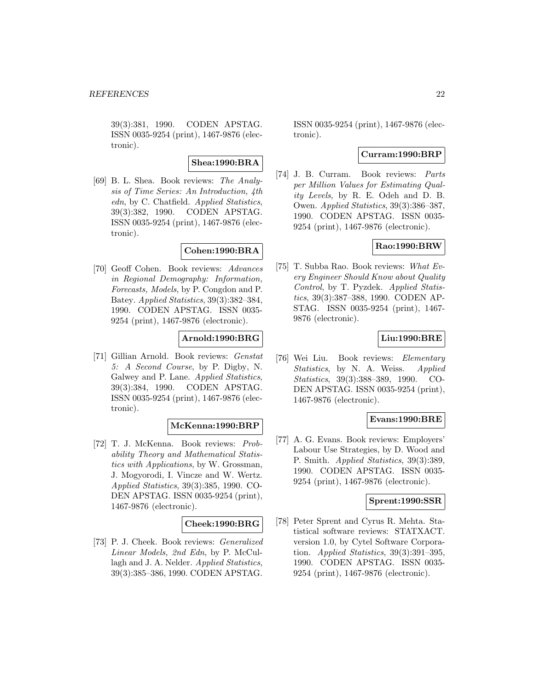39(3):381, 1990. CODEN APSTAG. ISSN 0035-9254 (print), 1467-9876 (electronic).

### **Shea:1990:BRA**

[69] B. L. Shea. Book reviews: The Analysis of Time Series: An Introduction, 4th edn, by C. Chatfield. Applied Statistics, 39(3):382, 1990. CODEN APSTAG. ISSN 0035-9254 (print), 1467-9876 (electronic).

### **Cohen:1990:BRA**

[70] Geoff Cohen. Book reviews: Advances in Regional Demography: Information, Forecasts, Models, by P. Congdon and P. Batey. Applied Statistics, 39(3):382–384, 1990. CODEN APSTAG. ISSN 0035- 9254 (print), 1467-9876 (electronic).

# **Arnold:1990:BRG**

[71] Gillian Arnold. Book reviews: Genstat 5: A Second Course, by P. Digby, N. Galwey and P. Lane. Applied Statistics, 39(3):384, 1990. CODEN APSTAG. ISSN 0035-9254 (print), 1467-9876 (electronic).

### **McKenna:1990:BRP**

[72] T. J. McKenna. Book reviews: Probability Theory and Mathematical Statistics with Applications, by W. Grossman, J. Mogyorodi, I. Vincze and W. Wertz. Applied Statistics, 39(3):385, 1990. CO-DEN APSTAG. ISSN 0035-9254 (print), 1467-9876 (electronic).

### **Cheek:1990:BRG**

[73] P. J. Cheek. Book reviews: Generalized Linear Models, 2nd Edn, by P. McCullagh and J. A. Nelder. Applied Statistics, 39(3):385–386, 1990. CODEN APSTAG.

ISSN 0035-9254 (print), 1467-9876 (electronic).

#### **Curram:1990:BRP**

[74] J. B. Curram. Book reviews: Parts per Million Values for Estimating Quality Levels, by R. E. Odeh and D. B. Owen. Applied Statistics, 39(3):386–387, 1990. CODEN APSTAG. ISSN 0035- 9254 (print), 1467-9876 (electronic).

# **Rao:1990:BRW**

[75] T. Subba Rao. Book reviews: What Every Engineer Should Know about Quality Control, by T. Pyzdek. Applied Statistics, 39(3):387–388, 1990. CODEN AP-STAG. ISSN 0035-9254 (print), 1467- 9876 (electronic).

### **Liu:1990:BRE**

[76] Wei Liu. Book reviews: Elementary Statistics, by N. A. Weiss. Applied Statistics, 39(3):388–389, 1990. CO-DEN APSTAG. ISSN 0035-9254 (print), 1467-9876 (electronic).

#### **Evans:1990:BRE**

[77] A. G. Evans. Book reviews: Employers' Labour Use Strategies, by D. Wood and P. Smith. Applied Statistics, 39(3):389, 1990. CODEN APSTAG. ISSN 0035- 9254 (print), 1467-9876 (electronic).

#### **Sprent:1990:SSR**

[78] Peter Sprent and Cyrus R. Mehta. Statistical software reviews: STATXACT. version 1.0, by Cytel Software Corporation. Applied Statistics, 39(3):391–395, 1990. CODEN APSTAG. ISSN 0035- 9254 (print), 1467-9876 (electronic).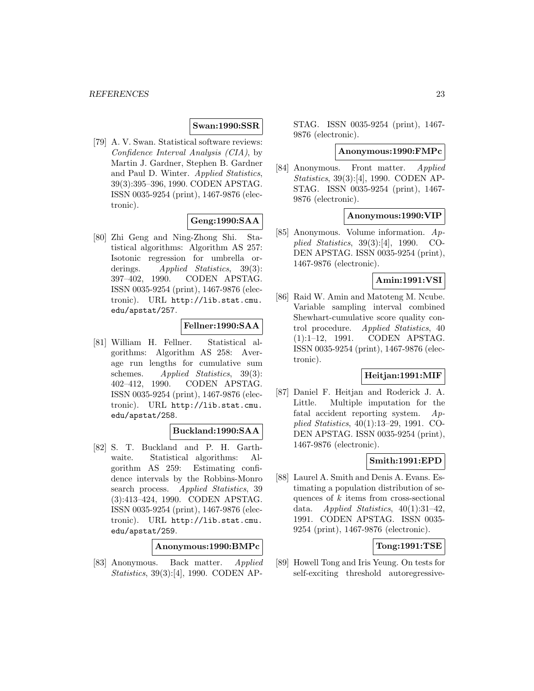### **Swan:1990:SSR**

[79] A. V. Swan. Statistical software reviews: Confidence Interval Analysis (CIA), by Martin J. Gardner, Stephen B. Gardner and Paul D. Winter. Applied Statistics, 39(3):395–396, 1990. CODEN APSTAG. ISSN 0035-9254 (print), 1467-9876 (electronic).

### **Geng:1990:SAA**

[80] Zhi Geng and Ning-Zhong Shi. Statistical algorithms: Algorithm AS 257: Isotonic regression for umbrella orderings. Applied Statistics, 39(3): 397–402, 1990. CODEN APSTAG. ISSN 0035-9254 (print), 1467-9876 (electronic). URL http://lib.stat.cmu. edu/apstat/257.

# **Fellner:1990:SAA**

[81] William H. Fellner. Statistical algorithms: Algorithm AS 258: Average run lengths for cumulative sum schemes. Applied Statistics, 39(3): 402–412, 1990. CODEN APSTAG. ISSN 0035-9254 (print), 1467-9876 (electronic). URL http://lib.stat.cmu. edu/apstat/258.

### **Buckland:1990:SAA**

[82] S. T. Buckland and P. H. Garthwaite. Statistical algorithms: Algorithm AS 259: Estimating confidence intervals by the Robbins-Monro search process. Applied Statistics, 39 (3):413–424, 1990. CODEN APSTAG. ISSN 0035-9254 (print), 1467-9876 (electronic). URL http://lib.stat.cmu. edu/apstat/259.

### **Anonymous:1990:BMPc**

[83] Anonymous. Back matter. Applied Statistics, 39(3):[4], 1990. CODEN AP-

STAG. ISSN 0035-9254 (print), 1467- 9876 (electronic).

#### **Anonymous:1990:FMPc**

[84] Anonymous. Front matter. Applied Statistics, 39(3):[4], 1990. CODEN AP-STAG. ISSN 0035-9254 (print), 1467- 9876 (electronic).

#### **Anonymous:1990:VIP**

[85] Anonymous. Volume information. Applied Statistics, 39(3):[4], 1990. CO-DEN APSTAG. ISSN 0035-9254 (print), 1467-9876 (electronic).

### **Amin:1991:VSI**

[86] Raid W. Amin and Matoteng M. Ncube. Variable sampling interval combined Shewhart-cumulative score quality control procedure. Applied Statistics, 40 (1):1–12, 1991. CODEN APSTAG. ISSN 0035-9254 (print), 1467-9876 (electronic).

#### **Heitjan:1991:MIF**

[87] Daniel F. Heitjan and Roderick J. A. Little. Multiple imputation for the fatal accident reporting system. Applied Statistics, 40(1):13–29, 1991. CO-DEN APSTAG. ISSN 0035-9254 (print), 1467-9876 (electronic).

### **Smith:1991:EPD**

[88] Laurel A. Smith and Denis A. Evans. Estimating a population distribution of sequences of  $k$  items from cross-sectional data. Applied Statistics,  $40(1):31-42$ , 1991. CODEN APSTAG. ISSN 0035- 9254 (print), 1467-9876 (electronic).

# **Tong:1991:TSE**

[89] Howell Tong and Iris Yeung. On tests for self-exciting threshold autoregressive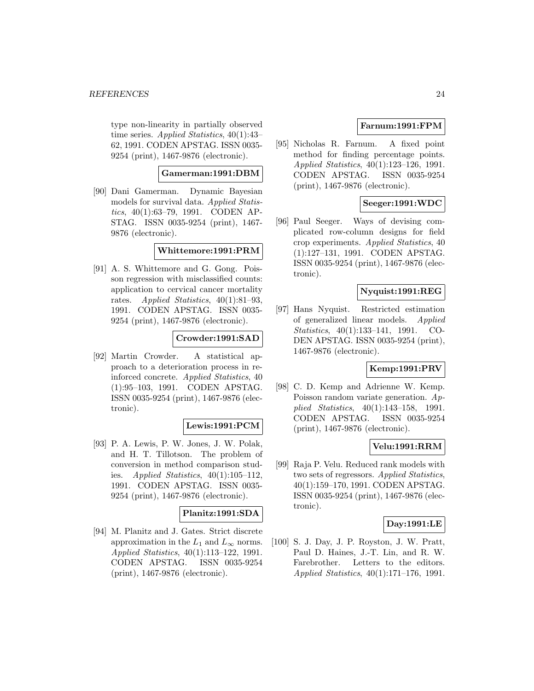type non-linearity in partially observed time series. Applied Statistics, 40(1):43– 62, 1991. CODEN APSTAG. ISSN 0035- 9254 (print), 1467-9876 (electronic).

# **Gamerman:1991:DBM**

[90] Dani Gamerman. Dynamic Bayesian models for survival data. Applied Statistics, 40(1):63–79, 1991. CODEN AP-STAG. ISSN 0035-9254 (print), 1467- 9876 (electronic).

### **Whittemore:1991:PRM**

[91] A. S. Whittemore and G. Gong. Poisson regression with misclassified counts: application to cervical cancer mortality rates. Applied Statistics, 40(1):81–93, 1991. CODEN APSTAG. ISSN 0035- 9254 (print), 1467-9876 (electronic).

### **Crowder:1991:SAD**

[92] Martin Crowder. A statistical approach to a deterioration process in reinforced concrete. Applied Statistics, 40 (1):95–103, 1991. CODEN APSTAG. ISSN 0035-9254 (print), 1467-9876 (electronic).

### **Lewis:1991:PCM**

[93] P. A. Lewis, P. W. Jones, J. W. Polak, and H. T. Tillotson. The problem of conversion in method comparison studies. Applied Statistics,  $40(1):105-112$ , 1991. CODEN APSTAG. ISSN 0035- 9254 (print), 1467-9876 (electronic).

### **Planitz:1991:SDA**

[94] M. Planitz and J. Gates. Strict discrete approximation in the  $L_1$  and  $L_{\infty}$  norms. Applied Statistics, 40(1):113–122, 1991. CODEN APSTAG. ISSN 0035-9254 (print), 1467-9876 (electronic).

# **Farnum:1991:FPM**

[95] Nicholas R. Farnum. A fixed point method for finding percentage points. Applied Statistics, 40(1):123–126, 1991. CODEN APSTAG. ISSN 0035-9254 (print), 1467-9876 (electronic).

### **Seeger:1991:WDC**

[96] Paul Seeger. Ways of devising complicated row-column designs for field crop experiments. Applied Statistics, 40 (1):127–131, 1991. CODEN APSTAG. ISSN 0035-9254 (print), 1467-9876 (electronic).

### **Nyquist:1991:REG**

[97] Hans Nyquist. Restricted estimation of generalized linear models. Applied Statistics, 40(1):133–141, 1991. CO-DEN APSTAG. ISSN 0035-9254 (print), 1467-9876 (electronic).

# **Kemp:1991:PRV**

[98] C. D. Kemp and Adrienne W. Kemp. Poisson random variate generation. Applied Statistics, 40(1):143–158, 1991. CODEN APSTAG. ISSN 0035-9254 (print), 1467-9876 (electronic).

# **Velu:1991:RRM**

[99] Raja P. Velu. Reduced rank models with two sets of regressors. Applied Statistics, 40(1):159–170, 1991. CODEN APSTAG. ISSN 0035-9254 (print), 1467-9876 (electronic).

#### **Day:1991:LE**

[100] S. J. Day, J. P. Royston, J. W. Pratt, Paul D. Haines, J.-T. Lin, and R. W. Farebrother. Letters to the editors. Applied Statistics, 40(1):171–176, 1991.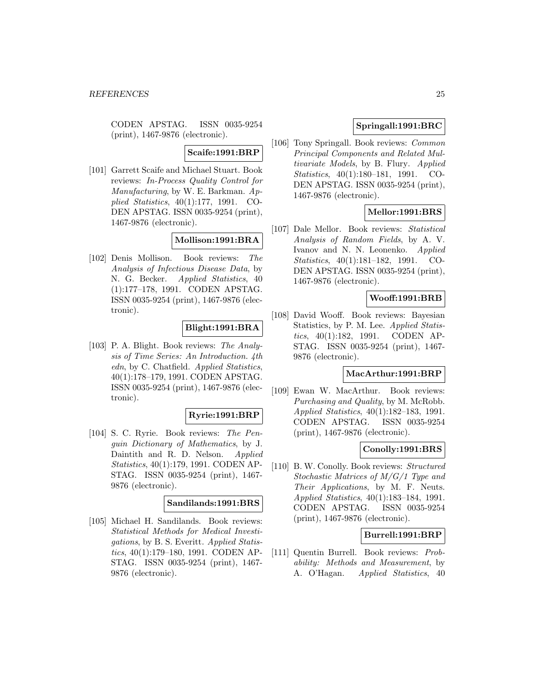CODEN APSTAG. ISSN 0035-9254 (print), 1467-9876 (electronic).

# **Scaife:1991:BRP**

[101] Garrett Scaife and Michael Stuart. Book reviews: In-Process Quality Control for Manufacturing, by W. E. Barkman. Applied Statistics, 40(1):177, 1991. CO-DEN APSTAG. ISSN 0035-9254 (print), 1467-9876 (electronic).

# **Mollison:1991:BRA**

[102] Denis Mollison. Book reviews: The Analysis of Infectious Disease Data, by N. G. Becker. Applied Statistics, 40 (1):177–178, 1991. CODEN APSTAG. ISSN 0035-9254 (print), 1467-9876 (electronic).

### **Blight:1991:BRA**

[103] P. A. Blight. Book reviews: The Analysis of Time Series: An Introduction. 4th edn, by C. Chatfield. Applied Statistics, 40(1):178–179, 1991. CODEN APSTAG. ISSN 0035-9254 (print), 1467-9876 (electronic).

#### **Ryrie:1991:BRP**

[104] S. C. Ryrie. Book reviews: The Penguin Dictionary of Mathematics, by J. Daintith and R. D. Nelson. Applied Statistics, 40(1):179, 1991. CODEN AP-STAG. ISSN 0035-9254 (print), 1467- 9876 (electronic).

# **Sandilands:1991:BRS**

[105] Michael H. Sandilands. Book reviews: Statistical Methods for Medical Investigations, by B. S. Everitt. Applied Statistics, 40(1):179–180, 1991. CODEN AP-STAG. ISSN 0035-9254 (print), 1467- 9876 (electronic).

# **Springall:1991:BRC**

[106] Tony Springall. Book reviews: Common Principal Components and Related Multivariate Models, by B. Flury. Applied Statistics, 40(1):180–181, 1991. CO-DEN APSTAG. ISSN 0035-9254 (print), 1467-9876 (electronic).

# **Mellor:1991:BRS**

[107] Dale Mellor. Book reviews: Statistical Analysis of Random Fields, by A. V. Ivanov and N. N. Leonenko. Applied Statistics, 40(1):181–182, 1991. CO-DEN APSTAG. ISSN 0035-9254 (print), 1467-9876 (electronic).

#### **Wooff:1991:BRB**

[108] David Wooff. Book reviews: Bayesian Statistics, by P. M. Lee. Applied Statistics, 40(1):182, 1991. CODEN AP-STAG. ISSN 0035-9254 (print), 1467- 9876 (electronic).

#### **MacArthur:1991:BRP**

[109] Ewan W. MacArthur. Book reviews: Purchasing and Quality, by M. McRobb. Applied Statistics, 40(1):182–183, 1991. CODEN APSTAG. ISSN 0035-9254 (print), 1467-9876 (electronic).

### **Conolly:1991:BRS**

[110] B. W. Conolly. Book reviews: Structured Stochastic Matrices of M/G/1 Type and Their Applications, by M. F. Neuts. Applied Statistics, 40(1):183–184, 1991. CODEN APSTAG. ISSN 0035-9254 (print), 1467-9876 (electronic).

### **Burrell:1991:BRP**

[111] Quentin Burrell. Book reviews: Probability: Methods and Measurement, by A. O'Hagan. *Applied Statistics*, 40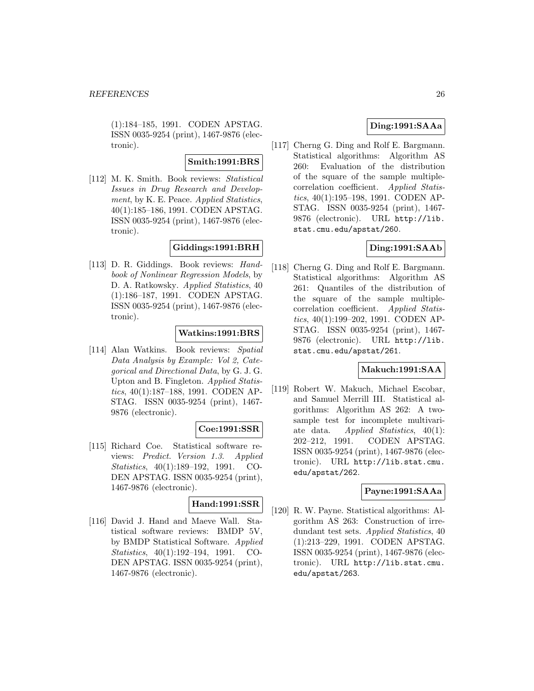(1):184–185, 1991. CODEN APSTAG. ISSN 0035-9254 (print), 1467-9876 (electronic).

### **Smith:1991:BRS**

[112] M. K. Smith. Book reviews: Statistical Issues in Drug Research and Development, by K. E. Peace. Applied Statistics, 40(1):185–186, 1991. CODEN APSTAG. ISSN 0035-9254 (print), 1467-9876 (electronic).

# **Giddings:1991:BRH**

[113] D. R. Giddings. Book reviews: Handbook of Nonlinear Regression Models, by D. A. Ratkowsky. Applied Statistics, 40 (1):186–187, 1991. CODEN APSTAG. ISSN 0035-9254 (print), 1467-9876 (electronic).

### **Watkins:1991:BRS**

[114] Alan Watkins. Book reviews: Spatial Data Analysis by Example: Vol 2, Categorical and Directional Data, by G. J. G. Upton and B. Fingleton. Applied Statistics, 40(1):187–188, 1991. CODEN AP-STAG. ISSN 0035-9254 (print), 1467- 9876 (electronic).

### **Coe:1991:SSR**

[115] Richard Coe. Statistical software reviews: Predict. Version 1.3. Applied Statistics, 40(1):189–192, 1991. CO-DEN APSTAG. ISSN 0035-9254 (print), 1467-9876 (electronic).

# **Hand:1991:SSR**

[116] David J. Hand and Maeve Wall. Statistical software reviews: BMDP 5V, by BMDP Statistical Software. Applied Statistics, 40(1):192–194, 1991. CO-DEN APSTAG. ISSN 0035-9254 (print), 1467-9876 (electronic).

# **Ding:1991:SAAa**

[117] Cherng G. Ding and Rolf E. Bargmann. Statistical algorithms: Algorithm AS 260: Evaluation of the distribution of the square of the sample multiplecorrelation coefficient. Applied Statistics, 40(1):195–198, 1991. CODEN AP-STAG. ISSN 0035-9254 (print), 1467- 9876 (electronic). URL http://lib. stat.cmu.edu/apstat/260.

### **Ding:1991:SAAb**

[118] Cherng G. Ding and Rolf E. Bargmann. Statistical algorithms: Algorithm AS 261: Quantiles of the distribution of the square of the sample multiplecorrelation coefficient. Applied Statistics, 40(1):199–202, 1991. CODEN AP-STAG. ISSN 0035-9254 (print), 1467- 9876 (electronic). URL http://lib. stat.cmu.edu/apstat/261.

# **Makuch:1991:SAA**

[119] Robert W. Makuch, Michael Escobar, and Samuel Merrill III. Statistical algorithms: Algorithm AS 262: A twosample test for incomplete multivariate data. Applied Statistics,  $40(1)$ : 202–212, 1991. CODEN APSTAG. ISSN 0035-9254 (print), 1467-9876 (electronic). URL http://lib.stat.cmu. edu/apstat/262.

#### **Payne:1991:SAAa**

[120] R. W. Payne. Statistical algorithms: Algorithm AS 263: Construction of irredundant test sets. Applied Statistics, 40 (1):213–229, 1991. CODEN APSTAG. ISSN 0035-9254 (print), 1467-9876 (electronic). URL http://lib.stat.cmu. edu/apstat/263.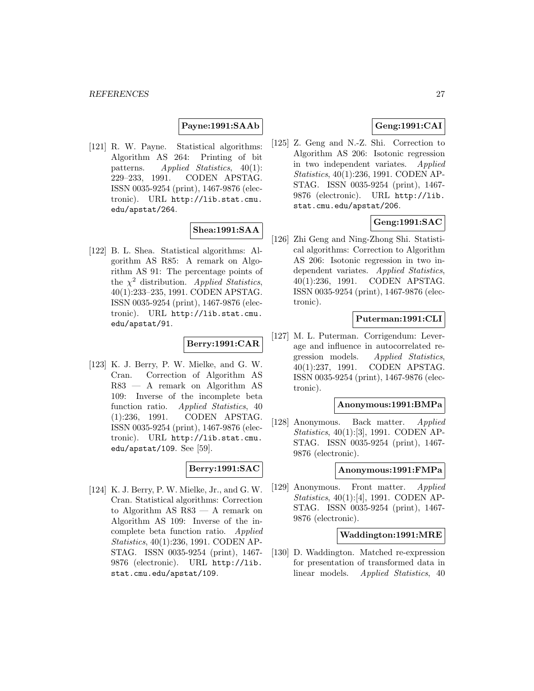### **Payne:1991:SAAb**

[121] R. W. Payne. Statistical algorithms: Algorithm AS 264: Printing of bit patterns. Applied Statistics, 40(1): 229–233, 1991. CODEN APSTAG. ISSN 0035-9254 (print), 1467-9876 (electronic). URL http://lib.stat.cmu. edu/apstat/264.

# **Shea:1991:SAA**

[122] B. L. Shea. Statistical algorithms: Algorithm AS R85: A remark on Algorithm AS 91: The percentage points of the  $\chi^2$  distribution. Applied Statistics, 40(1):233–235, 1991. CODEN APSTAG. ISSN 0035-9254 (print), 1467-9876 (electronic). URL http://lib.stat.cmu. edu/apstat/91.

### **Berry:1991:CAR**

[123] K. J. Berry, P. W. Mielke, and G. W. Cran. Correction of Algorithm AS R83 — A remark on Algorithm AS 109: Inverse of the incomplete beta function ratio. Applied Statistics, 40 (1):236, 1991. CODEN APSTAG. ISSN 0035-9254 (print), 1467-9876 (electronic). URL http://lib.stat.cmu. edu/apstat/109. See [59].

### **Berry:1991:SAC**

[124] K. J. Berry, P. W. Mielke, Jr., and G. W. Cran. Statistical algorithms: Correction to Algorithm AS R83 — A remark on Algorithm AS 109: Inverse of the incomplete beta function ratio. Applied Statistics, 40(1):236, 1991. CODEN AP-STAG. ISSN 0035-9254 (print), 1467- 9876 (electronic). URL http://lib. stat.cmu.edu/apstat/109.

# **Geng:1991:CAI**

[125] Z. Geng and N.-Z. Shi. Correction to Algorithm AS 206: Isotonic regression in two independent variates. Applied Statistics, 40(1):236, 1991. CODEN AP-STAG. ISSN 0035-9254 (print), 1467- 9876 (electronic). URL http://lib. stat.cmu.edu/apstat/206.

# **Geng:1991:SAC**

[126] Zhi Geng and Ning-Zhong Shi. Statistical algorithms: Correction to Algorithm AS 206: Isotonic regression in two independent variates. Applied Statistics, 40(1):236, 1991. CODEN APSTAG. ISSN 0035-9254 (print), 1467-9876 (electronic).

### **Puterman:1991:CLI**

[127] M. L. Puterman. Corrigendum: Leverage and influence in autocorrelated regression models. Applied Statistics, 40(1):237, 1991. CODEN APSTAG. ISSN 0035-9254 (print), 1467-9876 (electronic).

#### **Anonymous:1991:BMPa**

[128] Anonymous. Back matter. Applied Statistics, 40(1):[3], 1991. CODEN AP-STAG. ISSN 0035-9254 (print), 1467- 9876 (electronic).

#### **Anonymous:1991:FMPa**

[129] Anonymous. Front matter. Applied Statistics, 40(1):[4], 1991. CODEN AP-STAG. ISSN 0035-9254 (print), 1467- 9876 (electronic).

# **Waddington:1991:MRE**

[130] D. Waddington. Matched re-expression for presentation of transformed data in linear models. Applied Statistics, 40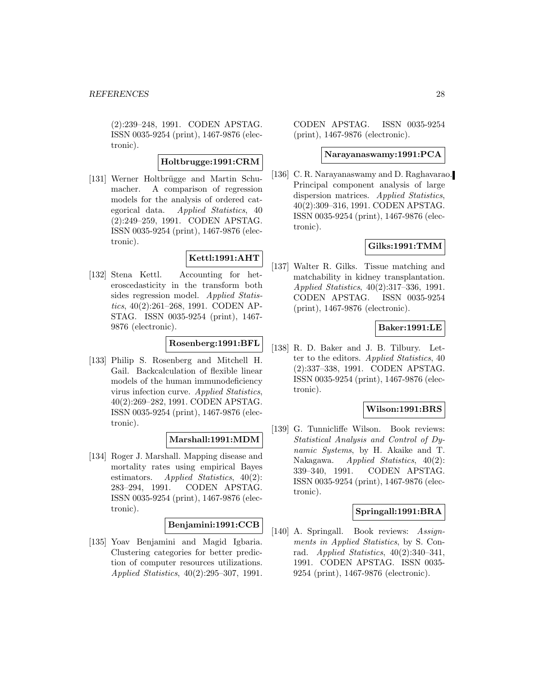(2):239–248, 1991. CODEN APSTAG. ISSN 0035-9254 (print), 1467-9876 (electronic).

# **Holtbrugge:1991:CRM**

[131] Werner Holtbrügge and Martin Schumacher. A comparison of regression models for the analysis of ordered categorical data. Applied Statistics, 40 (2):249–259, 1991. CODEN APSTAG. ISSN 0035-9254 (print), 1467-9876 (electronic).

# **Kettl:1991:AHT**

[132] Stena Kettl. Accounting for heteroscedasticity in the transform both sides regression model. Applied Statistics, 40(2):261–268, 1991. CODEN AP-STAG. ISSN 0035-9254 (print), 1467- 9876 (electronic).

# **Rosenberg:1991:BFL**

[133] Philip S. Rosenberg and Mitchell H. Gail. Backcalculation of flexible linear models of the human immunodeficiency virus infection curve. Applied Statistics, 40(2):269–282, 1991. CODEN APSTAG. ISSN 0035-9254 (print), 1467-9876 (electronic).

# **Marshall:1991:MDM**

[134] Roger J. Marshall. Mapping disease and mortality rates using empirical Bayes estimators. Applied Statistics, 40(2): 283–294, 1991. CODEN APSTAG. ISSN 0035-9254 (print), 1467-9876 (electronic).

### **Benjamini:1991:CCB**

[135] Yoav Benjamini and Magid Igbaria. Clustering categories for better prediction of computer resources utilizations. Applied Statistics, 40(2):295–307, 1991. CODEN APSTAG. ISSN 0035-9254 (print), 1467-9876 (electronic).

#### **Narayanaswamy:1991:PCA**

[136] C. R. Narayanaswamy and D. Raghavarao. Principal component analysis of large dispersion matrices. Applied Statistics, 40(2):309–316, 1991. CODEN APSTAG. ISSN 0035-9254 (print), 1467-9876 (electronic).

# **Gilks:1991:TMM**

[137] Walter R. Gilks. Tissue matching and matchability in kidney transplantation. Applied Statistics, 40(2):317–336, 1991. CODEN APSTAG. ISSN 0035-9254 (print), 1467-9876 (electronic).

### **Baker:1991:LE**

[138] R. D. Baker and J. B. Tilbury. Letter to the editors. Applied Statistics, 40 (2):337–338, 1991. CODEN APSTAG. ISSN 0035-9254 (print), 1467-9876 (electronic).

### **Wilson:1991:BRS**

[139] G. Tunnicliffe Wilson. Book reviews: Statistical Analysis and Control of Dynamic Systems, by H. Akaike and T. Nakagawa. Applied Statistics, 40(2): 339–340, 1991. CODEN APSTAG. ISSN 0035-9254 (print), 1467-9876 (electronic).

### **Springall:1991:BRA**

[140] A. Springall. Book reviews: Assignments in Applied Statistics, by S. Conrad. Applied Statistics, 40(2):340–341, 1991. CODEN APSTAG. ISSN 0035- 9254 (print), 1467-9876 (electronic).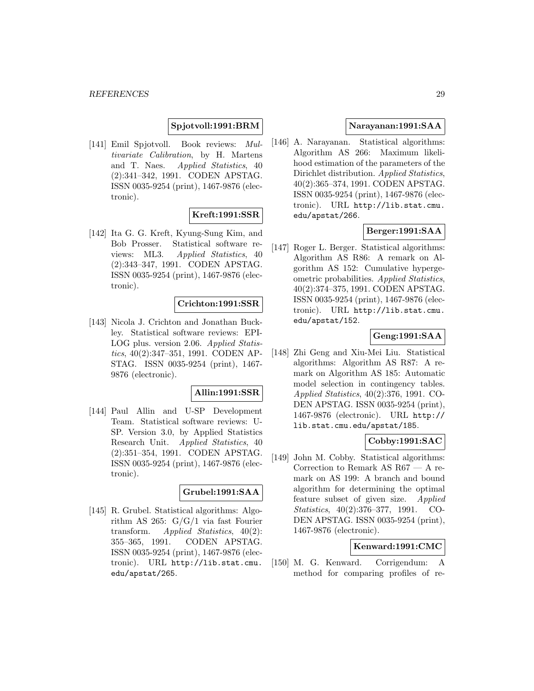# **Spjotvoll:1991:BRM**

[141] Emil Spjotvoll. Book reviews: Multivariate Calibration, by H. Martens and T. Naes. Applied Statistics, 40 (2):341–342, 1991. CODEN APSTAG. ISSN 0035-9254 (print), 1467-9876 (electronic).

# **Kreft:1991:SSR**

[142] Ita G. G. Kreft, Kyung-Sung Kim, and Bob Prosser. Statistical software reviews: ML3. Applied Statistics, 40 (2):343–347, 1991. CODEN APSTAG. ISSN 0035-9254 (print), 1467-9876 (electronic).

### **Crichton:1991:SSR**

[143] Nicola J. Crichton and Jonathan Buckley. Statistical software reviews: EPI-LOG plus. version 2.06. Applied Statistics, 40(2):347–351, 1991. CODEN AP-STAG. ISSN 0035-9254 (print), 1467- 9876 (electronic).

# **Allin:1991:SSR**

[144] Paul Allin and U-SP Development Team. Statistical software reviews: U-SP. Version 3.0, by Applied Statistics Research Unit. Applied Statistics, 40 (2):351–354, 1991. CODEN APSTAG. ISSN 0035-9254 (print), 1467-9876 (electronic).

#### **Grubel:1991:SAA**

[145] R. Grubel. Statistical algorithms: Algorithm AS 265: G/G/1 via fast Fourier transform. Applied Statistics, 40(2): 355–365, 1991. CODEN APSTAG. ISSN 0035-9254 (print), 1467-9876 (electronic). URL http://lib.stat.cmu. edu/apstat/265.

### **Narayanan:1991:SAA**

[146] A. Narayanan. Statistical algorithms: Algorithm AS 266: Maximum likelihood estimation of the parameters of the Dirichlet distribution. Applied Statistics, 40(2):365–374, 1991. CODEN APSTAG. ISSN 0035-9254 (print), 1467-9876 (electronic). URL http://lib.stat.cmu. edu/apstat/266.

# **Berger:1991:SAA**

[147] Roger L. Berger. Statistical algorithms: Algorithm AS R86: A remark on Algorithm AS 152: Cumulative hypergeometric probabilities. Applied Statistics, 40(2):374–375, 1991. CODEN APSTAG. ISSN 0035-9254 (print), 1467-9876 (electronic). URL http://lib.stat.cmu. edu/apstat/152.

# **Geng:1991:SAA**

[148] Zhi Geng and Xiu-Mei Liu. Statistical algorithms: Algorithm AS R87: A remark on Algorithm AS 185: Automatic model selection in contingency tables. Applied Statistics, 40(2):376, 1991. CO-DEN APSTAG. ISSN 0035-9254 (print), 1467-9876 (electronic). URL http:// lib.stat.cmu.edu/apstat/185.

### **Cobby:1991:SAC**

[149] John M. Cobby. Statistical algorithms: Correction to Remark AS R67 — A remark on AS 199: A branch and bound algorithm for determining the optimal feature subset of given size. Applied Statistics, 40(2):376–377, 1991. CO-DEN APSTAG. ISSN 0035-9254 (print), 1467-9876 (electronic).

# **Kenward:1991:CMC**

[150] M. G. Kenward. Corrigendum: A method for comparing profiles of re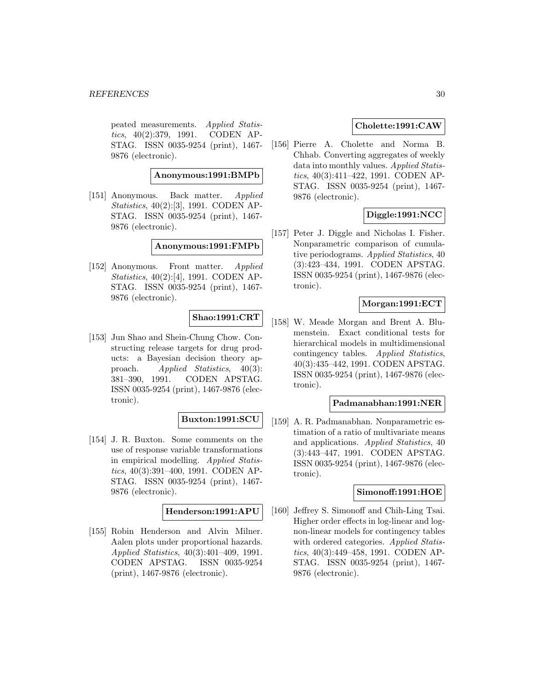peated measurements. Applied Statistics, 40(2):379, 1991. CODEN AP-STAG. ISSN 0035-9254 (print), 1467- 9876 (electronic).

**Anonymous:1991:BMPb**

[151] Anonymous. Back matter. Applied Statistics, 40(2):[3], 1991. CODEN AP-STAG. ISSN 0035-9254 (print), 1467- 9876 (electronic).

**Anonymous:1991:FMPb**

[152] Anonymous. Front matter. Applied Statistics, 40(2):[4], 1991. CODEN AP-STAG. ISSN 0035-9254 (print), 1467- 9876 (electronic).

# **Shao:1991:CRT**

[153] Jun Shao and Shein-Chung Chow. Constructing release targets for drug products: a Bayesian decision theory approach. Applied Statistics, 40(3): 381–390, 1991. CODEN APSTAG. ISSN 0035-9254 (print), 1467-9876 (electronic).

### **Buxton:1991:SCU**

[154] J. R. Buxton. Some comments on the use of response variable transformations in empirical modelling. Applied Statistics, 40(3):391–400, 1991. CODEN AP-STAG. ISSN 0035-9254 (print), 1467- 9876 (electronic).

**Henderson:1991:APU**

[155] Robin Henderson and Alvin Milner. Aalen plots under proportional hazards. Applied Statistics, 40(3):401–409, 1991. CODEN APSTAG. ISSN 0035-9254 (print), 1467-9876 (electronic).

# **Cholette:1991:CAW**

[156] Pierre A. Cholette and Norma B. Chhab. Converting aggregates of weekly data into monthly values. Applied Statistics, 40(3):411–422, 1991. CODEN AP-STAG. ISSN 0035-9254 (print), 1467- 9876 (electronic).

# **Diggle:1991:NCC**

[157] Peter J. Diggle and Nicholas I. Fisher. Nonparametric comparison of cumulative periodograms. Applied Statistics, 40 (3):423–434, 1991. CODEN APSTAG. ISSN 0035-9254 (print), 1467-9876 (electronic).

# **Morgan:1991:ECT**

[158] W. Meade Morgan and Brent A. Blumenstein. Exact conditional tests for hierarchical models in multidimensional contingency tables. Applied Statistics, 40(3):435–442, 1991. CODEN APSTAG. ISSN 0035-9254 (print), 1467-9876 (electronic).

#### **Padmanabhan:1991:NER**

[159] A. R. Padmanabhan. Nonparametric estimation of a ratio of multivariate means and applications. Applied Statistics, 40 (3):443–447, 1991. CODEN APSTAG. ISSN 0035-9254 (print), 1467-9876 (electronic).

#### **Simonoff:1991:HOE**

[160] Jeffrey S. Simonoff and Chih-Ling Tsai. Higher order effects in log-linear and lognon-linear models for contingency tables with ordered categories. Applied Statistics, 40(3):449–458, 1991. CODEN AP-STAG. ISSN 0035-9254 (print), 1467- 9876 (electronic).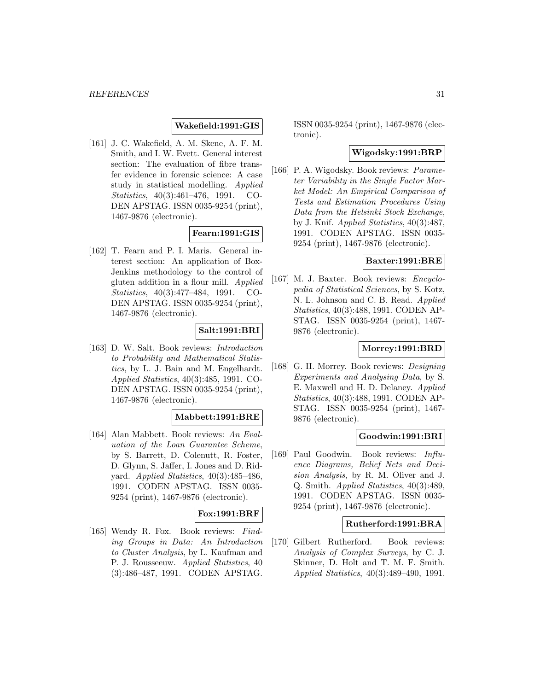# **Wakefield:1991:GIS**

[161] J. C. Wakefield, A. M. Skene, A. F. M. Smith, and I. W. Evett. General interest section: The evaluation of fibre transfer evidence in forensic science: A case study in statistical modelling. Applied Statistics, 40(3):461–476, 1991. CO-DEN APSTAG. ISSN 0035-9254 (print), 1467-9876 (electronic).

# **Fearn:1991:GIS**

[162] T. Fearn and P. I. Maris. General interest section: An application of Box-Jenkins methodology to the control of gluten addition in a flour mill. Applied Statistics, 40(3):477–484, 1991. CO-DEN APSTAG. ISSN 0035-9254 (print), 1467-9876 (electronic).

# **Salt:1991:BRI**

[163] D. W. Salt. Book reviews: Introduction to Probability and Mathematical Statistics, by L. J. Bain and M. Engelhardt. Applied Statistics, 40(3):485, 1991. CO-DEN APSTAG. ISSN 0035-9254 (print), 1467-9876 (electronic).

# **Mabbett:1991:BRE**

[164] Alan Mabbett. Book reviews: An Evaluation of the Loan Guarantee Scheme, by S. Barrett, D. Colenutt, R. Foster, D. Glynn, S. Jaffer, I. Jones and D. Ridyard. Applied Statistics, 40(3):485–486, 1991. CODEN APSTAG. ISSN 0035- 9254 (print), 1467-9876 (electronic).

# **Fox:1991:BRF**

[165] Wendy R. Fox. Book reviews: Finding Groups in Data: An Introduction to Cluster Analysis, by L. Kaufman and P. J. Rousseeuw. Applied Statistics, 40 (3):486–487, 1991. CODEN APSTAG.

ISSN 0035-9254 (print), 1467-9876 (electronic).

### **Wigodsky:1991:BRP**

[166] P. A. Wigodsky. Book reviews: Parameter Variability in the Single Factor Market Model: An Empirical Comparison of Tests and Estimation Procedures Using Data from the Helsinki Stock Exchange, by J. Knif. Applied Statistics, 40(3):487, 1991. CODEN APSTAG. ISSN 0035- 9254 (print), 1467-9876 (electronic).

# **Baxter:1991:BRE**

[167] M. J. Baxter. Book reviews: Encyclopedia of Statistical Sciences, by S. Kotz, N. L. Johnson and C. B. Read. Applied Statistics, 40(3):488, 1991. CODEN AP-STAG. ISSN 0035-9254 (print), 1467- 9876 (electronic).

# **Morrey:1991:BRD**

[168] G. H. Morrey. Book reviews: Designing Experiments and Analysing Data, by S. E. Maxwell and H. D. Delaney. Applied Statistics, 40(3):488, 1991. CODEN AP-STAG. ISSN 0035-9254 (print), 1467- 9876 (electronic).

### **Goodwin:1991:BRI**

[169] Paul Goodwin. Book reviews: Influence Diagrams, Belief Nets and Decision Analysis, by R. M. Oliver and J. Q. Smith. Applied Statistics, 40(3):489, 1991. CODEN APSTAG. ISSN 0035- 9254 (print), 1467-9876 (electronic).

#### **Rutherford:1991:BRA**

[170] Gilbert Rutherford. Book reviews: Analysis of Complex Surveys, by C. J. Skinner, D. Holt and T. M. F. Smith. Applied Statistics, 40(3):489–490, 1991.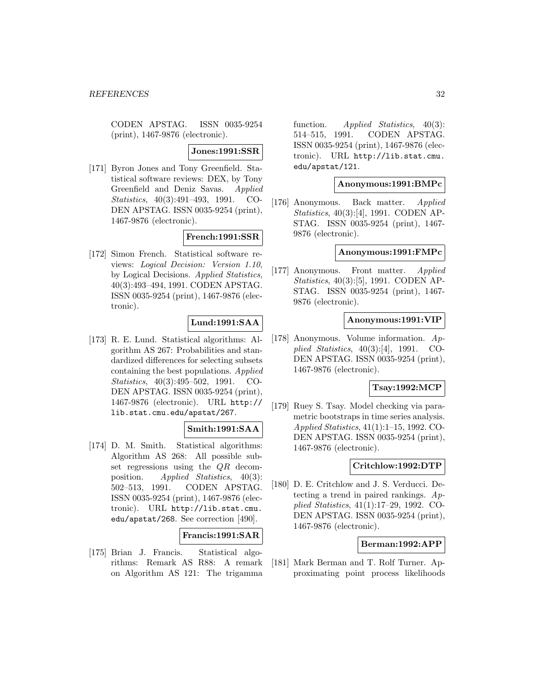CODEN APSTAG. ISSN 0035-9254 (print), 1467-9876 (electronic).

#### **Jones:1991:SSR**

[171] Byron Jones and Tony Greenfield. Statistical software reviews: DEX, by Tony Greenfield and Deniz Savas. Applied Statistics, 40(3):491–493, 1991. CO-DEN APSTAG. ISSN 0035-9254 (print), 1467-9876 (electronic).

# **French:1991:SSR**

[172] Simon French. Statistical software reviews: Logical Decision: Version 1.10, by Logical Decisions. Applied Statistics, 40(3):493–494, 1991. CODEN APSTAG. ISSN 0035-9254 (print), 1467-9876 (electronic).

### **Lund:1991:SAA**

[173] R. E. Lund. Statistical algorithms: Algorithm AS 267: Probabilities and standardized differences for selecting subsets containing the best populations. Applied Statistics, 40(3):495–502, 1991. CO-DEN APSTAG. ISSN 0035-9254 (print), 1467-9876 (electronic). URL http:// lib.stat.cmu.edu/apstat/267.

# **Smith:1991:SAA**

[174] D. M. Smith. Statistical algorithms: Algorithm AS 268: All possible subset regressions using the QR decomposition. Applied Statistics, 40(3): 502–513, 1991. CODEN APSTAG. ISSN 0035-9254 (print), 1467-9876 (electronic). URL http://lib.stat.cmu. edu/apstat/268. See correction [490].

# **Francis:1991:SAR**

[175] Brian J. Francis. Statistical algorithms: Remark AS R88: A remark on Algorithm AS 121: The trigamma

function. Applied Statistics,  $40(3)$ : 514–515, 1991. CODEN APSTAG. ISSN 0035-9254 (print), 1467-9876 (electronic). URL http://lib.stat.cmu. edu/apstat/121.

#### **Anonymous:1991:BMPc**

[176] Anonymous. Back matter. Applied Statistics, 40(3):[4], 1991. CODEN AP-STAG. ISSN 0035-9254 (print), 1467- 9876 (electronic).

#### **Anonymous:1991:FMPc**

[177] Anonymous. Front matter. Applied Statistics, 40(3):[5], 1991. CODEN AP-STAG. ISSN 0035-9254 (print), 1467- 9876 (electronic).

# **Anonymous:1991:VIP**

[178] Anonymous. Volume information. Applied Statistics, 40(3):[4], 1991. CO-DEN APSTAG. ISSN 0035-9254 (print), 1467-9876 (electronic).

# **Tsay:1992:MCP**

[179] Ruey S. Tsay. Model checking via parametric bootstraps in time series analysis. Applied Statistics, 41(1):1–15, 1992. CO-DEN APSTAG. ISSN 0035-9254 (print), 1467-9876 (electronic).

#### **Critchlow:1992:DTP**

[180] D. E. Critchlow and J. S. Verducci. Detecting a trend in paired rankings.  $Ap$ plied Statistics, 41(1):17–29, 1992. CO-DEN APSTAG. ISSN 0035-9254 (print), 1467-9876 (electronic).

### **Berman:1992:APP**

[181] Mark Berman and T. Rolf Turner. Approximating point process likelihoods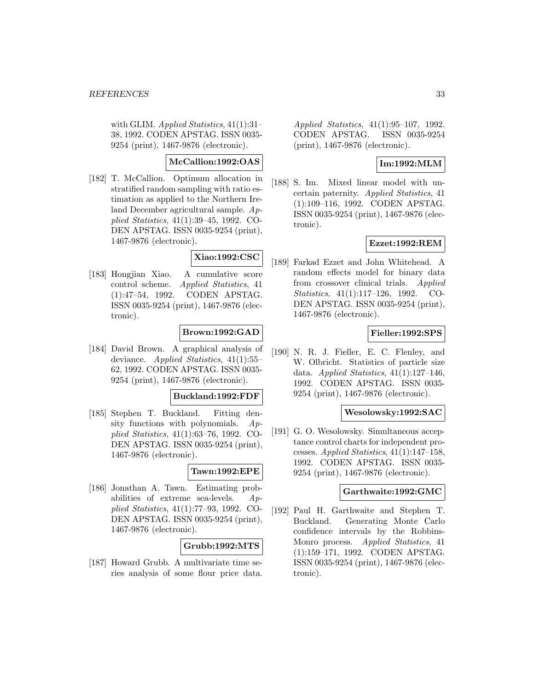with GLIM. Applied Statistics,  $41(1):31-$ 38, 1992. CODEN APSTAG. ISSN 0035- 9254 (print), 1467-9876 (electronic).

# **McCallion:1992:OAS**

[182] T. McCallion. Optimum allocation in stratified random sampling with ratio estimation as applied to the Northern Ireland December agricultural sample. Applied Statistics, 41(1):39–45, 1992. CO-DEN APSTAG. ISSN 0035-9254 (print), 1467-9876 (electronic).

# **Xiao:1992:CSC**

[183] Hongjian Xiao. A cumulative score control scheme. Applied Statistics, 41 (1):47–54, 1992. CODEN APSTAG. ISSN 0035-9254 (print), 1467-9876 (electronic).

# **Brown:1992:GAD**

[184] David Brown. A graphical analysis of deviance. Applied Statistics, 41(1):55– 62, 1992. CODEN APSTAG. ISSN 0035- 9254 (print), 1467-9876 (electronic).

#### **Buckland:1992:FDF**

[185] Stephen T. Buckland. Fitting density functions with polynomials.  $Ap$ plied Statistics, 41(1):63–76, 1992. CO-DEN APSTAG. ISSN 0035-9254 (print), 1467-9876 (electronic).

# **Tawn:1992:EPE**

[186] Jonathan A. Tawn. Estimating probabilities of extreme sea-levels. Applied Statistics, 41(1):77–93, 1992. CO-DEN APSTAG. ISSN 0035-9254 (print), 1467-9876 (electronic).

# **Grubb:1992:MTS**

[187] Howard Grubb. A multivariate time series analysis of some flour price data. Applied Statistics, 41(1):95–107, 1992. CODEN APSTAG. ISSN 0035-9254 (print), 1467-9876 (electronic).

### **Im:1992:MLM**

[188] S. Im. Mixed linear model with uncertain paternity. Applied Statistics, 41 (1):109–116, 1992. CODEN APSTAG. ISSN 0035-9254 (print), 1467-9876 (electronic).

#### **Ezzet:1992:REM**

[189] Farkad Ezzet and John Whitehead. A random effects model for binary data from crossover clinical trials. Applied Statistics, 41(1):117–126, 1992. CO-DEN APSTAG. ISSN 0035-9254 (print), 1467-9876 (electronic).

### **Fieller:1992:SPS**

[190] N. R. J. Fieller, E. C. Flenley, and W. Olbricht. Statistics of particle size data. Applied Statistics,  $41(1):127-146$ , 1992. CODEN APSTAG. ISSN 0035- 9254 (print), 1467-9876 (electronic).

#### **Wesolowsky:1992:SAC**

[191] G. O. Wesolowsky. Simultaneous acceptance control charts for independent processes. Applied Statistics, 41(1):147–158, 1992. CODEN APSTAG. ISSN 0035- 9254 (print), 1467-9876 (electronic).

#### **Garthwaite:1992:GMC**

[192] Paul H. Garthwaite and Stephen T. Buckland. Generating Monte Carlo confidence intervals by the Robbins-Monro process. Applied Statistics, 41 (1):159–171, 1992. CODEN APSTAG. ISSN 0035-9254 (print), 1467-9876 (electronic).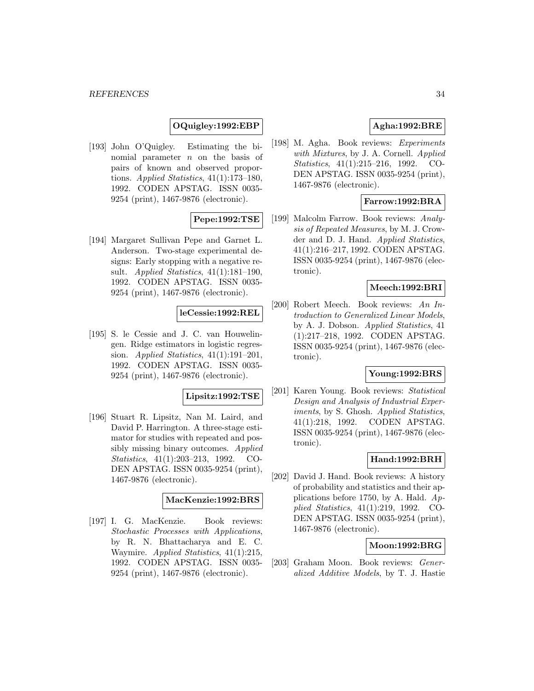### **OQuigley:1992:EBP**

[193] John O'Quigley. Estimating the binomial parameter  $n$  on the basis of pairs of known and observed proportions. Applied Statistics, 41(1):173–180, 1992. CODEN APSTAG. ISSN 0035- 9254 (print), 1467-9876 (electronic).

### **Pepe:1992:TSE**

[194] Margaret Sullivan Pepe and Garnet L. Anderson. Two-stage experimental designs: Early stopping with a negative result. Applied Statistics, 41(1):181–190, 1992. CODEN APSTAG. ISSN 0035- 9254 (print), 1467-9876 (electronic).

#### **leCessie:1992:REL**

[195] S. le Cessie and J. C. van Houwelingen. Ridge estimators in logistic regression. Applied Statistics,  $41(1):191-201$ , 1992. CODEN APSTAG. ISSN 0035- 9254 (print), 1467-9876 (electronic).

#### **Lipsitz:1992:TSE**

[196] Stuart R. Lipsitz, Nan M. Laird, and David P. Harrington. A three-stage estimator for studies with repeated and possibly missing binary outcomes. Applied Statistics, 41(1):203–213, 1992. CO-DEN APSTAG. ISSN 0035-9254 (print), 1467-9876 (electronic).

#### **MacKenzie:1992:BRS**

[197] I. G. MacKenzie. Book reviews: Stochastic Processes with Applications, by R. N. Bhattacharya and E. C. Waymire. Applied Statistics, 41(1):215, 1992. CODEN APSTAG. ISSN 0035- 9254 (print), 1467-9876 (electronic).

# **Agha:1992:BRE**

[198] M. Agha. Book reviews: Experiments with Mixtures, by J. A. Cornell. Applied Statistics, 41(1):215–216, 1992. CO-DEN APSTAG. ISSN 0035-9254 (print), 1467-9876 (electronic).

# **Farrow:1992:BRA**

[199] Malcolm Farrow. Book reviews: Analysis of Repeated Measures, by M. J. Crowder and D. J. Hand. Applied Statistics, 41(1):216–217, 1992. CODEN APSTAG. ISSN 0035-9254 (print), 1467-9876 (electronic).

#### **Meech:1992:BRI**

[200] Robert Meech. Book reviews: An Introduction to Generalized Linear Models, by A. J. Dobson. Applied Statistics, 41 (1):217–218, 1992. CODEN APSTAG. ISSN 0035-9254 (print), 1467-9876 (electronic).

# **Young:1992:BRS**

[201] Karen Young. Book reviews: Statistical Design and Analysis of Industrial Experiments, by S. Ghosh. Applied Statistics, 41(1):218, 1992. CODEN APSTAG. ISSN 0035-9254 (print), 1467-9876 (electronic).

#### **Hand:1992:BRH**

[202] David J. Hand. Book reviews: A history of probability and statistics and their applications before 1750, by A. Hald.  $Ap$ plied Statistics, 41(1):219, 1992. CO-DEN APSTAG. ISSN 0035-9254 (print), 1467-9876 (electronic).

#### **Moon:1992:BRG**

[203] Graham Moon. Book reviews: Generalized Additive Models, by T. J. Hastie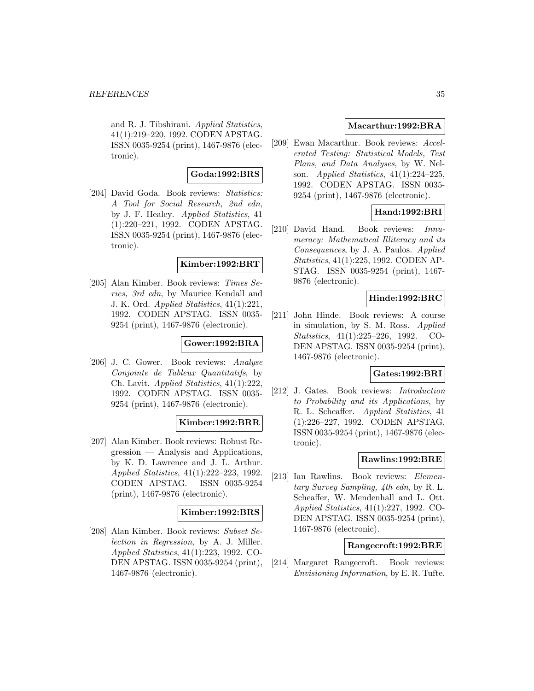and R. J. Tibshirani. Applied Statistics, 41(1):219–220, 1992. CODEN APSTAG. ISSN 0035-9254 (print), 1467-9876 (electronic).

# **Goda:1992:BRS**

[204] David Goda. Book reviews: Statistics: A Tool for Social Research, 2nd edn, by J. F. Healey. Applied Statistics, 41 (1):220–221, 1992. CODEN APSTAG. ISSN 0035-9254 (print), 1467-9876 (electronic).

#### **Kimber:1992:BRT**

[205] Alan Kimber. Book reviews: Times Series, 3rd edn, by Maurice Kendall and J. K. Ord. Applied Statistics, 41(1):221, 1992. CODEN APSTAG. ISSN 0035- 9254 (print), 1467-9876 (electronic).

#### **Gower:1992:BRA**

[206] J. C. Gower. Book reviews: Analyse Conjointe de Tableux Quantitatifs, by Ch. Lavit. Applied Statistics, 41(1):222, 1992. CODEN APSTAG. ISSN 0035- 9254 (print), 1467-9876 (electronic).

### **Kimber:1992:BRR**

[207] Alan Kimber. Book reviews: Robust Regression — Analysis and Applications, by K. D. Lawrence and J. L. Arthur. Applied Statistics, 41(1):222–223, 1992. CODEN APSTAG. ISSN 0035-9254 (print), 1467-9876 (electronic).

# **Kimber:1992:BRS**

[208] Alan Kimber. Book reviews: Subset Selection in Regression, by A. J. Miller. Applied Statistics, 41(1):223, 1992. CO-DEN APSTAG. ISSN 0035-9254 (print), 1467-9876 (electronic).

### **Macarthur:1992:BRA**

[209] Ewan Macarthur. Book reviews: Accelerated Testing: Statistical Models, Test Plans, and Data Analyses, by W. Nelson. Applied Statistics, 41(1):224–225, 1992. CODEN APSTAG. ISSN 0035- 9254 (print), 1467-9876 (electronic).

# **Hand:1992:BRI**

[210] David Hand. Book reviews: Innumeracy: Mathematical Illiteracy and its Consequences, by J. A. Paulos. Applied Statistics, 41(1):225, 1992. CODEN AP-STAG. ISSN 0035-9254 (print), 1467- 9876 (electronic).

### **Hinde:1992:BRC**

[211] John Hinde. Book reviews: A course in simulation, by S. M. Ross. Applied Statistics, 41(1):225–226, 1992. CO-DEN APSTAG. ISSN 0035-9254 (print), 1467-9876 (electronic).

### **Gates:1992:BRI**

[212] J. Gates. Book reviews: Introduction to Probability and its Applications, by R. L. Scheaffer. Applied Statistics, 41 (1):226–227, 1992. CODEN APSTAG. ISSN 0035-9254 (print), 1467-9876 (electronic).

### **Rawlins:1992:BRE**

[213] Ian Rawlins. Book reviews: Elementary Survey Sampling, 4th edn, by R. L. Scheaffer, W. Mendenhall and L. Ott. Applied Statistics, 41(1):227, 1992. CO-DEN APSTAG. ISSN 0035-9254 (print), 1467-9876 (electronic).

#### **Rangecroft:1992:BRE**

[214] Margaret Rangecroft. Book reviews: Envisioning Information, by E. R. Tufte.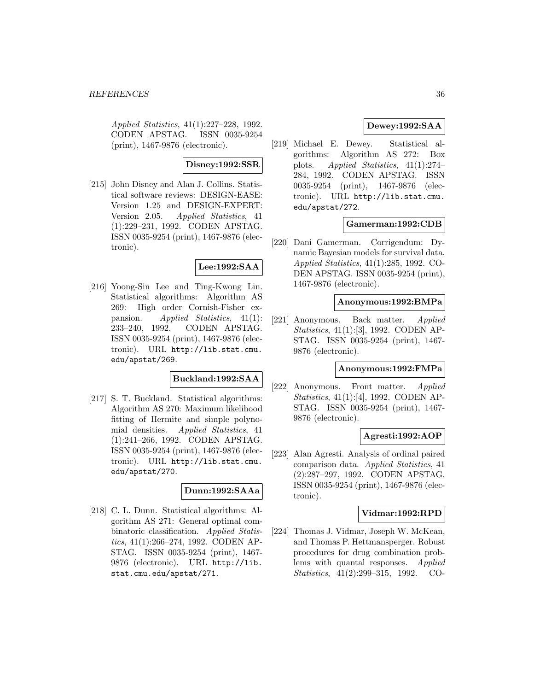Applied Statistics, 41(1):227–228, 1992. CODEN APSTAG. ISSN 0035-9254 (print), 1467-9876 (electronic).

#### **Disney:1992:SSR**

[215] John Disney and Alan J. Collins. Statistical software reviews: DESIGN-EASE: Version 1.25 and DESIGN-EXPERT: Version 2.05. Applied Statistics, 41 (1):229–231, 1992. CODEN APSTAG. ISSN 0035-9254 (print), 1467-9876 (electronic).

# **Lee:1992:SAA**

[216] Yoong-Sin Lee and Ting-Kwong Lin. Statistical algorithms: Algorithm AS 269: High order Cornish-Fisher expansion. Applied Statistics, 41(1): 233–240, 1992. CODEN APSTAG. ISSN 0035-9254 (print), 1467-9876 (electronic). URL http://lib.stat.cmu. edu/apstat/269.

### **Buckland:1992:SAA**

[217] S. T. Buckland. Statistical algorithms: Algorithm AS 270: Maximum likelihood fitting of Hermite and simple polynomial densities. Applied Statistics, 41 (1):241–266, 1992. CODEN APSTAG. ISSN 0035-9254 (print), 1467-9876 (electronic). URL http://lib.stat.cmu. edu/apstat/270.

### **Dunn:1992:SAAa**

[218] C. L. Dunn. Statistical algorithms: Algorithm AS 271: General optimal combinatoric classification. Applied Statistics, 41(1):266–274, 1992. CODEN AP-STAG. ISSN 0035-9254 (print), 1467- 9876 (electronic). URL http://lib. stat.cmu.edu/apstat/271.

### **Dewey:1992:SAA**

[219] Michael E. Dewey. Statistical algorithms: Algorithm AS 272: Box plots. Applied Statistics, 41(1):274– 284, 1992. CODEN APSTAG. ISSN 0035-9254 (print), 1467-9876 (electronic). URL http://lib.stat.cmu. edu/apstat/272.

# **Gamerman:1992:CDB**

[220] Dani Gamerman. Corrigendum: Dynamic Bayesian models for survival data. Applied Statistics, 41(1):285, 1992. CO-DEN APSTAG. ISSN 0035-9254 (print), 1467-9876 (electronic).

#### **Anonymous:1992:BMPa**

[221] Anonymous. Back matter. Applied Statistics, 41(1):[3], 1992. CODEN AP-STAG. ISSN 0035-9254 (print), 1467- 9876 (electronic).

#### **Anonymous:1992:FMPa**

[222] Anonymous. Front matter. Applied Statistics, 41(1):[4], 1992. CODEN AP-STAG. ISSN 0035-9254 (print), 1467- 9876 (electronic).

### **Agresti:1992:AOP**

[223] Alan Agresti. Analysis of ordinal paired comparison data. Applied Statistics, 41 (2):287–297, 1992. CODEN APSTAG. ISSN 0035-9254 (print), 1467-9876 (electronic).

### **Vidmar:1992:RPD**

[224] Thomas J. Vidmar, Joseph W. McKean, and Thomas P. Hettmansperger. Robust procedures for drug combination problems with quantal responses. Applied Statistics, 41(2):299–315, 1992. CO-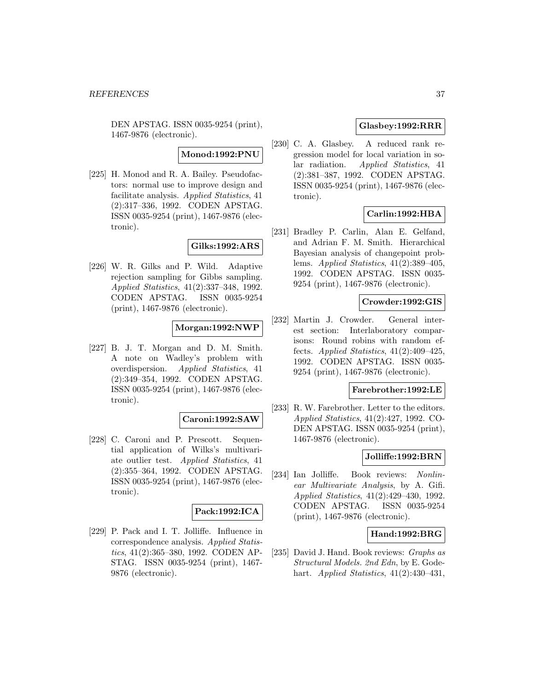DEN APSTAG. ISSN 0035-9254 (print), 1467-9876 (electronic).

#### **Monod:1992:PNU**

[225] H. Monod and R. A. Bailey. Pseudofactors: normal use to improve design and facilitate analysis. Applied Statistics, 41 (2):317–336, 1992. CODEN APSTAG. ISSN 0035-9254 (print), 1467-9876 (electronic).

### **Gilks:1992:ARS**

[226] W. R. Gilks and P. Wild. Adaptive rejection sampling for Gibbs sampling. Applied Statistics, 41(2):337–348, 1992. CODEN APSTAG. ISSN 0035-9254 (print), 1467-9876 (electronic).

#### **Morgan:1992:NWP**

[227] B. J. T. Morgan and D. M. Smith. A note on Wadley's problem with overdispersion. Applied Statistics, 41 (2):349–354, 1992. CODEN APSTAG. ISSN 0035-9254 (print), 1467-9876 (electronic).

#### **Caroni:1992:SAW**

[228] C. Caroni and P. Prescott. Sequential application of Wilks's multivariate outlier test. Applied Statistics, 41 (2):355–364, 1992. CODEN APSTAG. ISSN 0035-9254 (print), 1467-9876 (electronic).

#### **Pack:1992:ICA**

[229] P. Pack and I. T. Jolliffe. Influence in correspondence analysis. Applied Statistics, 41(2):365–380, 1992. CODEN AP-STAG. ISSN 0035-9254 (print), 1467- 9876 (electronic).

# **Glasbey:1992:RRR**

[230] C. A. Glasbey. A reduced rank regression model for local variation in solar radiation. Applied Statistics, 41 (2):381–387, 1992. CODEN APSTAG. ISSN 0035-9254 (print), 1467-9876 (electronic).

### **Carlin:1992:HBA**

[231] Bradley P. Carlin, Alan E. Gelfand, and Adrian F. M. Smith. Hierarchical Bayesian analysis of changepoint problems. Applied Statistics, 41(2):389–405, 1992. CODEN APSTAG. ISSN 0035- 9254 (print), 1467-9876 (electronic).

### **Crowder:1992:GIS**

[232] Martin J. Crowder. General interest section: Interlaboratory comparisons: Round robins with random effects. Applied Statistics, 41(2):409–425, 1992. CODEN APSTAG. ISSN 0035- 9254 (print), 1467-9876 (electronic).

## **Farebrother:1992:LE**

[233] R. W. Farebrother. Letter to the editors. Applied Statistics, 41(2):427, 1992. CO-DEN APSTAG. ISSN 0035-9254 (print), 1467-9876 (electronic).

# **Jolliffe:1992:BRN**

[234] Ian Jolliffe. Book reviews: Nonlinear Multivariate Analysis, by A. Gifi. Applied Statistics, 41(2):429–430, 1992. CODEN APSTAG. ISSN 0035-9254 (print), 1467-9876 (electronic).

### **Hand:1992:BRG**

[235] David J. Hand. Book reviews: Graphs as Structural Models. 2nd Edn, by E. Godehart. Applied Statistics,  $41(2):430-431$ ,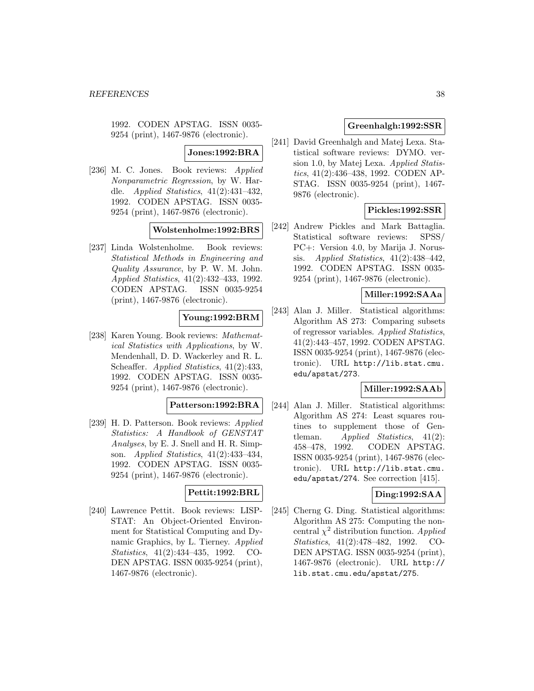1992. CODEN APSTAG. ISSN 0035- 9254 (print), 1467-9876 (electronic).

### **Jones:1992:BRA**

[236] M. C. Jones. Book reviews: Applied Nonparametric Regression, by W. Hardle. Applied Statistics, 41(2):431–432, 1992. CODEN APSTAG. ISSN 0035- 9254 (print), 1467-9876 (electronic).

## **Wolstenholme:1992:BRS**

[237] Linda Wolstenholme. Book reviews: Statistical Methods in Engineering and Quality Assurance, by P. W. M. John. Applied Statistics, 41(2):432–433, 1992. CODEN APSTAG. ISSN 0035-9254 (print), 1467-9876 (electronic).

# **Young:1992:BRM**

[238] Karen Young. Book reviews: Mathematical Statistics with Applications, by W. Mendenhall, D. D. Wackerley and R. L. Scheaffer. Applied Statistics, 41(2):433, 1992. CODEN APSTAG. ISSN 0035- 9254 (print), 1467-9876 (electronic).

#### **Patterson:1992:BRA**

[239] H. D. Patterson. Book reviews: Applied Statistics: A Handbook of GENSTAT Analyses, by E. J. Snell and H. R. Simpson. Applied Statistics, 41(2):433–434, 1992. CODEN APSTAG. ISSN 0035- 9254 (print), 1467-9876 (electronic).

#### **Pettit:1992:BRL**

[240] Lawrence Pettit. Book reviews: LISP-STAT: An Object-Oriented Environment for Statistical Computing and Dynamic Graphics, by L. Tierney. Applied Statistics, 41(2):434–435, 1992. CO-DEN APSTAG. ISSN 0035-9254 (print), 1467-9876 (electronic).

## **Greenhalgh:1992:SSR**

[241] David Greenhalgh and Matej Lexa. Statistical software reviews: DYMO. version 1.0, by Matej Lexa. Applied Statistics, 41(2):436–438, 1992. CODEN AP-STAG. ISSN 0035-9254 (print), 1467- 9876 (electronic).

### **Pickles:1992:SSR**

[242] Andrew Pickles and Mark Battaglia. Statistical software reviews: SPSS/ PC+: Version 4.0, by Marija J. Norussis. Applied Statistics,  $41(2):438-442$ , 1992. CODEN APSTAG. ISSN 0035- 9254 (print), 1467-9876 (electronic).

#### **Miller:1992:SAAa**

[243] Alan J. Miller. Statistical algorithms: Algorithm AS 273: Comparing subsets of regressor variables. Applied Statistics, 41(2):443–457, 1992. CODEN APSTAG. ISSN 0035-9254 (print), 1467-9876 (electronic). URL http://lib.stat.cmu. edu/apstat/273.

# **Miller:1992:SAAb**

[244] Alan J. Miller. Statistical algorithms: Algorithm AS 274: Least squares routines to supplement those of Gentleman. Applied Statistics,  $41(2)$ : 458–478, 1992. CODEN APSTAG. ISSN 0035-9254 (print), 1467-9876 (electronic). URL http://lib.stat.cmu. edu/apstat/274. See correction [415].

### **Ding:1992:SAA**

[245] Cherng G. Ding. Statistical algorithms: Algorithm AS 275: Computing the noncentral  $\chi^2$  distribution function. Applied Statistics, 41(2):478–482, 1992. CO-DEN APSTAG. ISSN 0035-9254 (print), 1467-9876 (electronic). URL http:// lib.stat.cmu.edu/apstat/275.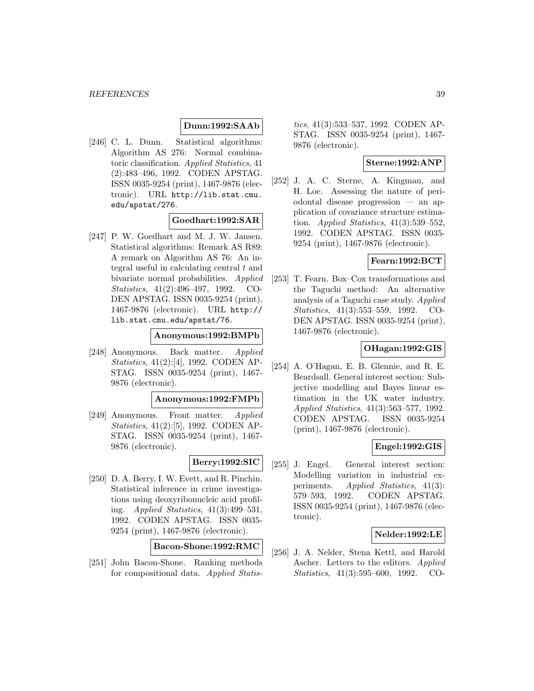# **Dunn:1992:SAAb**

[246] C. L. Dunn. Statistical algorithms: Algorithm AS 276: Normal combinatoric classification. Applied Statistics, 41 (2):483–496, 1992. CODEN APSTAG. ISSN 0035-9254 (print), 1467-9876 (electronic). URL http://lib.stat.cmu. edu/apstat/276.

#### **Goedhart:1992:SAR**

[247] P. W. Goedhart and M. J. W. Jansen. Statistical algorithms: Remark AS R89: A remark on Algorithm AS 76: An integral useful in calculating central  $t$  and bivariate normal probabilities. Applied Statistics, 41(2):496–497, 1992. CO-DEN APSTAG. ISSN 0035-9254 (print), 1467-9876 (electronic). URL http:// lib.stat.cmu.edu/apstat/76.

#### **Anonymous:1992:BMPb**

[248] Anonymous. Back matter. Applied Statistics, 41(2):[4], 1992. CODEN AP-STAG. ISSN 0035-9254 (print), 1467- 9876 (electronic).

#### **Anonymous:1992:FMPb**

[249] Anonymous. Front matter. Applied Statistics, 41(2):[5], 1992. CODEN AP-STAG. ISSN 0035-9254 (print), 1467- 9876 (electronic).

#### **Berry:1992:SIC**

[250] D. A. Berry, I. W. Evett, and R. Pinchin. Statistical inference in crime investigations using deoxyribonucleic acid profiling. Applied Statistics, 41(3):499–531, 1992. CODEN APSTAG. ISSN 0035- 9254 (print), 1467-9876 (electronic).

## **Bacon-Shone:1992:RMC**

[251] John Bacon-Shone. Ranking methods for compositional data. Applied Statistics, 41(3):533–537, 1992. CODEN AP-STAG. ISSN 0035-9254 (print), 1467- 9876 (electronic).

## **Sterne:1992:ANP**

[252] J. A. C. Sterne, A. Kingman, and H. Loe. Assessing the nature of periodontal disease progression — an application of covariance structure estimation. Applied Statistics,  $41(3):539-552$ , 1992. CODEN APSTAG. ISSN 0035- 9254 (print), 1467-9876 (electronic).

### **Fearn:1992:BCT**

[253] T. Fearn. Box–Cox transformations and the Taguchi method: An alternative analysis of a Taguchi case study. Applied Statistics, 41(3):553–559, 1992. CO-DEN APSTAG. ISSN 0035-9254 (print), 1467-9876 (electronic).

### **OHagan:1992:GIS**

[254] A. O'Hagan, E. B. Glennie, and R. E. Beardsall. General interest section: Subjective modelling and Bayes linear estimation in the UK water industry. Applied Statistics, 41(3):563–577, 1992. CODEN APSTAG. ISSN 0035-9254 (print), 1467-9876 (electronic).

# **Engel:1992:GIS**

[255] J. Engel. General interest section: Modelling variation in industrial experiments. *Applied Statistics*, 41(3): 579–593, 1992. CODEN APSTAG. ISSN 0035-9254 (print), 1467-9876 (electronic).

#### **Nelder:1992:LE**

[256] J. A. Nelder, Stena Kettl, and Harold Ascher. Letters to the editors. Applied Statistics, 41(3):595–600, 1992. CO-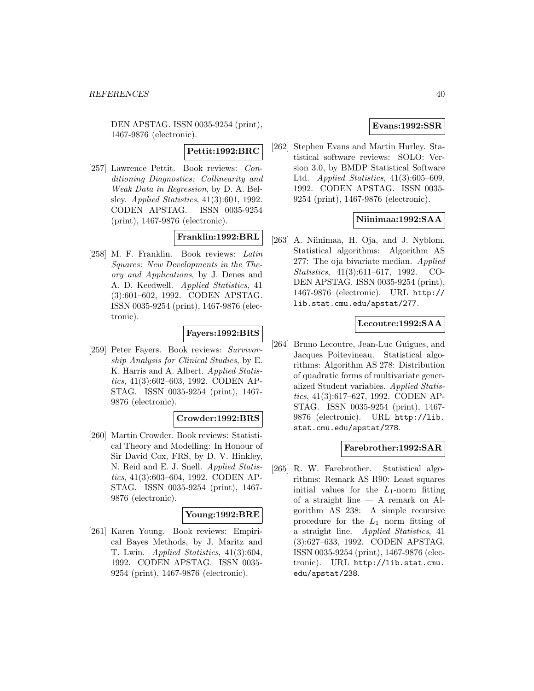DEN APSTAG. ISSN 0035-9254 (print), 1467-9876 (electronic).

**Pettit:1992:BRC**

[257] Lawrence Pettit. Book reviews: Conditioning Diagnostics: Collinearity and Weak Data in Regression, by D. A. Belsley. Applied Statistics, 41(3):601, 1992. CODEN APSTAG. ISSN 0035-9254 (print), 1467-9876 (electronic).

### **Franklin:1992:BRL**

[258] M. F. Franklin. Book reviews: Latin Squares: New Developments in the Theory and Applications, by J. Denes and A. D. Keedwell. Applied Statistics, 41 (3):601–602, 1992. CODEN APSTAG. ISSN 0035-9254 (print), 1467-9876 (electronic).

# **Fayers:1992:BRS**

[259] Peter Fayers. Book reviews: Survivorship Analysis for Clinical Studies, by E. K. Harris and A. Albert. Applied Statistics, 41(3):602–603, 1992. CODEN AP-STAG. ISSN 0035-9254 (print), 1467- 9876 (electronic).

### **Crowder:1992:BRS**

[260] Martin Crowder. Book reviews: Statistical Theory and Modelling: In Honour of Sir David Cox, FRS, by D. V. Hinkley, N. Reid and E. J. Snell. Applied Statistics, 41(3):603–604, 1992. CODEN AP-STAG. ISSN 0035-9254 (print), 1467- 9876 (electronic).

# **Young:1992:BRE**

[261] Karen Young. Book reviews: Empirical Bayes Methods, by J. Maritz and T. Lwin. Applied Statistics, 41(3):604, 1992. CODEN APSTAG. ISSN 0035- 9254 (print), 1467-9876 (electronic).

# **Evans:1992:SSR**

[262] Stephen Evans and Martin Hurley. Statistical software reviews: SOLO: Version 3.0, by BMDP Statistical Software Ltd. Applied Statistics, 41(3):605–609, 1992. CODEN APSTAG. ISSN 0035- 9254 (print), 1467-9876 (electronic).

## **Niinimaa:1992:SAA**

[263] A. Niinimaa, H. Oja, and J. Nyblom. Statistical algorithms: Algorithm AS 277: The oja bivariate median. Applied Statistics, 41(3):611–617, 1992. CO-DEN APSTAG. ISSN 0035-9254 (print), 1467-9876 (electronic). URL http:// lib.stat.cmu.edu/apstat/277.

#### **Lecoutre:1992:SAA**

[264] Bruno Lecoutre, Jean-Luc Guigues, and Jacques Poitevineau. Statistical algorithms: Algorithm AS 278: Distribution of quadratic forms of multivariate generalized Student variables. Applied Statistics, 41(3):617–627, 1992. CODEN AP-STAG. ISSN 0035-9254 (print), 1467- 9876 (electronic). URL http://lib. stat.cmu.edu/apstat/278.

#### **Farebrother:1992:SAR**

[265] R. W. Farebrother. Statistical algorithms: Remark AS R90: Least squares initial values for the  $L_1$ -norm fitting of a straight line — A remark on Algorithm AS 238: A simple recursive procedure for the  $L_1$  norm fitting of a straight line. Applied Statistics, 41 (3):627–633, 1992. CODEN APSTAG. ISSN 0035-9254 (print), 1467-9876 (electronic). URL http://lib.stat.cmu. edu/apstat/238.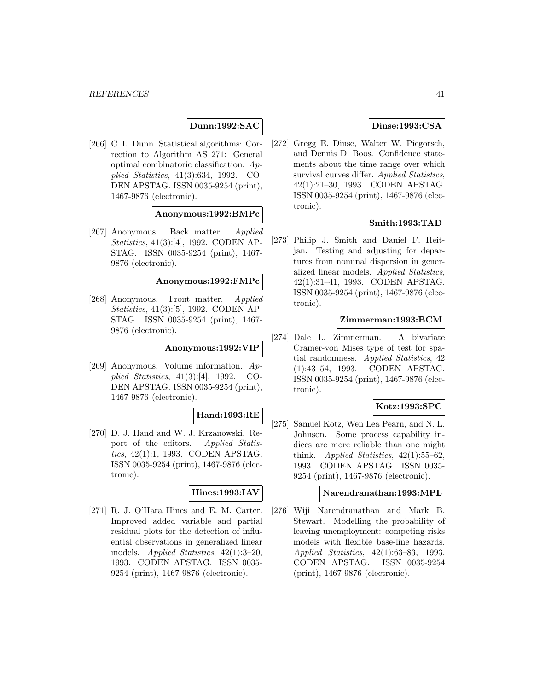## **Dunn:1992:SAC**

[266] C. L. Dunn. Statistical algorithms: Correction to Algorithm AS 271: General optimal combinatoric classification. Applied Statistics, 41(3):634, 1992. CO-DEN APSTAG. ISSN 0035-9254 (print), 1467-9876 (electronic).

#### **Anonymous:1992:BMPc**

[267] Anonymous. Back matter. Applied Statistics, 41(3):[4], 1992. CODEN AP-STAG. ISSN 0035-9254 (print), 1467- 9876 (electronic).

#### **Anonymous:1992:FMPc**

[268] Anonymous. Front matter. Applied Statistics, 41(3):[5], 1992. CODEN AP-STAG. ISSN 0035-9254 (print), 1467- 9876 (electronic).

### **Anonymous:1992:VIP**

[269] Anonymous. Volume information. Applied Statistics, 41(3):[4], 1992. CO-DEN APSTAG. ISSN 0035-9254 (print), 1467-9876 (electronic).

# **Hand:1993:RE**

[270] D. J. Hand and W. J. Krzanowski. Report of the editors. Applied Statistics, 42(1):1, 1993. CODEN APSTAG. ISSN 0035-9254 (print), 1467-9876 (electronic).

#### **Hines:1993:IAV**

[271] R. J. O'Hara Hines and E. M. Carter. Improved added variable and partial residual plots for the detection of influential observations in generalized linear models. Applied Statistics, 42(1):3–20, 1993. CODEN APSTAG. ISSN 0035- 9254 (print), 1467-9876 (electronic).

# **Dinse:1993:CSA**

[272] Gregg E. Dinse, Walter W. Piegorsch, and Dennis D. Boos. Confidence statements about the time range over which survival curves differ. Applied Statistics, 42(1):21–30, 1993. CODEN APSTAG. ISSN 0035-9254 (print), 1467-9876 (electronic).

#### **Smith:1993:TAD**

[273] Philip J. Smith and Daniel F. Heitjan. Testing and adjusting for departures from nominal dispersion in generalized linear models. Applied Statistics, 42(1):31–41, 1993. CODEN APSTAG. ISSN 0035-9254 (print), 1467-9876 (electronic).

# **Zimmerman:1993:BCM**

[274] Dale L. Zimmerman. A bivariate Cramer-von Mises type of test for spatial randomness. Applied Statistics, 42 (1):43–54, 1993. CODEN APSTAG. ISSN 0035-9254 (print), 1467-9876 (electronic).

### **Kotz:1993:SPC**

[275] Samuel Kotz, Wen Lea Pearn, and N. L. Johnson. Some process capability indices are more reliable than one might think. Applied Statistics,  $42(1):55-62$ , 1993. CODEN APSTAG. ISSN 0035- 9254 (print), 1467-9876 (electronic).

## **Narendranathan:1993:MPL**

[276] Wiji Narendranathan and Mark B. Stewart. Modelling the probability of leaving unemployment: competing risks models with flexible base-line hazards. Applied Statistics, 42(1):63–83, 1993. CODEN APSTAG. ISSN 0035-9254 (print), 1467-9876 (electronic).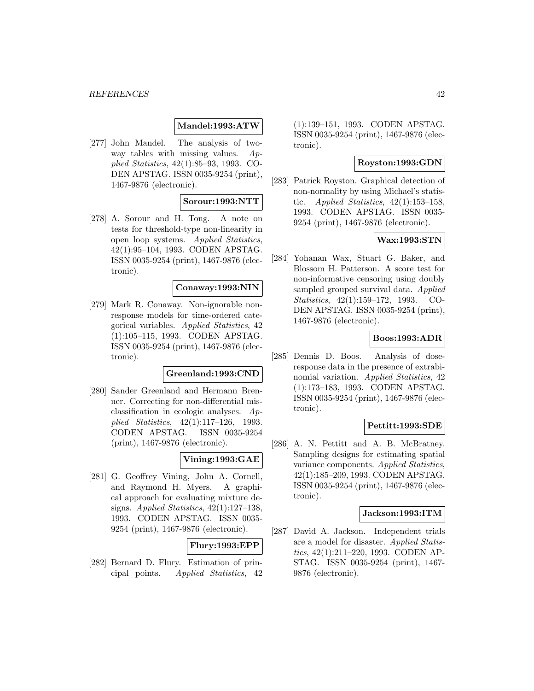## **Mandel:1993:ATW**

[277] John Mandel. The analysis of twoway tables with missing values.  $Ap$ plied Statistics, 42(1):85–93, 1993. CO-DEN APSTAG. ISSN 0035-9254 (print), 1467-9876 (electronic).

# **Sorour:1993:NTT**

[278] A. Sorour and H. Tong. A note on tests for threshold-type non-linearity in open loop systems. Applied Statistics, 42(1):95–104, 1993. CODEN APSTAG. ISSN 0035-9254 (print), 1467-9876 (electronic).

# **Conaway:1993:NIN**

[279] Mark R. Conaway. Non-ignorable nonresponse models for time-ordered categorical variables. Applied Statistics, 42 (1):105–115, 1993. CODEN APSTAG. ISSN 0035-9254 (print), 1467-9876 (electronic).

# **Greenland:1993:CND**

[280] Sander Greenland and Hermann Brenner. Correcting for non-differential misclassification in ecologic analyses. Applied Statistics, 42(1):117–126, 1993. CODEN APSTAG. ISSN 0035-9254 (print), 1467-9876 (electronic).

## **Vining:1993:GAE**

[281] G. Geoffrey Vining, John A. Cornell, and Raymond H. Myers. A graphical approach for evaluating mixture designs. Applied Statistics, 42(1):127–138, 1993. CODEN APSTAG. ISSN 0035- 9254 (print), 1467-9876 (electronic).

#### **Flury:1993:EPP**

[282] Bernard D. Flury. Estimation of principal points. Applied Statistics, 42 (1):139–151, 1993. CODEN APSTAG. ISSN 0035-9254 (print), 1467-9876 (electronic).

### **Royston:1993:GDN**

[283] Patrick Royston. Graphical detection of non-normality by using Michael's statistic. Applied Statistics,  $42(1):153-158$ , 1993. CODEN APSTAG. ISSN 0035- 9254 (print), 1467-9876 (electronic).

# **Wax:1993:STN**

[284] Yohanan Wax, Stuart G. Baker, and Blossom H. Patterson. A score test for non-informative censoring using doubly sampled grouped survival data. Applied Statistics, 42(1):159–172, 1993. CO-DEN APSTAG. ISSN 0035-9254 (print), 1467-9876 (electronic).

### **Boos:1993:ADR**

[285] Dennis D. Boos. Analysis of doseresponse data in the presence of extrabinomial variation. Applied Statistics, 42 (1):173–183, 1993. CODEN APSTAG. ISSN 0035-9254 (print), 1467-9876 (electronic).

### **Pettitt:1993:SDE**

[286] A. N. Pettitt and A. B. McBratney. Sampling designs for estimating spatial variance components. Applied Statistics, 42(1):185–209, 1993. CODEN APSTAG. ISSN 0035-9254 (print), 1467-9876 (electronic).

#### **Jackson:1993:ITM**

[287] David A. Jackson. Independent trials are a model for disaster. Applied Statistics, 42(1):211–220, 1993. CODEN AP-STAG. ISSN 0035-9254 (print), 1467- 9876 (electronic).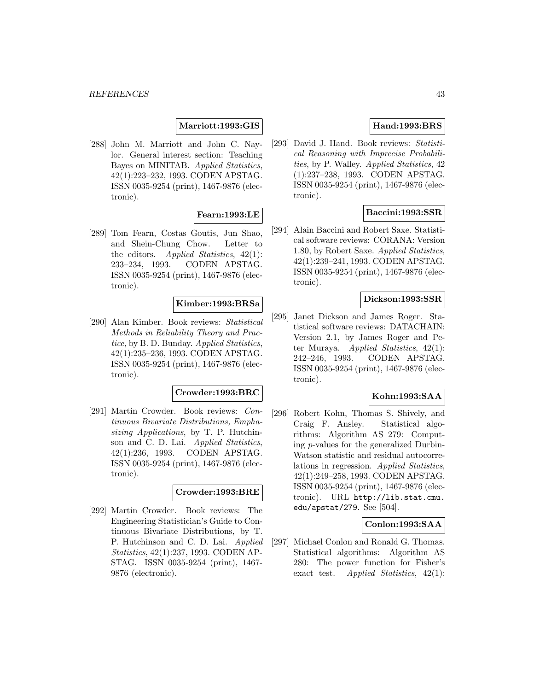## **Marriott:1993:GIS**

[288] John M. Marriott and John C. Naylor. General interest section: Teaching Bayes on MINITAB. Applied Statistics, 42(1):223–232, 1993. CODEN APSTAG. ISSN 0035-9254 (print), 1467-9876 (electronic).

# **Fearn:1993:LE**

[289] Tom Fearn, Costas Goutis, Jun Shao, and Shein-Chung Chow. Letter to the editors. Applied Statistics, 42(1): 233–234, 1993. CODEN APSTAG. ISSN 0035-9254 (print), 1467-9876 (electronic).

# **Kimber:1993:BRSa**

[290] Alan Kimber. Book reviews: Statistical Methods in Reliability Theory and Practice, by B. D. Bunday. Applied Statistics, 42(1):235–236, 1993. CODEN APSTAG. ISSN 0035-9254 (print), 1467-9876 (electronic).

#### **Crowder:1993:BRC**

[291] Martin Crowder. Book reviews: Continuous Bivariate Distributions, Emphasizing Applications, by T. P. Hutchinson and C. D. Lai. Applied Statistics, 42(1):236, 1993. CODEN APSTAG. ISSN 0035-9254 (print), 1467-9876 (electronic).

#### **Crowder:1993:BRE**

[292] Martin Crowder. Book reviews: The Engineering Statistician's Guide to Continuous Bivariate Distributions, by T. P. Hutchinson and C. D. Lai. Applied Statistics, 42(1):237, 1993. CODEN AP-STAG. ISSN 0035-9254 (print), 1467- 9876 (electronic).

# **Hand:1993:BRS**

[293] David J. Hand. Book reviews: Statistical Reasoning with Imprecise Probabilities, by P. Walley. Applied Statistics, 42 (1):237–238, 1993. CODEN APSTAG. ISSN 0035-9254 (print), 1467-9876 (electronic).

### **Baccini:1993:SSR**

[294] Alain Baccini and Robert Saxe. Statistical software reviews: CORANA: Version 1.80, by Robert Saxe. Applied Statistics, 42(1):239–241, 1993. CODEN APSTAG. ISSN 0035-9254 (print), 1467-9876 (electronic).

### **Dickson:1993:SSR**

[295] Janet Dickson and James Roger. Statistical software reviews: DATACHAIN: Version 2.1, by James Roger and Peter Muraya. *Applied Statistics*,  $42(1)$ : 242–246, 1993. CODEN APSTAG. ISSN 0035-9254 (print), 1467-9876 (electronic).

## **Kohn:1993:SAA**

[296] Robert Kohn, Thomas S. Shively, and Craig F. Ansley. Statistical algorithms: Algorithm AS 279: Computing p-values for the generalized Durbin-Watson statistic and residual autocorrelations in regression. Applied Statistics, 42(1):249–258, 1993. CODEN APSTAG. ISSN 0035-9254 (print), 1467-9876 (electronic). URL http://lib.stat.cmu. edu/apstat/279. See [504].

#### **Conlon:1993:SAA**

[297] Michael Conlon and Ronald G. Thomas. Statistical algorithms: Algorithm AS 280: The power function for Fisher's exact test. Applied Statistics,  $42(1)$ :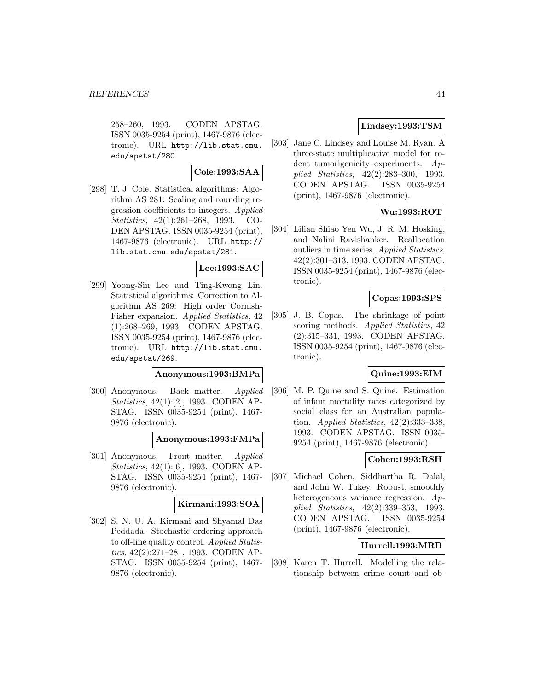258–260, 1993. CODEN APSTAG. ISSN 0035-9254 (print), 1467-9876 (electronic). URL http://lib.stat.cmu. edu/apstat/280.

# **Cole:1993:SAA**

[298] T. J. Cole. Statistical algorithms: Algorithm AS 281: Scaling and rounding regression coefficients to integers. Applied Statistics, 42(1):261–268, 1993. CO-DEN APSTAG. ISSN 0035-9254 (print), 1467-9876 (electronic). URL http:// lib.stat.cmu.edu/apstat/281.

#### **Lee:1993:SAC**

[299] Yoong-Sin Lee and Ting-Kwong Lin. Statistical algorithms: Correction to Algorithm AS 269: High order Cornish-Fisher expansion. Applied Statistics, 42 (1):268–269, 1993. CODEN APSTAG. ISSN 0035-9254 (print), 1467-9876 (electronic). URL http://lib.stat.cmu. edu/apstat/269.

#### **Anonymous:1993:BMPa**

[300] Anonymous. Back matter. Applied Statistics, 42(1):[2], 1993. CODEN AP-STAG. ISSN 0035-9254 (print), 1467- 9876 (electronic).

#### **Anonymous:1993:FMPa**

[301] Anonymous. Front matter. Applied Statistics, 42(1):[6], 1993. CODEN AP-STAG. ISSN 0035-9254 (print), 1467- 9876 (electronic).

## **Kirmani:1993:SOA**

[302] S. N. U. A. Kirmani and Shyamal Das Peddada. Stochastic ordering approach to off-line quality control. Applied Statistics, 42(2):271–281, 1993. CODEN AP-STAG. ISSN 0035-9254 (print), 1467- 9876 (electronic).

# **Lindsey:1993:TSM**

[303] Jane C. Lindsey and Louise M. Ryan. A three-state multiplicative model for rodent tumorigenicity experiments. Applied Statistics, 42(2):283–300, 1993. CODEN APSTAG. ISSN 0035-9254 (print), 1467-9876 (electronic).

### **Wu:1993:ROT**

[304] Lilian Shiao Yen Wu, J. R. M. Hosking, and Nalini Ravishanker. Reallocation outliers in time series. Applied Statistics, 42(2):301–313, 1993. CODEN APSTAG. ISSN 0035-9254 (print), 1467-9876 (electronic).

#### **Copas:1993:SPS**

[305] J. B. Copas. The shrinkage of point scoring methods. Applied Statistics, 42 (2):315–331, 1993. CODEN APSTAG. ISSN 0035-9254 (print), 1467-9876 (electronic).

# **Quine:1993:EIM**

[306] M. P. Quine and S. Quine. Estimation of infant mortality rates categorized by social class for an Australian population. Applied Statistics,  $42(2):333-338$ , 1993. CODEN APSTAG. ISSN 0035- 9254 (print), 1467-9876 (electronic).

## **Cohen:1993:RSH**

[307] Michael Cohen, Siddhartha R. Dalal, and John W. Tukey. Robust, smoothly heterogeneous variance regression. Applied Statistics, 42(2):339–353, 1993. CODEN APSTAG. ISSN 0035-9254 (print), 1467-9876 (electronic).

### **Hurrell:1993:MRB**

[308] Karen T. Hurrell. Modelling the relationship between crime count and ob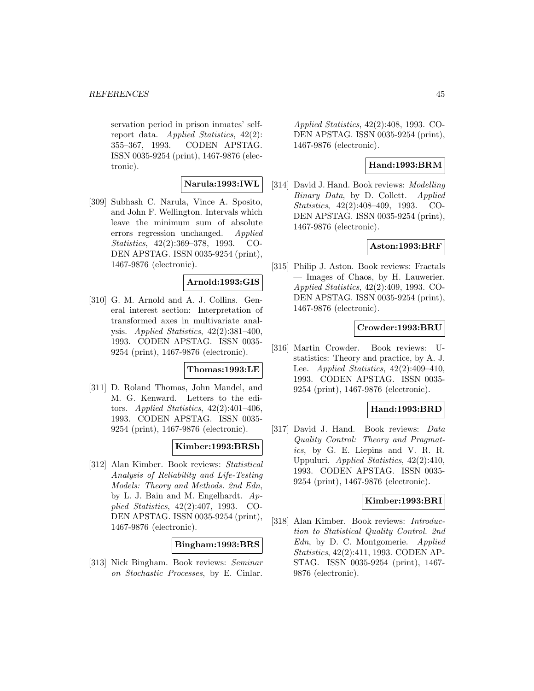servation period in prison inmates' selfreport data. Applied Statistics, 42(2): 355–367, 1993. CODEN APSTAG. ISSN 0035-9254 (print), 1467-9876 (electronic).

# **Narula:1993:IWL**

[309] Subhash C. Narula, Vince A. Sposito, and John F. Wellington. Intervals which leave the minimum sum of absolute errors regression unchanged. Applied Statistics, 42(2):369–378, 1993. CO-DEN APSTAG. ISSN 0035-9254 (print), 1467-9876 (electronic).

### **Arnold:1993:GIS**

[310] G. M. Arnold and A. J. Collins. General interest section: Interpretation of transformed axes in multivariate analysis. Applied Statistics, 42(2):381–400, 1993. CODEN APSTAG. ISSN 0035- 9254 (print), 1467-9876 (electronic).

### **Thomas:1993:LE**

[311] D. Roland Thomas, John Mandel, and M. G. Kenward. Letters to the editors. Applied Statistics,  $42(2):401-406$ , 1993. CODEN APSTAG. ISSN 0035- 9254 (print), 1467-9876 (electronic).

### **Kimber:1993:BRSb**

[312] Alan Kimber. Book reviews: Statistical Analysis of Reliability and Life-Testing Models: Theory and Methods. 2nd Edn, by L. J. Bain and M. Engelhardt. Applied Statistics, 42(2):407, 1993. CO-DEN APSTAG. ISSN 0035-9254 (print), 1467-9876 (electronic).

#### **Bingham:1993:BRS**

[313] Nick Bingham. Book reviews: Seminar on Stochastic Processes, by E. Cinlar.

Applied Statistics, 42(2):408, 1993. CO-DEN APSTAG. ISSN 0035-9254 (print), 1467-9876 (electronic).

#### **Hand:1993:BRM**

[314] David J. Hand. Book reviews: *Modelling* Binary Data, by D. Collett. Applied Statistics, 42(2):408–409, 1993. CO-DEN APSTAG. ISSN 0035-9254 (print), 1467-9876 (electronic).

### **Aston:1993:BRF**

[315] Philip J. Aston. Book reviews: Fractals — Images of Chaos, by H. Lauwerier. Applied Statistics, 42(2):409, 1993. CO-DEN APSTAG. ISSN 0035-9254 (print), 1467-9876 (electronic).

### **Crowder:1993:BRU**

[316] Martin Crowder. Book reviews: Ustatistics: Theory and practice, by A. J. Lee. Applied Statistics, 42(2):409–410, 1993. CODEN APSTAG. ISSN 0035- 9254 (print), 1467-9876 (electronic).

### **Hand:1993:BRD**

[317] David J. Hand. Book reviews: Data Quality Control: Theory and Pragmatics, by G. E. Liepins and V. R. R. Uppuluri. Applied Statistics, 42(2):410, 1993. CODEN APSTAG. ISSN 0035- 9254 (print), 1467-9876 (electronic).

#### **Kimber:1993:BRI**

[318] Alan Kimber. Book reviews: Introduction to Statistical Quality Control. 2nd Edn, by D. C. Montgomerie. Applied Statistics, 42(2):411, 1993. CODEN AP-STAG. ISSN 0035-9254 (print), 1467- 9876 (electronic).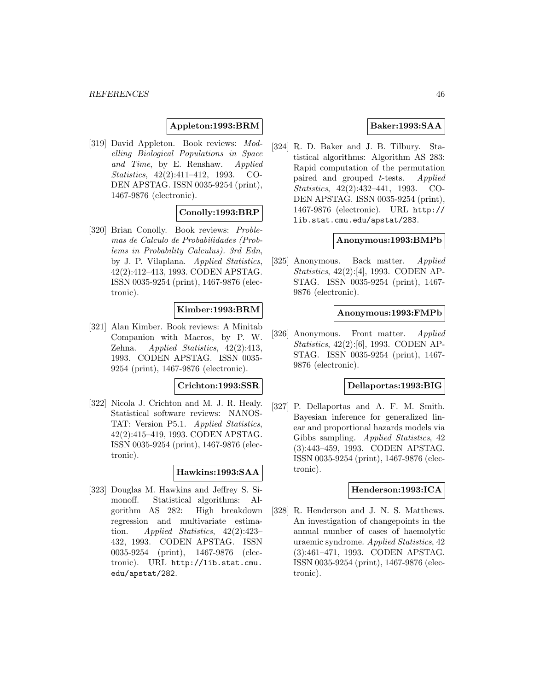### **Appleton:1993:BRM**

[319] David Appleton. Book reviews: Modelling Biological Populations in Space and Time, by E. Renshaw. Applied Statistics, 42(2):411–412, 1993. CO-DEN APSTAG. ISSN 0035-9254 (print), 1467-9876 (electronic).

#### **Conolly:1993:BRP**

[320] Brian Conolly. Book reviews: Problemas de Calculo de Probabilidades (Problems in Probability Calculus). 3rd Edn, by J. P. Vilaplana. Applied Statistics, 42(2):412–413, 1993. CODEN APSTAG. ISSN 0035-9254 (print), 1467-9876 (electronic).

#### **Kimber:1993:BRM**

[321] Alan Kimber. Book reviews: A Minitab Companion with Macros, by P. W. Zehna. Applied Statistics, 42(2):413, 1993. CODEN APSTAG. ISSN 0035- 9254 (print), 1467-9876 (electronic).

#### **Crichton:1993:SSR**

[322] Nicola J. Crichton and M. J. R. Healy. Statistical software reviews: NANOS-TAT: Version P5.1. Applied Statistics, 42(2):415–419, 1993. CODEN APSTAG. ISSN 0035-9254 (print), 1467-9876 (electronic).

#### **Hawkins:1993:SAA**

[323] Douglas M. Hawkins and Jeffrey S. Simonoff. Statistical algorithms: Algorithm AS 282: High breakdown regression and multivariate estimation. Applied Statistics, 42(2):423– 432, 1993. CODEN APSTAG. ISSN 0035-9254 (print), 1467-9876 (electronic). URL http://lib.stat.cmu. edu/apstat/282.

#### **Baker:1993:SAA**

[324] R. D. Baker and J. B. Tilbury. Statistical algorithms: Algorithm AS 283: Rapid computation of the permutation paired and grouped t-tests. Applied Statistics, 42(2):432–441, 1993. CO-DEN APSTAG. ISSN 0035-9254 (print), 1467-9876 (electronic). URL http:// lib.stat.cmu.edu/apstat/283.

#### **Anonymous:1993:BMPb**

[325] Anonymous. Back matter. Applied Statistics, 42(2):[4], 1993. CODEN AP-STAG. ISSN 0035-9254 (print), 1467- 9876 (electronic).

#### **Anonymous:1993:FMPb**

[326] Anonymous. Front matter. Applied Statistics, 42(2):[6], 1993. CODEN AP-STAG. ISSN 0035-9254 (print), 1467- 9876 (electronic).

#### **Dellaportas:1993:BIG**

[327] P. Dellaportas and A. F. M. Smith. Bayesian inference for generalized linear and proportional hazards models via Gibbs sampling. Applied Statistics, 42 (3):443–459, 1993. CODEN APSTAG. ISSN 0035-9254 (print), 1467-9876 (electronic).

### **Henderson:1993:ICA**

[328] R. Henderson and J. N. S. Matthews. An investigation of changepoints in the annual number of cases of haemolytic uraemic syndrome. Applied Statistics, 42 (3):461–471, 1993. CODEN APSTAG. ISSN 0035-9254 (print), 1467-9876 (electronic).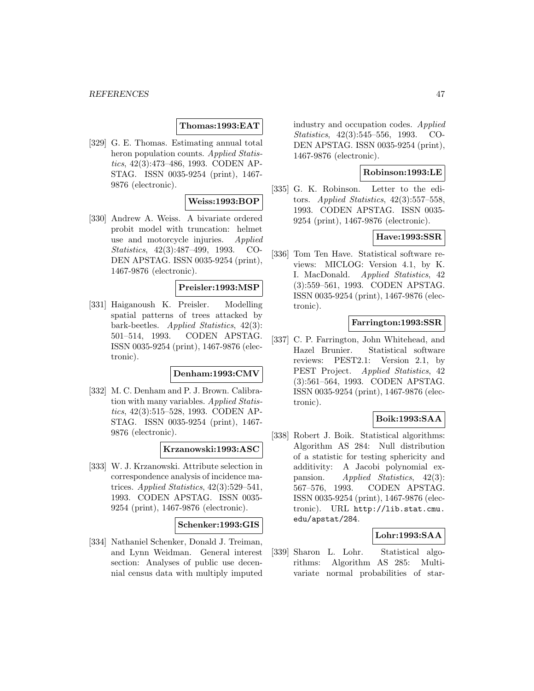#### **Thomas:1993:EAT**

[329] G. E. Thomas. Estimating annual total heron population counts. Applied Statistics, 42(3):473–486, 1993. CODEN AP-STAG. ISSN 0035-9254 (print), 1467- 9876 (electronic).

# **Weiss:1993:BOP**

[330] Andrew A. Weiss. A bivariate ordered probit model with truncation: helmet use and motorcycle injuries. Applied Statistics, 42(3):487–499, 1993. CO-DEN APSTAG. ISSN 0035-9254 (print), 1467-9876 (electronic).

### **Preisler:1993:MSP**

[331] Haiganoush K. Preisler. Modelling spatial patterns of trees attacked by bark-beetles. Applied Statistics, 42(3): 501–514, 1993. CODEN APSTAG. ISSN 0035-9254 (print), 1467-9876 (electronic).

# **Denham:1993:CMV**

[332] M. C. Denham and P. J. Brown. Calibration with many variables. Applied Statistics, 42(3):515–528, 1993. CODEN AP-STAG. ISSN 0035-9254 (print), 1467- 9876 (electronic).

#### **Krzanowski:1993:ASC**

[333] W. J. Krzanowski. Attribute selection in correspondence analysis of incidence matrices. Applied Statistics, 42(3):529–541, 1993. CODEN APSTAG. ISSN 0035- 9254 (print), 1467-9876 (electronic).

#### **Schenker:1993:GIS**

[334] Nathaniel Schenker, Donald J. Treiman, and Lynn Weidman. General interest section: Analyses of public use decennial census data with multiply imputed

industry and occupation codes. Applied Statistics, 42(3):545–556, 1993. CO-DEN APSTAG. ISSN 0035-9254 (print), 1467-9876 (electronic).

# **Robinson:1993:LE**

[335] G. K. Robinson. Letter to the editors. Applied Statistics,  $42(3):557-558$ , 1993. CODEN APSTAG. ISSN 0035- 9254 (print), 1467-9876 (electronic).

#### **Have:1993:SSR**

[336] Tom Ten Have. Statistical software reviews: MICLOG: Version 4.1, by K. I. MacDonald. Applied Statistics, 42 (3):559–561, 1993. CODEN APSTAG. ISSN 0035-9254 (print), 1467-9876 (electronic).

#### **Farrington:1993:SSR**

[337] C. P. Farrington, John Whitehead, and Hazel Brunier. Statistical software reviews: PEST2.1: Version 2.1, by PEST Project. *Applied Statistics*, 42 (3):561–564, 1993. CODEN APSTAG. ISSN 0035-9254 (print), 1467-9876 (electronic).

# **Boik:1993:SAA**

[338] Robert J. Boik. Statistical algorithms: Algorithm AS 284: Null distribution of a statistic for testing sphericity and additivity: A Jacobi polynomial expansion. Applied Statistics, 42(3): 567–576, 1993. CODEN APSTAG. ISSN 0035-9254 (print), 1467-9876 (electronic). URL http://lib.stat.cmu. edu/apstat/284.

### **Lohr:1993:SAA**

[339] Sharon L. Lohr. Statistical algorithms: Algorithm AS 285: Multivariate normal probabilities of star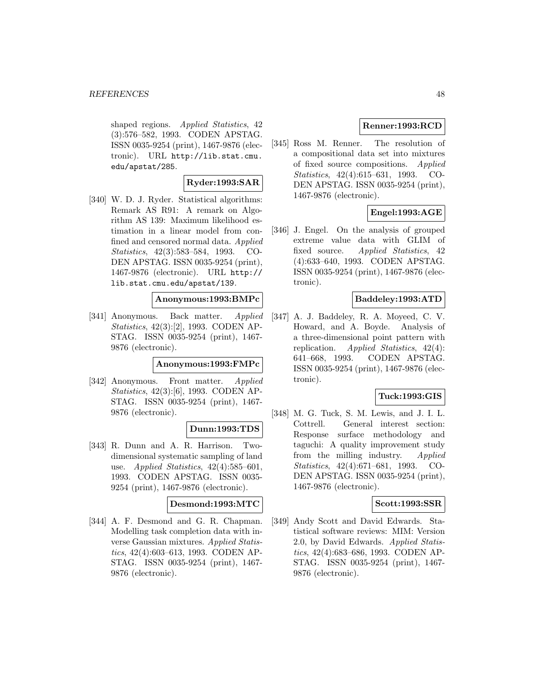shaped regions. Applied Statistics, 42 (3):576–582, 1993. CODEN APSTAG. ISSN 0035-9254 (print), 1467-9876 (electronic). URL http://lib.stat.cmu. edu/apstat/285.

# **Ryder:1993:SAR**

[340] W. D. J. Ryder. Statistical algorithms: Remark AS R91: A remark on Algorithm AS 139: Maximum likelihood estimation in a linear model from confined and censored normal data. Applied Statistics, 42(3):583–584, 1993. CO-DEN APSTAG. ISSN 0035-9254 (print), 1467-9876 (electronic). URL http:// lib.stat.cmu.edu/apstat/139.

### **Anonymous:1993:BMPc**

[341] Anonymous. Back matter. Applied Statistics, 42(3):[2], 1993. CODEN AP-STAG. ISSN 0035-9254 (print), 1467- 9876 (electronic).

## **Anonymous:1993:FMPc**

[342] Anonymous. Front matter. Applied Statistics, 42(3):[6], 1993. CODEN AP-STAG. ISSN 0035-9254 (print), 1467- 9876 (electronic).

### **Dunn:1993:TDS**

[343] R. Dunn and A. R. Harrison. Twodimensional systematic sampling of land use. Applied Statistics,  $42(4):585-601$ , 1993. CODEN APSTAG. ISSN 0035- 9254 (print), 1467-9876 (electronic).

# **Desmond:1993:MTC**

[344] A. F. Desmond and G. R. Chapman. Modelling task completion data with inverse Gaussian mixtures. Applied Statistics, 42(4):603–613, 1993. CODEN AP-STAG. ISSN 0035-9254 (print), 1467- 9876 (electronic).

# **Renner:1993:RCD**

[345] Ross M. Renner. The resolution of a compositional data set into mixtures of fixed source compositions. Applied Statistics, 42(4):615–631, 1993. CO-DEN APSTAG. ISSN 0035-9254 (print), 1467-9876 (electronic).

# **Engel:1993:AGE**

[346] J. Engel. On the analysis of grouped extreme value data with GLIM of fixed source. Applied Statistics, 42 (4):633–640, 1993. CODEN APSTAG. ISSN 0035-9254 (print), 1467-9876 (electronic).

## **Baddeley:1993:ATD**

[347] A. J. Baddeley, R. A. Moyeed, C. V. Howard, and A. Boyde. Analysis of a three-dimensional point pattern with replication. Applied Statistics,  $42(4)$ : 641–668, 1993. CODEN APSTAG. ISSN 0035-9254 (print), 1467-9876 (electronic).

### **Tuck:1993:GIS**

[348] M. G. Tuck, S. M. Lewis, and J. I. L. Cottrell. General interest section: Response surface methodology and taguchi: A quality improvement study from the milling industry. Applied Statistics, 42(4):671–681, 1993. CO-DEN APSTAG. ISSN 0035-9254 (print), 1467-9876 (electronic).

### **Scott:1993:SSR**

[349] Andy Scott and David Edwards. Statistical software reviews: MIM: Version 2.0, by David Edwards. Applied Statistics, 42(4):683–686, 1993. CODEN AP-STAG. ISSN 0035-9254 (print), 1467- 9876 (electronic).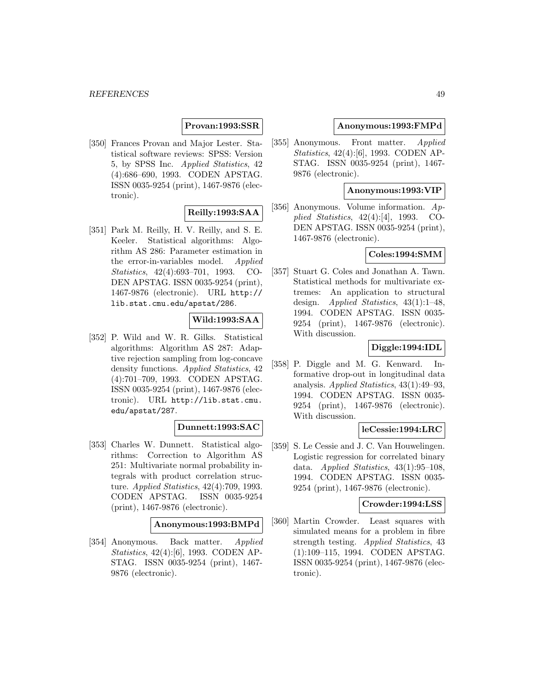## **Provan:1993:SSR**

[350] Frances Provan and Major Lester. Statistical software reviews: SPSS: Version 5, by SPSS Inc. Applied Statistics, 42 (4):686–690, 1993. CODEN APSTAG. ISSN 0035-9254 (print), 1467-9876 (electronic).

# **Reilly:1993:SAA**

[351] Park M. Reilly, H. V. Reilly, and S. E. Keeler. Statistical algorithms: Algorithm AS 286: Parameter estimation in the error-in-variables model. Applied Statistics, 42(4):693–701, 1993. CO-DEN APSTAG. ISSN 0035-9254 (print), 1467-9876 (electronic). URL http:// lib.stat.cmu.edu/apstat/286.

# **Wild:1993:SAA**

[352] P. Wild and W. R. Gilks. Statistical algorithms: Algorithm AS 287: Adaptive rejection sampling from log-concave density functions. Applied Statistics, 42 (4):701–709, 1993. CODEN APSTAG. ISSN 0035-9254 (print), 1467-9876 (electronic). URL http://lib.stat.cmu. edu/apstat/287.

### **Dunnett:1993:SAC**

[353] Charles W. Dunnett. Statistical algorithms: Correction to Algorithm AS 251: Multivariate normal probability integrals with product correlation structure. Applied Statistics, 42(4):709, 1993. CODEN APSTAG. ISSN 0035-9254 (print), 1467-9876 (electronic).

#### **Anonymous:1993:BMPd**

[354] Anonymous. Back matter. Applied Statistics, 42(4):[6], 1993. CODEN AP-STAG. ISSN 0035-9254 (print), 1467- 9876 (electronic).

### **Anonymous:1993:FMPd**

[355] Anonymous. Front matter. Applied Statistics, 42(4):[6], 1993. CODEN AP-STAG. ISSN 0035-9254 (print), 1467- 9876 (electronic).

#### **Anonymous:1993:VIP**

[356] Anonymous. Volume information. Applied Statistics, 42(4):[4], 1993. CO-DEN APSTAG. ISSN 0035-9254 (print), 1467-9876 (electronic).

### **Coles:1994:SMM**

[357] Stuart G. Coles and Jonathan A. Tawn. Statistical methods for multivariate extremes: An application to structural design. Applied Statistics, 43(1):1-48, 1994. CODEN APSTAG. ISSN 0035- 9254 (print), 1467-9876 (electronic). With discussion.

## **Diggle:1994:IDL**

[358] P. Diggle and M. G. Kenward. Informative drop-out in longitudinal data analysis. Applied Statistics, 43(1):49–93, 1994. CODEN APSTAG. ISSN 0035- 9254 (print), 1467-9876 (electronic). With discussion.

### **leCessie:1994:LRC**

[359] S. Le Cessie and J. C. Van Houwelingen. Logistic regression for correlated binary data. Applied Statistics,  $43(1):95-108$ , 1994. CODEN APSTAG. ISSN 0035- 9254 (print), 1467-9876 (electronic).

#### **Crowder:1994:LSS**

[360] Martin Crowder. Least squares with simulated means for a problem in fibre strength testing. Applied Statistics, 43 (1):109–115, 1994. CODEN APSTAG. ISSN 0035-9254 (print), 1467-9876 (electronic).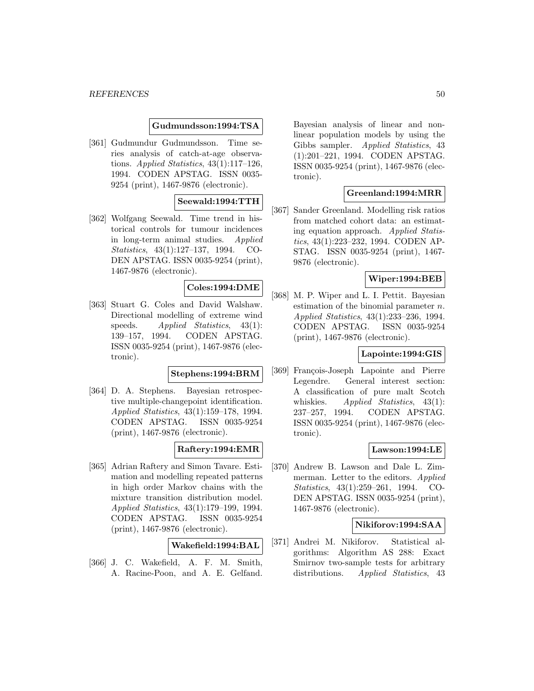#### **Gudmundsson:1994:TSA**

[361] Gudmundur Gudmundsson. Time series analysis of catch-at-age observations. Applied Statistics, 43(1):117–126, 1994. CODEN APSTAG. ISSN 0035- 9254 (print), 1467-9876 (electronic).

# **Seewald:1994:TTH**

[362] Wolfgang Seewald. Time trend in historical controls for tumour incidences in long-term animal studies. Applied Statistics, 43(1):127–137, 1994. CO-DEN APSTAG. ISSN 0035-9254 (print), 1467-9876 (electronic).

## **Coles:1994:DME**

[363] Stuart G. Coles and David Walshaw. Directional modelling of extreme wind speeds. Applied Statistics, 43(1): 139–157, 1994. CODEN APSTAG. ISSN 0035-9254 (print), 1467-9876 (electronic).

# **Stephens:1994:BRM**

[364] D. A. Stephens. Bayesian retrospective multiple-changepoint identification. Applied Statistics, 43(1):159–178, 1994. CODEN APSTAG. ISSN 0035-9254 (print), 1467-9876 (electronic).

## **Raftery:1994:EMR**

[365] Adrian Raftery and Simon Tavare. Estimation and modelling repeated patterns in high order Markov chains with the mixture transition distribution model. Applied Statistics, 43(1):179–199, 1994. CODEN APSTAG. ISSN 0035-9254 (print), 1467-9876 (electronic).

#### **Wakefield:1994:BAL**

[366] J. C. Wakefield, A. F. M. Smith, A. Racine-Poon, and A. E. Gelfand.

Bayesian analysis of linear and nonlinear population models by using the Gibbs sampler. Applied Statistics, 43 (1):201–221, 1994. CODEN APSTAG. ISSN 0035-9254 (print), 1467-9876 (electronic).

## **Greenland:1994:MRR**

[367] Sander Greenland. Modelling risk ratios from matched cohort data: an estimating equation approach. Applied Statistics, 43(1):223–232, 1994. CODEN AP-STAG. ISSN 0035-9254 (print), 1467- 9876 (electronic).

## **Wiper:1994:BEB**

[368] M. P. Wiper and L. I. Pettit. Bayesian estimation of the binomial parameter  $n$ . Applied Statistics, 43(1):233–236, 1994. CODEN APSTAG. ISSN 0035-9254 (print), 1467-9876 (electronic).

### **Lapointe:1994:GIS**

[369] François-Joseph Lapointe and Pierre Legendre. General interest section: A classification of pure malt Scotch whiskies. Applied Statistics,  $43(1)$ : 237–257, 1994. CODEN APSTAG. ISSN 0035-9254 (print), 1467-9876 (electronic).

# **Lawson:1994:LE**

[370] Andrew B. Lawson and Dale L. Zimmerman. Letter to the editors. Applied Statistics, 43(1):259–261, 1994. CO-DEN APSTAG. ISSN 0035-9254 (print), 1467-9876 (electronic).

## **Nikiforov:1994:SAA**

[371] Andrei M. Nikiforov. Statistical algorithms: Algorithm AS 288: Exact Smirnov two-sample tests for arbitrary distributions. Applied Statistics, 43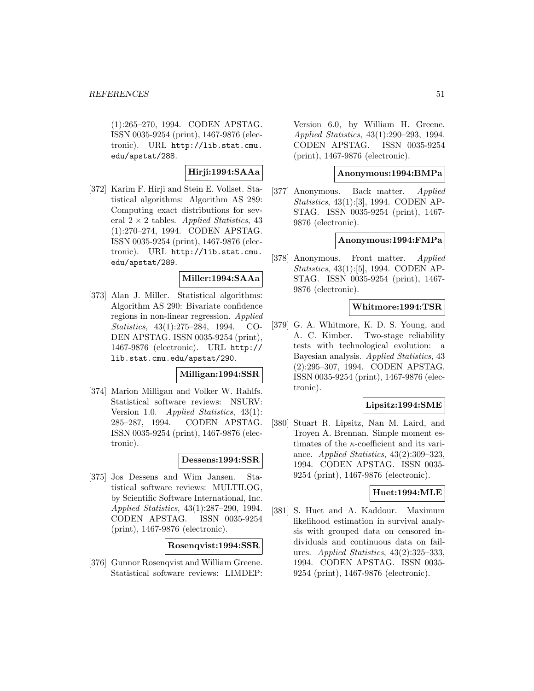(1):265–270, 1994. CODEN APSTAG. ISSN 0035-9254 (print), 1467-9876 (electronic). URL http://lib.stat.cmu. edu/apstat/288.

# **Hirji:1994:SAAa**

[372] Karim F. Hirji and Stein E. Vollset. Statistical algorithms: Algorithm AS 289: Computing exact distributions for several  $2 \times 2$  tables. Applied Statistics, 43 (1):270–274, 1994. CODEN APSTAG. ISSN 0035-9254 (print), 1467-9876 (electronic). URL http://lib.stat.cmu. edu/apstat/289.

# **Miller:1994:SAAa**

[373] Alan J. Miller. Statistical algorithms: Algorithm AS 290: Bivariate confidence regions in non-linear regression. Applied Statistics, 43(1):275–284, 1994. CO-DEN APSTAG. ISSN 0035-9254 (print), 1467-9876 (electronic). URL http:// lib.stat.cmu.edu/apstat/290.

#### **Milligan:1994:SSR**

[374] Marion Milligan and Volker W. Rahlfs. Statistical software reviews: NSURV: Version 1.0. Applied Statistics, 43(1): 285–287, 1994. CODEN APSTAG. ISSN 0035-9254 (print), 1467-9876 (electronic).

## **Dessens:1994:SSR**

[375] Jos Dessens and Wim Jansen. Statistical software reviews: MULTILOG, by Scientific Software International, Inc. Applied Statistics, 43(1):287–290, 1994. CODEN APSTAG. ISSN 0035-9254 (print), 1467-9876 (electronic).

#### **Rosenqvist:1994:SSR**

[376] Gunnor Rosenqvist and William Greene. Statistical software reviews: LIMDEP: Version 6.0, by William H. Greene. Applied Statistics, 43(1):290–293, 1994. CODEN APSTAG. ISSN 0035-9254 (print), 1467-9876 (electronic).

## **Anonymous:1994:BMPa**

[377] Anonymous. Back matter. Applied Statistics, 43(1):[3], 1994. CODEN AP-STAG. ISSN 0035-9254 (print), 1467- 9876 (electronic).

#### **Anonymous:1994:FMPa**

[378] Anonymous. Front matter. Applied Statistics, 43(1):[5], 1994. CODEN AP-STAG. ISSN 0035-9254 (print), 1467- 9876 (electronic).

#### **Whitmore:1994:TSR**

[379] G. A. Whitmore, K. D. S. Young, and A. C. Kimber. Two-stage reliability tests with technological evolution: a Bayesian analysis. Applied Statistics, 43 (2):295–307, 1994. CODEN APSTAG. ISSN 0035-9254 (print), 1467-9876 (electronic).

### **Lipsitz:1994:SME**

[380] Stuart R. Lipsitz, Nan M. Laird, and Troyen A. Brennan. Simple moment estimates of the  $\kappa$ -coefficient and its variance. Applied Statistics, 43(2):309–323, 1994. CODEN APSTAG. ISSN 0035- 9254 (print), 1467-9876 (electronic).

#### **Huet:1994:MLE**

[381] S. Huet and A. Kaddour. Maximum likelihood estimation in survival analysis with grouped data on censored individuals and continuous data on failures. Applied Statistics, 43(2):325–333, 1994. CODEN APSTAG. ISSN 0035- 9254 (print), 1467-9876 (electronic).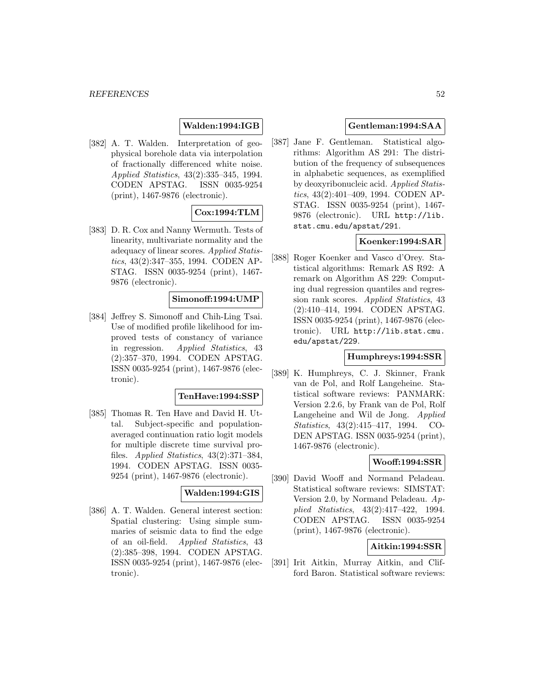# **Walden:1994:IGB**

[382] A. T. Walden. Interpretation of geophysical borehole data via interpolation of fractionally differenced white noise. Applied Statistics, 43(2):335–345, 1994. CODEN APSTAG. ISSN 0035-9254 (print), 1467-9876 (electronic).

# **Cox:1994:TLM**

[383] D. R. Cox and Nanny Wermuth. Tests of linearity, multivariate normality and the adequacy of linear scores. Applied Statistics, 43(2):347–355, 1994. CODEN AP-STAG. ISSN 0035-9254 (print), 1467- 9876 (electronic).

### **Simonoff:1994:UMP**

[384] Jeffrey S. Simonoff and Chih-Ling Tsai. Use of modified profile likelihood for improved tests of constancy of variance in regression. Applied Statistics, 43 (2):357–370, 1994. CODEN APSTAG. ISSN 0035-9254 (print), 1467-9876 (electronic).

#### **TenHave:1994:SSP**

[385] Thomas R. Ten Have and David H. Uttal. Subject-specific and populationaveraged continuation ratio logit models for multiple discrete time survival profiles. Applied Statistics, 43(2):371–384, 1994. CODEN APSTAG. ISSN 0035- 9254 (print), 1467-9876 (electronic).

#### **Walden:1994:GIS**

[386] A. T. Walden. General interest section: Spatial clustering: Using simple summaries of seismic data to find the edge of an oil-field. Applied Statistics, 43 (2):385–398, 1994. CODEN APSTAG. ISSN 0035-9254 (print), 1467-9876 (electronic).

## **Gentleman:1994:SAA**

[387] Jane F. Gentleman. Statistical algorithms: Algorithm AS 291: The distribution of the frequency of subsequences in alphabetic sequences, as exemplified by deoxyribonucleic acid. Applied Statistics, 43(2):401–409, 1994. CODEN AP-STAG. ISSN 0035-9254 (print), 1467- 9876 (electronic). URL http://lib. stat.cmu.edu/apstat/291.

# **Koenker:1994:SAR**

[388] Roger Koenker and Vasco d'Orey. Statistical algorithms: Remark AS R92: A remark on Algorithm AS 229: Computing dual regression quantiles and regression rank scores. Applied Statistics, 43 (2):410–414, 1994. CODEN APSTAG. ISSN 0035-9254 (print), 1467-9876 (electronic). URL http://lib.stat.cmu. edu/apstat/229.

## **Humphreys:1994:SSR**

[389] K. Humphreys, C. J. Skinner, Frank van de Pol, and Rolf Langeheine. Statistical software reviews: PANMARK: Version 2.2.6, by Frank van de Pol, Rolf Langeheine and Wil de Jong. Applied Statistics, 43(2):415–417, 1994. CO-DEN APSTAG. ISSN 0035-9254 (print), 1467-9876 (electronic).

### **Wooff:1994:SSR**

[390] David Wooff and Normand Peladeau. Statistical software reviews: SIMSTAT: Version 2.0, by Normand Peladeau. Applied Statistics, 43(2):417–422, 1994. CODEN APSTAG. ISSN 0035-9254 (print), 1467-9876 (electronic).

# **Aitkin:1994:SSR**

[391] Irit Aitkin, Murray Aitkin, and Clifford Baron. Statistical software reviews: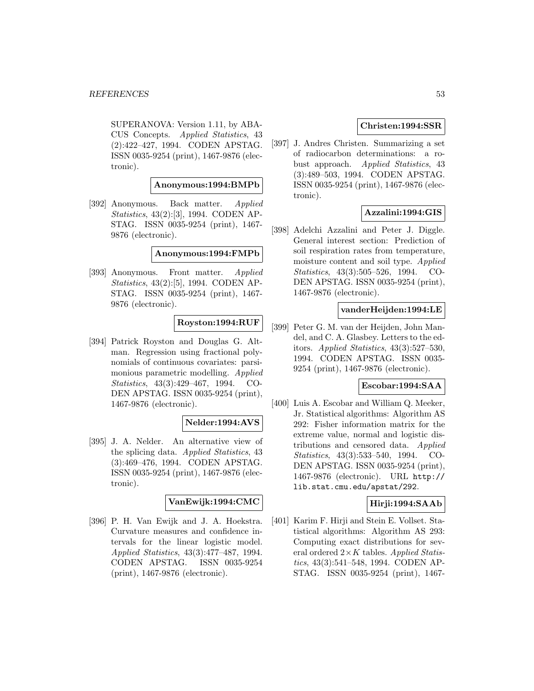SUPERANOVA: Version 1.11, by ABA-CUS Concepts. Applied Statistics, 43 (2):422–427, 1994. CODEN APSTAG. ISSN 0035-9254 (print), 1467-9876 (electronic).

**Anonymous:1994:BMPb**

[392] Anonymous. Back matter. Applied Statistics, 43(2):[3], 1994. CODEN AP-STAG. ISSN 0035-9254 (print), 1467- 9876 (electronic).

#### **Anonymous:1994:FMPb**

[393] Anonymous. Front matter. Applied Statistics, 43(2):[5], 1994. CODEN AP-STAG. ISSN 0035-9254 (print), 1467- 9876 (electronic).

# **Royston:1994:RUF**

[394] Patrick Royston and Douglas G. Altman. Regression using fractional polynomials of continuous covariates: parsimonious parametric modelling. Applied Statistics, 43(3):429–467, 1994. CO-DEN APSTAG. ISSN 0035-9254 (print), 1467-9876 (electronic).

### **Nelder:1994:AVS**

[395] J. A. Nelder. An alternative view of the splicing data. Applied Statistics, 43 (3):469–476, 1994. CODEN APSTAG. ISSN 0035-9254 (print), 1467-9876 (electronic).

#### **VanEwijk:1994:CMC**

[396] P. H. Van Ewijk and J. A. Hoekstra. Curvature measures and confidence intervals for the linear logistic model. Applied Statistics, 43(3):477–487, 1994. CODEN APSTAG. ISSN 0035-9254 (print), 1467-9876 (electronic).

## **Christen:1994:SSR**

[397] J. Andres Christen. Summarizing a set of radiocarbon determinations: a robust approach. Applied Statistics, 43 (3):489–503, 1994. CODEN APSTAG. ISSN 0035-9254 (print), 1467-9876 (electronic).

# **Azzalini:1994:GIS**

[398] Adelchi Azzalini and Peter J. Diggle. General interest section: Prediction of soil respiration rates from temperature, moisture content and soil type. Applied Statistics, 43(3):505–526, 1994. CO-DEN APSTAG. ISSN 0035-9254 (print), 1467-9876 (electronic).

#### **vanderHeijden:1994:LE**

[399] Peter G. M. van der Heijden, John Mandel, and C. A. Glasbey. Letters to the editors. Applied Statistics, 43(3):527–530, 1994. CODEN APSTAG. ISSN 0035- 9254 (print), 1467-9876 (electronic).

#### **Escobar:1994:SAA**

[400] Luis A. Escobar and William Q. Meeker, Jr. Statistical algorithms: Algorithm AS 292: Fisher information matrix for the extreme value, normal and logistic distributions and censored data. Applied Statistics, 43(3):533–540, 1994. CO-DEN APSTAG. ISSN 0035-9254 (print), 1467-9876 (electronic). URL http:// lib.stat.cmu.edu/apstat/292.

### **Hirji:1994:SAAb**

[401] Karim F. Hirji and Stein E. Vollset. Statistical algorithms: Algorithm AS 293: Computing exact distributions for several ordered  $2 \times K$  tables. Applied Statistics, 43(3):541–548, 1994. CODEN AP-STAG. ISSN 0035-9254 (print), 1467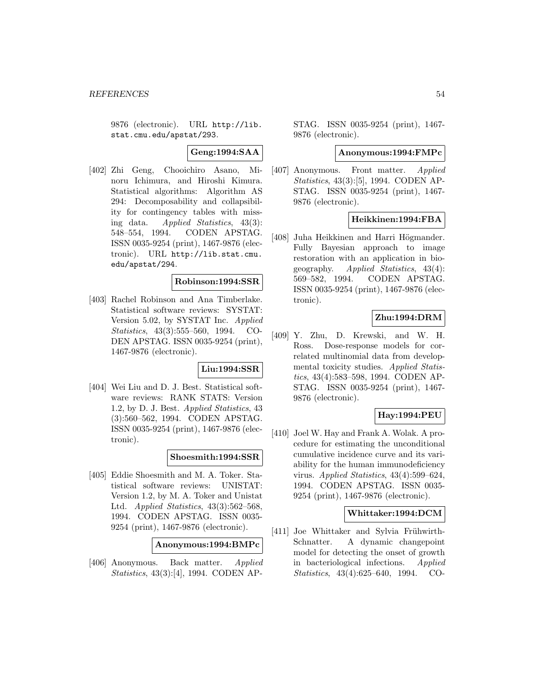9876 (electronic). URL http://lib. stat.cmu.edu/apstat/293.

**Geng:1994:SAA**

[402] Zhi Geng, Chooichiro Asano, Minoru Ichimura, and Hiroshi Kimura. Statistical algorithms: Algorithm AS 294: Decomposability and collapsibility for contingency tables with missing data. Applied Statistics, 43(3): 548–554, 1994. CODEN APSTAG. ISSN 0035-9254 (print), 1467-9876 (electronic). URL http://lib.stat.cmu. edu/apstat/294.

#### **Robinson:1994:SSR**

[403] Rachel Robinson and Ana Timberlake. Statistical software reviews: SYSTAT: Version 5.02, by SYSTAT Inc. Applied Statistics, 43(3):555–560, 1994. CO-DEN APSTAG. ISSN 0035-9254 (print), 1467-9876 (electronic).

### **Liu:1994:SSR**

[404] Wei Liu and D. J. Best. Statistical software reviews: RANK STATS: Version 1.2, by D. J. Best. Applied Statistics, 43 (3):560–562, 1994. CODEN APSTAG. ISSN 0035-9254 (print), 1467-9876 (electronic).

### **Shoesmith:1994:SSR**

[405] Eddie Shoesmith and M. A. Toker. Statistical software reviews: UNISTAT: Version 1.2, by M. A. Toker and Unistat Ltd. Applied Statistics, 43(3):562–568, 1994. CODEN APSTAG. ISSN 0035- 9254 (print), 1467-9876 (electronic).

**Anonymous:1994:BMPc**

[406] Anonymous. Back matter. Applied Statistics, 43(3):[4], 1994. CODEN AP-

STAG. ISSN 0035-9254 (print), 1467- 9876 (electronic).

#### **Anonymous:1994:FMPc**

[407] Anonymous. Front matter. Applied Statistics, 43(3):[5], 1994. CODEN AP-STAG. ISSN 0035-9254 (print), 1467- 9876 (electronic).

#### **Heikkinen:1994:FBA**

[408] Juha Heikkinen and Harri Högmander. Fully Bayesian approach to image restoration with an application in biogeography. Applied Statistics, 43(4): 569–582, 1994. CODEN APSTAG. ISSN 0035-9254 (print), 1467-9876 (electronic).

# **Zhu:1994:DRM**

[409] Y. Zhu, D. Krewski, and W. H. Ross. Dose-response models for correlated multinomial data from developmental toxicity studies. Applied Statistics, 43(4):583–598, 1994. CODEN AP-STAG. ISSN 0035-9254 (print), 1467- 9876 (electronic).

### **Hay:1994:PEU**

[410] Joel W. Hay and Frank A. Wolak. A procedure for estimating the unconditional cumulative incidence curve and its variability for the human immunodeficiency virus. Applied Statistics, 43(4):599–624, 1994. CODEN APSTAG. ISSN 0035- 9254 (print), 1467-9876 (electronic).

#### **Whittaker:1994:DCM**

[411] Joe Whittaker and Sylvia Frühwirth-Schnatter. A dynamic changepoint model for detecting the onset of growth in bacteriological infections. Applied Statistics, 43(4):625–640, 1994. CO-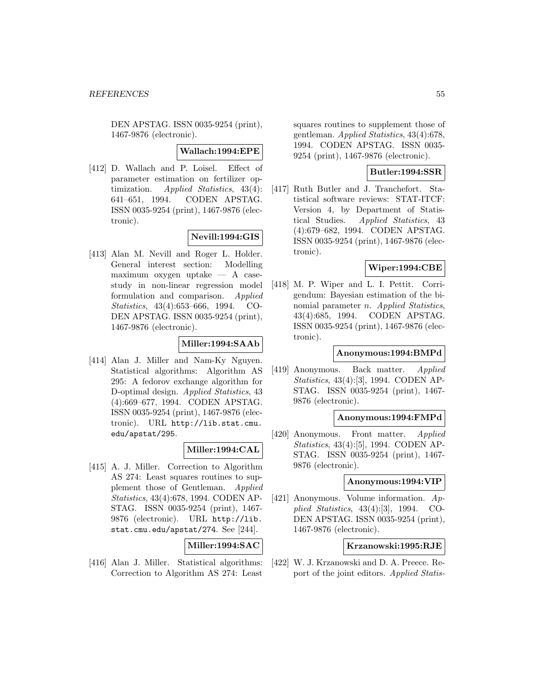DEN APSTAG. ISSN 0035-9254 (print), 1467-9876 (electronic).

#### **Wallach:1994:EPE**

[412] D. Wallach and P. Loisel. Effect of parameter estimation on fertilizer optimization. Applied Statistics, 43(4): 641–651, 1994. CODEN APSTAG. ISSN 0035-9254 (print), 1467-9876 (electronic).

# **Nevill:1994:GIS**

[413] Alan M. Nevill and Roger L. Holder. General interest section: Modelling maximum oxygen uptake — A casestudy in non-linear regression model formulation and comparison. Applied Statistics, 43(4):653–666, 1994. CO-DEN APSTAG. ISSN 0035-9254 (print), 1467-9876 (electronic).

#### **Miller:1994:SAAb**

[414] Alan J. Miller and Nam-Ky Nguyen. Statistical algorithms: Algorithm AS 295: A fedorov exchange algorithm for D-optimal design. Applied Statistics, 43 (4):669–677, 1994. CODEN APSTAG. ISSN 0035-9254 (print), 1467-9876 (electronic). URL http://lib.stat.cmu. edu/apstat/295.

### **Miller:1994:CAL**

[415] A. J. Miller. Correction to Algorithm AS 274: Least squares routines to supplement those of Gentleman. Applied Statistics, 43(4):678, 1994. CODEN AP-STAG. ISSN 0035-9254 (print), 1467- 9876 (electronic). URL http://lib. stat.cmu.edu/apstat/274. See [244].

**Miller:1994:SAC**

[416] Alan J. Miller. Statistical algorithms: Correction to Algorithm AS 274: Least

squares routines to supplement those of gentleman. Applied Statistics, 43(4):678, 1994. CODEN APSTAG. ISSN 0035- 9254 (print), 1467-9876 (electronic).

## **Butler:1994:SSR**

[417] Ruth Butler and J. Tranchefort. Statistical software reviews: STAT-ITCF: Version 4, by Department of Statistical Studies. Applied Statistics, 43 (4):679–682, 1994. CODEN APSTAG. ISSN 0035-9254 (print), 1467-9876 (electronic).

# **Wiper:1994:CBE**

[418] M. P. Wiper and L. I. Pettit. Corrigendum: Bayesian estimation of the binomial parameter *n.* Applied Statistics, 43(4):685, 1994. CODEN APSTAG. ISSN 0035-9254 (print), 1467-9876 (electronic).

#### **Anonymous:1994:BMPd**

[419] Anonymous. Back matter. Applied Statistics, 43(4):[3], 1994. CODEN AP-STAG. ISSN 0035-9254 (print), 1467- 9876 (electronic).

## **Anonymous:1994:FMPd**

[420] Anonymous. Front matter. Applied Statistics, 43(4):[5], 1994. CODEN AP-STAG. ISSN 0035-9254 (print), 1467- 9876 (electronic).

#### **Anonymous:1994:VIP**

[421] Anonymous. Volume information. Applied Statistics, 43(4):[3], 1994. CO-DEN APSTAG. ISSN 0035-9254 (print), 1467-9876 (electronic).

#### **Krzanowski:1995:RJE**

[422] W. J. Krzanowski and D. A. Preece. Report of the joint editors. Applied Statis-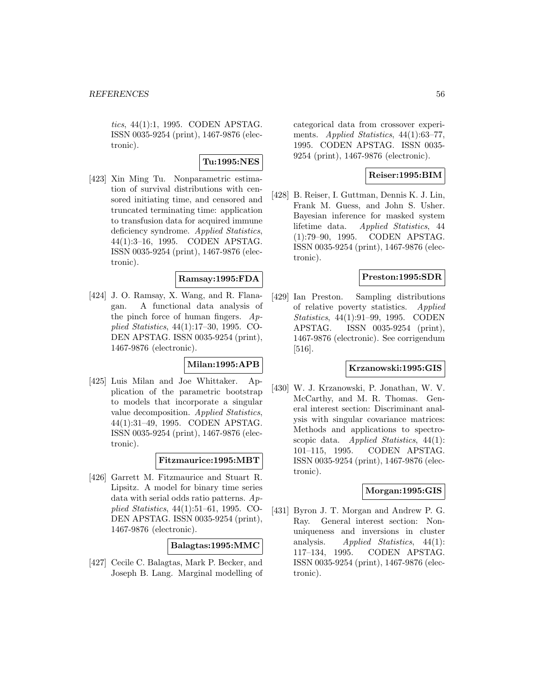tics, 44(1):1, 1995. CODEN APSTAG. ISSN 0035-9254 (print), 1467-9876 (electronic).

### **Tu:1995:NES**

[423] Xin Ming Tu. Nonparametric estimation of survival distributions with censored initiating time, and censored and truncated terminating time: application to transfusion data for acquired immune deficiency syndrome. Applied Statistics, 44(1):3–16, 1995. CODEN APSTAG. ISSN 0035-9254 (print), 1467-9876 (electronic).

### **Ramsay:1995:FDA**

[424] J. O. Ramsay, X. Wang, and R. Flanagan. A functional data analysis of the pinch force of human fingers.  $Ap$ plied Statistics, 44(1):17–30, 1995. CO-DEN APSTAG. ISSN 0035-9254 (print), 1467-9876 (electronic).

# **Milan:1995:APB**

[425] Luis Milan and Joe Whittaker. Application of the parametric bootstrap to models that incorporate a singular value decomposition. Applied Statistics, 44(1):31–49, 1995. CODEN APSTAG. ISSN 0035-9254 (print), 1467-9876 (electronic).

## **Fitzmaurice:1995:MBT**

[426] Garrett M. Fitzmaurice and Stuart R. Lipsitz. A model for binary time series data with serial odds ratio patterns. Applied Statistics, 44(1):51–61, 1995. CO-DEN APSTAG. ISSN 0035-9254 (print), 1467-9876 (electronic).

#### **Balagtas:1995:MMC**

[427] Cecile C. Balagtas, Mark P. Becker, and Joseph B. Lang. Marginal modelling of categorical data from crossover experiments. Applied Statistics, 44(1):63-77, 1995. CODEN APSTAG. ISSN 0035- 9254 (print), 1467-9876 (electronic).

# **Reiser:1995:BIM**

[428] B. Reiser, I. Guttman, Dennis K. J. Lin, Frank M. Guess, and John S. Usher. Bayesian inference for masked system lifetime data. Applied Statistics, 44 (1):79–90, 1995. CODEN APSTAG. ISSN 0035-9254 (print), 1467-9876 (electronic).

#### **Preston:1995:SDR**

[429] Ian Preston. Sampling distributions of relative poverty statistics. Applied Statistics, 44(1):91–99, 1995. CODEN APSTAG. ISSN 0035-9254 (print), 1467-9876 (electronic). See corrigendum [516].

#### **Krzanowski:1995:GIS**

[430] W. J. Krzanowski, P. Jonathan, W. V. McCarthy, and M. R. Thomas. General interest section: Discriminant analysis with singular covariance matrices: Methods and applications to spectroscopic data. Applied Statistics,  $44(1)$ : 101–115, 1995. CODEN APSTAG. ISSN 0035-9254 (print), 1467-9876 (electronic).

# **Morgan:1995:GIS**

[431] Byron J. T. Morgan and Andrew P. G. Ray. General interest section: Nonuniqueness and inversions in cluster analysis. Applied Statistics, 44(1): 117–134, 1995. CODEN APSTAG. ISSN 0035-9254 (print), 1467-9876 (electronic).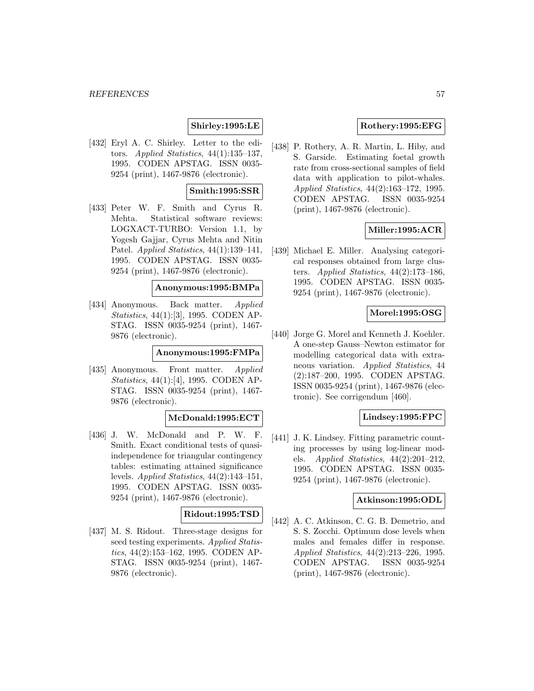### **Shirley:1995:LE**

[432] Eryl A. C. Shirley. Letter to the editors. Applied Statistics, 44(1):135–137, 1995. CODEN APSTAG. ISSN 0035- 9254 (print), 1467-9876 (electronic).

#### **Smith:1995:SSR**

[433] Peter W. F. Smith and Cyrus R. Mehta. Statistical software reviews: LOGXACT-TURBO: Version 1.1, by Yogesh Gajjar, Cyrus Mehta and Nitin Patel. Applied Statistics, 44(1):139–141, 1995. CODEN APSTAG. ISSN 0035- 9254 (print), 1467-9876 (electronic).

## **Anonymous:1995:BMPa**

[434] Anonymous. Back matter. Applied Statistics, 44(1):[3], 1995. CODEN AP-STAG. ISSN 0035-9254 (print), 1467- 9876 (electronic).

#### **Anonymous:1995:FMPa**

[435] Anonymous. Front matter. Applied Statistics, 44(1):[4], 1995. CODEN AP-STAG. ISSN 0035-9254 (print), 1467- 9876 (electronic).

# **McDonald:1995:ECT**

[436] J. W. McDonald and P. W. F. Smith. Exact conditional tests of quasiindependence for triangular contingency tables: estimating attained significance levels. Applied Statistics, 44(2):143–151, 1995. CODEN APSTAG. ISSN 0035- 9254 (print), 1467-9876 (electronic).

### **Ridout:1995:TSD**

[437] M. S. Ridout. Three-stage designs for seed testing experiments. Applied Statistics, 44(2):153–162, 1995. CODEN AP-STAG. ISSN 0035-9254 (print), 1467- 9876 (electronic).

## **Rothery:1995:EFG**

[438] P. Rothery, A. R. Martin, L. Hiby, and S. Garside. Estimating foetal growth rate from cross-sectional samples of field data with application to pilot-whales. Applied Statistics, 44(2):163–172, 1995. CODEN APSTAG. ISSN 0035-9254 (print), 1467-9876 (electronic).

### **Miller:1995:ACR**

[439] Michael E. Miller. Analysing categorical responses obtained from large clusters. Applied Statistics,  $44(2):173-186$ , 1995. CODEN APSTAG. ISSN 0035- 9254 (print), 1467-9876 (electronic).

#### **Morel:1995:OSG**

[440] Jorge G. Morel and Kenneth J. Koehler. A one-step Gauss–Newton estimator for modelling categorical data with extraneous variation. Applied Statistics, 44 (2):187–200, 1995. CODEN APSTAG. ISSN 0035-9254 (print), 1467-9876 (electronic). See corrigendum [460].

# **Lindsey:1995:FPC**

[441] J. K. Lindsey. Fitting parametric counting processes by using log-linear models. Applied Statistics,  $44(2):201-212$ . 1995. CODEN APSTAG. ISSN 0035- 9254 (print), 1467-9876 (electronic).

#### **Atkinson:1995:ODL**

[442] A. C. Atkinson, C. G. B. Demetrio, and S. S. Zocchi. Optimum dose levels when males and females differ in response. Applied Statistics, 44(2):213–226, 1995. CODEN APSTAG. ISSN 0035-9254 (print), 1467-9876 (electronic).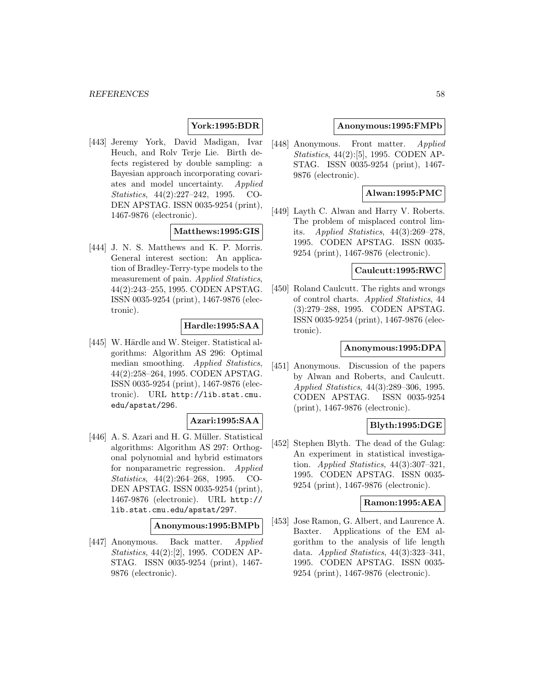## **York:1995:BDR**

[443] Jeremy York, David Madigan, Ivar Heuch, and Rolv Terje Lie. Birth defects registered by double sampling: a Bayesian approach incorporating covariates and model uncertainty. Applied Statistics, 44(2):227–242, 1995. CO-DEN APSTAG. ISSN 0035-9254 (print), 1467-9876 (electronic).

### **Matthews:1995:GIS**

[444] J. N. S. Matthews and K. P. Morris. General interest section: An application of Bradley-Terry-type models to the measurement of pain. Applied Statistics, 44(2):243–255, 1995. CODEN APSTAG. ISSN 0035-9254 (print), 1467-9876 (electronic).

# **Hardle:1995:SAA**

[445] W. Härdle and W. Steiger. Statistical algorithms: Algorithm AS 296: Optimal median smoothing. Applied Statistics, 44(2):258–264, 1995. CODEN APSTAG. ISSN 0035-9254 (print), 1467-9876 (electronic). URL http://lib.stat.cmu. edu/apstat/296.

### **Azari:1995:SAA**

[446] A. S. Azari and H. G. Müller. Statistical algorithms: Algorithm AS 297: Orthogonal polynomial and hybrid estimators for nonparametric regression. Applied Statistics, 44(2):264–268, 1995. CO-DEN APSTAG. ISSN 0035-9254 (print), 1467-9876 (electronic). URL http:// lib.stat.cmu.edu/apstat/297.

#### **Anonymous:1995:BMPb**

[447] Anonymous. Back matter. Applied Statistics, 44(2):[2], 1995. CODEN AP-STAG. ISSN 0035-9254 (print), 1467- 9876 (electronic).

#### **Anonymous:1995:FMPb**

[448] Anonymous. Front matter. Applied Statistics, 44(2):[5], 1995. CODEN AP-STAG. ISSN 0035-9254 (print), 1467- 9876 (electronic).

### **Alwan:1995:PMC**

[449] Layth C. Alwan and Harry V. Roberts. The problem of misplaced control limits. Applied Statistics,  $44(3):269-278$ , 1995. CODEN APSTAG. ISSN 0035- 9254 (print), 1467-9876 (electronic).

#### **Caulcutt:1995:RWC**

[450] Roland Caulcutt. The rights and wrongs of control charts. Applied Statistics, 44 (3):279–288, 1995. CODEN APSTAG. ISSN 0035-9254 (print), 1467-9876 (electronic).

#### **Anonymous:1995:DPA**

[451] Anonymous. Discussion of the papers by Alwan and Roberts, and Caulcutt. Applied Statistics, 44(3):289–306, 1995. CODEN APSTAG. ISSN 0035-9254 (print), 1467-9876 (electronic).

### **Blyth:1995:DGE**

[452] Stephen Blyth. The dead of the Gulag: An experiment in statistical investigation. Applied Statistics, 44(3):307–321, 1995. CODEN APSTAG. ISSN 0035- 9254 (print), 1467-9876 (electronic).

# **Ramon:1995:AEA**

[453] Jose Ramon, G. Albert, and Laurence A. Baxter. Applications of the EM algorithm to the analysis of life length data. Applied Statistics, 44(3):323–341, 1995. CODEN APSTAG. ISSN 0035- 9254 (print), 1467-9876 (electronic).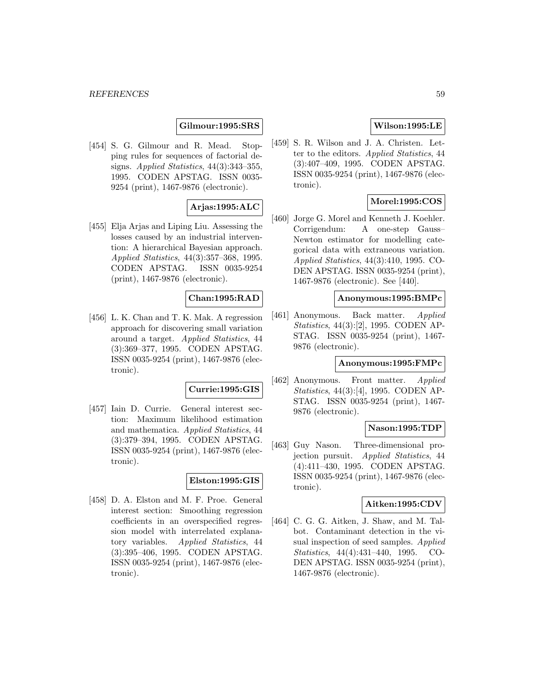#### **Gilmour:1995:SRS**

[454] S. G. Gilmour and R. Mead. Stopping rules for sequences of factorial designs. Applied Statistics, 44(3):343–355, 1995. CODEN APSTAG. ISSN 0035- 9254 (print), 1467-9876 (electronic).

### **Arjas:1995:ALC**

[455] Elja Arjas and Liping Liu. Assessing the losses caused by an industrial intervention: A hierarchical Bayesian approach. Applied Statistics, 44(3):357–368, 1995. CODEN APSTAG. ISSN 0035-9254 (print), 1467-9876 (electronic).

# **Chan:1995:RAD**

[456] L. K. Chan and T. K. Mak. A regression approach for discovering small variation around a target. Applied Statistics, 44 (3):369–377, 1995. CODEN APSTAG. ISSN 0035-9254 (print), 1467-9876 (electronic).

#### **Currie:1995:GIS**

[457] Iain D. Currie. General interest section: Maximum likelihood estimation and mathematica. Applied Statistics, 44 (3):379–394, 1995. CODEN APSTAG. ISSN 0035-9254 (print), 1467-9876 (electronic).

### **Elston:1995:GIS**

[458] D. A. Elston and M. F. Proe. General interest section: Smoothing regression coefficients in an overspecified regression model with interrelated explanatory variables. Applied Statistics, 44 (3):395–406, 1995. CODEN APSTAG. ISSN 0035-9254 (print), 1467-9876 (electronic).

# **Wilson:1995:LE**

[459] S. R. Wilson and J. A. Christen. Letter to the editors. Applied Statistics, 44 (3):407–409, 1995. CODEN APSTAG. ISSN 0035-9254 (print), 1467-9876 (electronic).

### **Morel:1995:COS**

[460] Jorge G. Morel and Kenneth J. Koehler. Corrigendum: A one-step Gauss– Newton estimator for modelling categorical data with extraneous variation. Applied Statistics, 44(3):410, 1995. CO-DEN APSTAG. ISSN 0035-9254 (print), 1467-9876 (electronic). See [440].

#### **Anonymous:1995:BMPc**

[461] Anonymous. Back matter. Applied Statistics, 44(3):[2], 1995. CODEN AP-STAG. ISSN 0035-9254 (print), 1467- 9876 (electronic).

#### **Anonymous:1995:FMPc**

[462] Anonymous. Front matter. Applied Statistics, 44(3):[4], 1995. CODEN AP-STAG. ISSN 0035-9254 (print), 1467- 9876 (electronic).

#### **Nason:1995:TDP**

[463] Guy Nason. Three-dimensional projection pursuit. Applied Statistics, 44 (4):411–430, 1995. CODEN APSTAG. ISSN 0035-9254 (print), 1467-9876 (electronic).

#### **Aitken:1995:CDV**

[464] C. G. G. Aitken, J. Shaw, and M. Talbot. Contaminant detection in the visual inspection of seed samples. Applied Statistics, 44(4):431–440, 1995. CO-DEN APSTAG. ISSN 0035-9254 (print), 1467-9876 (electronic).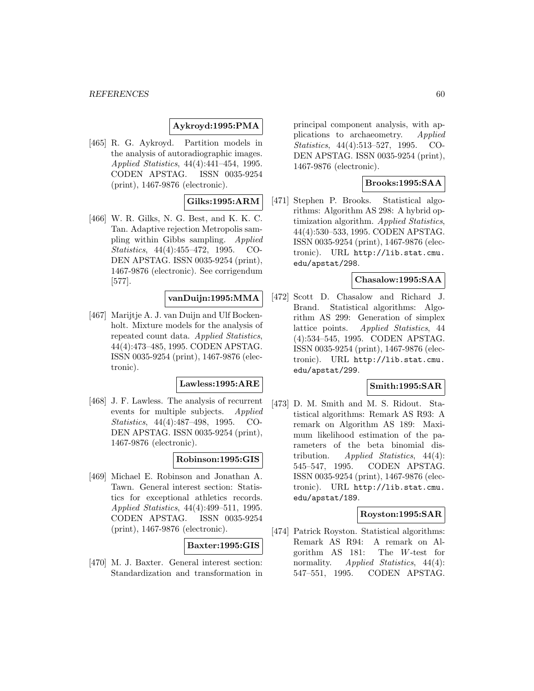# **Aykroyd:1995:PMA**

[465] R. G. Aykroyd. Partition models in the analysis of autoradiographic images. Applied Statistics, 44(4):441–454, 1995. CODEN APSTAG. ISSN 0035-9254 (print), 1467-9876 (electronic).

# **Gilks:1995:ARM**

[466] W. R. Gilks, N. G. Best, and K. K. C. Tan. Adaptive rejection Metropolis sampling within Gibbs sampling. Applied Statistics, 44(4):455–472, 1995. CO-DEN APSTAG. ISSN 0035-9254 (print), 1467-9876 (electronic). See corrigendum [577].

# **vanDuijn:1995:MMA**

[467] Marijtje A. J. van Duijn and Ulf Bockenholt. Mixture models for the analysis of repeated count data. Applied Statistics, 44(4):473–485, 1995. CODEN APSTAG. ISSN 0035-9254 (print), 1467-9876 (electronic).

#### **Lawless:1995:ARE**

[468] J. F. Lawless. The analysis of recurrent events for multiple subjects. Applied Statistics, 44(4):487–498, 1995. CO-DEN APSTAG. ISSN 0035-9254 (print), 1467-9876 (electronic).

### **Robinson:1995:GIS**

[469] Michael E. Robinson and Jonathan A. Tawn. General interest section: Statistics for exceptional athletics records. Applied Statistics, 44(4):499–511, 1995. CODEN APSTAG. ISSN 0035-9254 (print), 1467-9876 (electronic).

### **Baxter:1995:GIS**

[470] M. J. Baxter. General interest section: Standardization and transformation in principal component analysis, with applications to archaeometry. Applied Statistics, 44(4):513–527, 1995. CO-DEN APSTAG. ISSN 0035-9254 (print), 1467-9876 (electronic).

# **Brooks:1995:SAA**

[471] Stephen P. Brooks. Statistical algorithms: Algorithm AS 298: A hybrid optimization algorithm. Applied Statistics, 44(4):530–533, 1995. CODEN APSTAG. ISSN 0035-9254 (print), 1467-9876 (electronic). URL http://lib.stat.cmu. edu/apstat/298.

#### **Chasalow:1995:SAA**

[472] Scott D. Chasalow and Richard J. Brand. Statistical algorithms: Algorithm AS 299: Generation of simplex lattice points. Applied Statistics, 44 (4):534–545, 1995. CODEN APSTAG. ISSN 0035-9254 (print), 1467-9876 (electronic). URL http://lib.stat.cmu. edu/apstat/299.

### **Smith:1995:SAR**

[473] D. M. Smith and M. S. Ridout. Statistical algorithms: Remark AS R93: A remark on Algorithm AS 189: Maximum likelihood estimation of the parameters of the beta binomial distribution. Applied Statistics,  $44(4)$ : 545–547, 1995. CODEN APSTAG. ISSN 0035-9254 (print), 1467-9876 (electronic). URL http://lib.stat.cmu. edu/apstat/189.

### **Royston:1995:SAR**

[474] Patrick Royston. Statistical algorithms: Remark AS R94: A remark on Algorithm AS 181: The W-test for normality. Applied Statistics, 44(4): 547–551, 1995. CODEN APSTAG.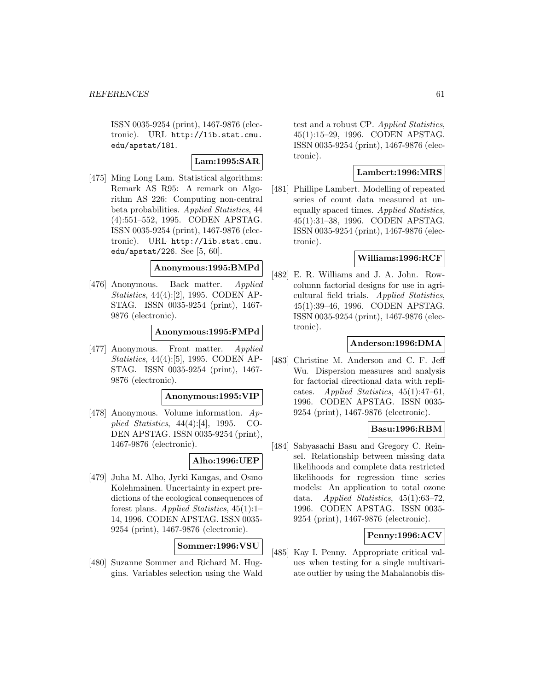ISSN 0035-9254 (print), 1467-9876 (electronic). URL http://lib.stat.cmu. edu/apstat/181.

**Lam:1995:SAR**

[475] Ming Long Lam. Statistical algorithms: Remark AS R95: A remark on Algorithm AS 226: Computing non-central beta probabilities. Applied Statistics, 44 (4):551–552, 1995. CODEN APSTAG. ISSN 0035-9254 (print), 1467-9876 (electronic). URL http://lib.stat.cmu. edu/apstat/226. See [5, 60].

# **Anonymous:1995:BMPd**

[476] Anonymous. Back matter. Applied Statistics, 44(4):[2], 1995. CODEN AP-STAG. ISSN 0035-9254 (print), 1467- 9876 (electronic).

**Anonymous:1995:FMPd**

[477] Anonymous. Front matter. Applied Statistics, 44(4):[5], 1995. CODEN AP-STAG. ISSN 0035-9254 (print), 1467- 9876 (electronic).

#### **Anonymous:1995:VIP**

[478] Anonymous. Volume information. Applied Statistics, 44(4):[4], 1995. CO-DEN APSTAG. ISSN 0035-9254 (print), 1467-9876 (electronic).

### **Alho:1996:UEP**

[479] Juha M. Alho, Jyrki Kangas, and Osmo Kolehmainen. Uncertainty in expert predictions of the ecological consequences of forest plans. Applied Statistics, 45(1):1– 14, 1996. CODEN APSTAG. ISSN 0035- 9254 (print), 1467-9876 (electronic).

# **Sommer:1996:VSU**

[480] Suzanne Sommer and Richard M. Huggins. Variables selection using the Wald

test and a robust CP. Applied Statistics, 45(1):15–29, 1996. CODEN APSTAG. ISSN 0035-9254 (print), 1467-9876 (electronic).

## **Lambert:1996:MRS**

[481] Phillipe Lambert. Modelling of repeated series of count data measured at unequally spaced times. Applied Statistics, 45(1):31–38, 1996. CODEN APSTAG. ISSN 0035-9254 (print), 1467-9876 (electronic).

# **Williams:1996:RCF**

[482] E. R. Williams and J. A. John. Rowcolumn factorial designs for use in agricultural field trials. Applied Statistics, 45(1):39–46, 1996. CODEN APSTAG. ISSN 0035-9254 (print), 1467-9876 (electronic).

## **Anderson:1996:DMA**

[483] Christine M. Anderson and C. F. Jeff Wu. Dispersion measures and analysis for factorial directional data with replicates. Applied Statistics, 45(1):47–61, 1996. CODEN APSTAG. ISSN 0035- 9254 (print), 1467-9876 (electronic).

### **Basu:1996:RBM**

[484] Sabyasachi Basu and Gregory C. Reinsel. Relationship between missing data likelihoods and complete data restricted likelihoods for regression time series models: An application to total ozone data. Applied Statistics, 45(1):63–72, 1996. CODEN APSTAG. ISSN 0035- 9254 (print), 1467-9876 (electronic).

### **Penny:1996:ACV**

[485] Kay I. Penny. Appropriate critical values when testing for a single multivariate outlier by using the Mahalanobis dis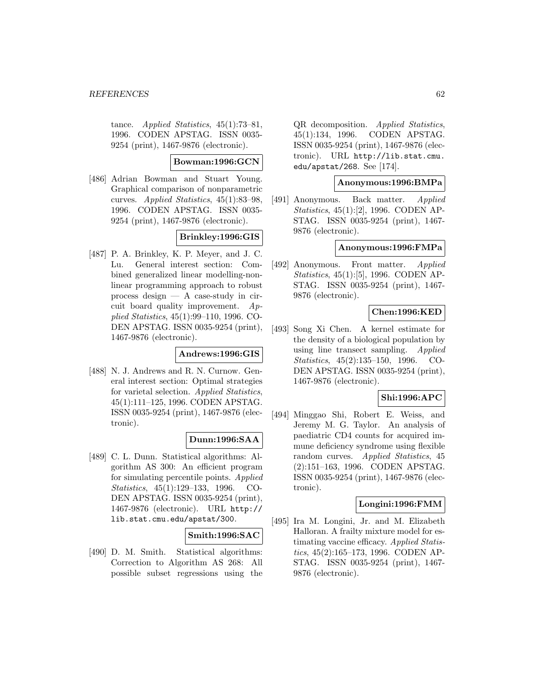tance. Applied Statistics, 45(1):73-81, 1996. CODEN APSTAG. ISSN 0035- 9254 (print), 1467-9876 (electronic).

#### **Bowman:1996:GCN**

[486] Adrian Bowman and Stuart Young. Graphical comparison of nonparametric curves. Applied Statistics, 45(1):83–98, 1996. CODEN APSTAG. ISSN 0035- 9254 (print), 1467-9876 (electronic).

# **Brinkley:1996:GIS**

[487] P. A. Brinkley, K. P. Meyer, and J. C. Lu. General interest section: Combined generalized linear modelling-nonlinear programming approach to robust process design — A case-study in circuit board quality improvement. Applied Statistics, 45(1):99–110, 1996. CO-DEN APSTAG. ISSN 0035-9254 (print), 1467-9876 (electronic).

### **Andrews:1996:GIS**

[488] N. J. Andrews and R. N. Curnow. General interest section: Optimal strategies for varietal selection. Applied Statistics, 45(1):111–125, 1996. CODEN APSTAG. ISSN 0035-9254 (print), 1467-9876 (electronic).

# **Dunn:1996:SAA**

[489] C. L. Dunn. Statistical algorithms: Algorithm AS 300: An efficient program for simulating percentile points. Applied Statistics, 45(1):129–133, 1996. CO-DEN APSTAG. ISSN 0035-9254 (print), 1467-9876 (electronic). URL http:// lib.stat.cmu.edu/apstat/300.

### **Smith:1996:SAC**

[490] D. M. Smith. Statistical algorithms: Correction to Algorithm AS 268: All possible subset regressions using the QR decomposition. Applied Statistics, 45(1):134, 1996. CODEN APSTAG. ISSN 0035-9254 (print), 1467-9876 (electronic). URL http://lib.stat.cmu. edu/apstat/268. See [174].

# **Anonymous:1996:BMPa**

[491] Anonymous. Back matter. Applied Statistics, 45(1):[2], 1996. CODEN AP-STAG. ISSN 0035-9254 (print), 1467- 9876 (electronic).

# **Anonymous:1996:FMPa**

[492] Anonymous. Front matter. Applied Statistics, 45(1):[5], 1996. CODEN AP-STAG. ISSN 0035-9254 (print), 1467- 9876 (electronic).

# **Chen:1996:KED**

[493] Song Xi Chen. A kernel estimate for the density of a biological population by using line transect sampling. Applied Statistics, 45(2):135–150, 1996. CO-DEN APSTAG. ISSN 0035-9254 (print), 1467-9876 (electronic).

### **Shi:1996:APC**

[494] Minggao Shi, Robert E. Weiss, and Jeremy M. G. Taylor. An analysis of paediatric CD4 counts for acquired immune deficiency syndrome using flexible random curves. Applied Statistics, 45 (2):151–163, 1996. CODEN APSTAG. ISSN 0035-9254 (print), 1467-9876 (electronic).

### **Longini:1996:FMM**

[495] Ira M. Longini, Jr. and M. Elizabeth Halloran. A frailty mixture model for estimating vaccine efficacy. Applied Statistics, 45(2):165–173, 1996. CODEN AP-STAG. ISSN 0035-9254 (print), 1467- 9876 (electronic).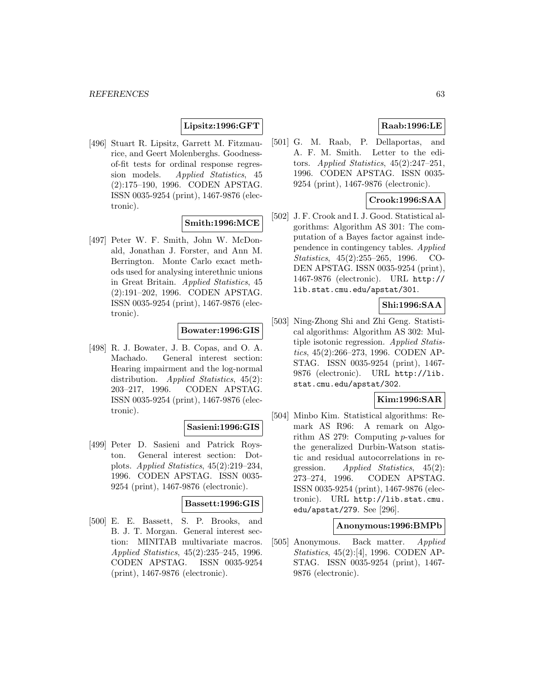# **Lipsitz:1996:GFT**

[496] Stuart R. Lipsitz, Garrett M. Fitzmaurice, and Geert Molenberghs. Goodnessof-fit tests for ordinal response regression models. Applied Statistics, 45 (2):175–190, 1996. CODEN APSTAG. ISSN 0035-9254 (print), 1467-9876 (electronic).

# **Smith:1996:MCE**

[497] Peter W. F. Smith, John W. McDonald, Jonathan J. Forster, and Ann M. Berrington. Monte Carlo exact methods used for analysing interethnic unions in Great Britain. Applied Statistics, 45 (2):191–202, 1996. CODEN APSTAG. ISSN 0035-9254 (print), 1467-9876 (electronic).

# **Bowater:1996:GIS**

[498] R. J. Bowater, J. B. Copas, and O. A. Machado. General interest section: Hearing impairment and the log-normal distribution. Applied Statistics, 45(2): 203–217, 1996. CODEN APSTAG. ISSN 0035-9254 (print), 1467-9876 (electronic).

# **Sasieni:1996:GIS**

[499] Peter D. Sasieni and Patrick Royston. General interest section: Dotplots. Applied Statistics, 45(2):219–234, 1996. CODEN APSTAG. ISSN 0035- 9254 (print), 1467-9876 (electronic).

# **Bassett:1996:GIS**

[500] E. E. Bassett, S. P. Brooks, and B. J. T. Morgan. General interest section: MINITAB multivariate macros. Applied Statistics, 45(2):235–245, 1996. CODEN APSTAG. ISSN 0035-9254 (print), 1467-9876 (electronic).

# **Raab:1996:LE**

[501] G. M. Raab, P. Dellaportas, and A. F. M. Smith. Letter to the editors. Applied Statistics,  $45(2):247-251$ , 1996. CODEN APSTAG. ISSN 0035- 9254 (print), 1467-9876 (electronic).

#### **Crook:1996:SAA**

[502] J. F. Crook and I. J. Good. Statistical algorithms: Algorithm AS 301: The computation of a Bayes factor against independence in contingency tables. Applied Statistics, 45(2):255–265, 1996. CO-DEN APSTAG. ISSN 0035-9254 (print), 1467-9876 (electronic). URL http:// lib.stat.cmu.edu/apstat/301.

# **Shi:1996:SAA**

[503] Ning-Zhong Shi and Zhi Geng. Statistical algorithms: Algorithm AS 302: Multiple isotonic regression. Applied Statistics, 45(2):266–273, 1996. CODEN AP-STAG. ISSN 0035-9254 (print), 1467- 9876 (electronic). URL http://lib. stat.cmu.edu/apstat/302.

### **Kim:1996:SAR**

[504] Minbo Kim. Statistical algorithms: Remark AS R96: A remark on Algorithm AS 279: Computing p-values for the generalized Durbin-Watson statistic and residual autocorrelations in regression. Applied Statistics, 45(2): 273–274, 1996. CODEN APSTAG. ISSN 0035-9254 (print), 1467-9876 (electronic). URL http://lib.stat.cmu. edu/apstat/279. See [296].

#### **Anonymous:1996:BMPb**

[505] Anonymous. Back matter. Applied Statistics, 45(2):[4], 1996. CODEN AP-STAG. ISSN 0035-9254 (print), 1467- 9876 (electronic).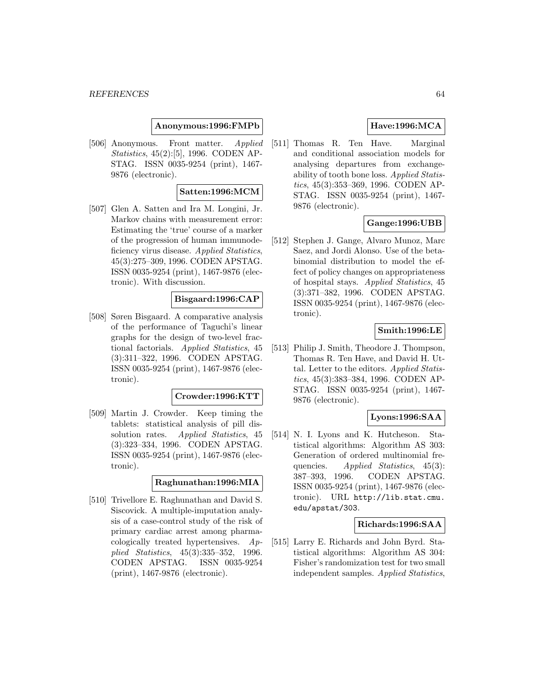#### **Anonymous:1996:FMPb**

[506] Anonymous. Front matter. Applied Statistics, 45(2):[5], 1996. CODEN AP-STAG. ISSN 0035-9254 (print), 1467- 9876 (electronic).

#### **Satten:1996:MCM**

[507] Glen A. Satten and Ira M. Longini, Jr. Markov chains with measurement error: Estimating the 'true' course of a marker of the progression of human immunodeficiency virus disease. Applied Statistics, 45(3):275–309, 1996. CODEN APSTAG. ISSN 0035-9254 (print), 1467-9876 (electronic). With discussion.

### **Bisgaard:1996:CAP**

[508] Søren Bisgaard. A comparative analysis of the performance of Taguchi's linear graphs for the design of two-level fractional factorials. Applied Statistics, 45 (3):311–322, 1996. CODEN APSTAG. ISSN 0035-9254 (print), 1467-9876 (electronic).

#### **Crowder:1996:KTT**

[509] Martin J. Crowder. Keep timing the tablets: statistical analysis of pill dissolution rates. Applied Statistics, 45 (3):323–334, 1996. CODEN APSTAG. ISSN 0035-9254 (print), 1467-9876 (electronic).

### **Raghunathan:1996:MIA**

[510] Trivellore E. Raghunathan and David S. Siscovick. A multiple-imputation analysis of a case-control study of the risk of primary cardiac arrest among pharmacologically treated hypertensives. Applied Statistics, 45(3):335–352, 1996. CODEN APSTAG. ISSN 0035-9254 (print), 1467-9876 (electronic).

# **Have:1996:MCA**

[511] Thomas R. Ten Have. Marginal and conditional association models for analysing departures from exchangeability of tooth bone loss. Applied Statistics, 45(3):353–369, 1996. CODEN AP-STAG. ISSN 0035-9254 (print), 1467- 9876 (electronic).

### **Gange:1996:UBB**

[512] Stephen J. Gange, Alvaro Munoz, Marc Saez, and Jordi Alonso. Use of the betabinomial distribution to model the effect of policy changes on appropriateness of hospital stays. Applied Statistics, 45 (3):371–382, 1996. CODEN APSTAG. ISSN 0035-9254 (print), 1467-9876 (electronic).

### **Smith:1996:LE**

[513] Philip J. Smith, Theodore J. Thompson, Thomas R. Ten Have, and David H. Uttal. Letter to the editors. Applied Statistics, 45(3):383–384, 1996. CODEN AP-STAG. ISSN 0035-9254 (print), 1467- 9876 (electronic).

## **Lyons:1996:SAA**

[514] N. I. Lyons and K. Hutcheson. Statistical algorithms: Algorithm AS 303: Generation of ordered multinomial frequencies. Applied Statistics, 45(3): 387–393, 1996. CODEN APSTAG. ISSN 0035-9254 (print), 1467-9876 (electronic). URL http://lib.stat.cmu. edu/apstat/303.

#### **Richards:1996:SAA**

[515] Larry E. Richards and John Byrd. Statistical algorithms: Algorithm AS 304: Fisher's randomization test for two small independent samples. Applied Statistics,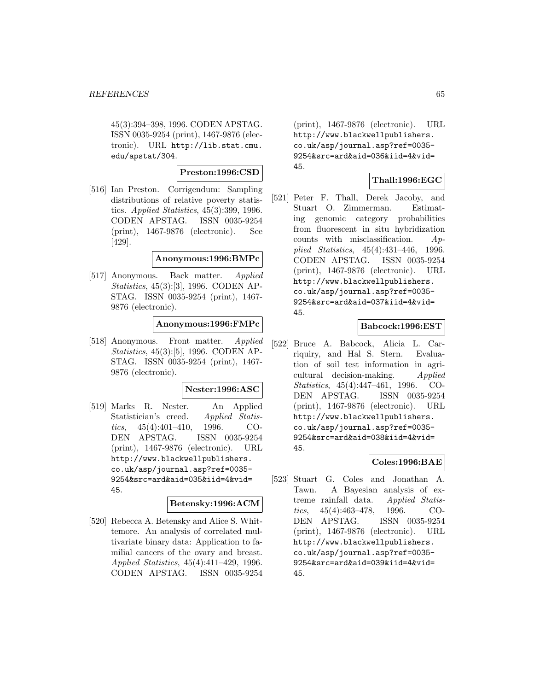45(3):394–398, 1996. CODEN APSTAG. ISSN 0035-9254 (print), 1467-9876 (electronic). URL http://lib.stat.cmu. edu/apstat/304.

#### **Preston:1996:CSD**

[516] Ian Preston. Corrigendum: Sampling distributions of relative poverty statistics. Applied Statistics, 45(3):399, 1996. CODEN APSTAG. ISSN 0035-9254 (print), 1467-9876 (electronic). See [429].

#### **Anonymous:1996:BMPc**

[517] Anonymous. Back matter. Applied Statistics, 45(3):[3], 1996. CODEN AP-STAG. ISSN 0035-9254 (print), 1467- 9876 (electronic).

### **Anonymous:1996:FMPc**

[518] Anonymous. Front matter. Applied Statistics, 45(3):[5], 1996. CODEN AP-STAG. ISSN 0035-9254 (print), 1467- 9876 (electronic).

#### **Nester:1996:ASC**

[519] Marks R. Nester. An Applied Statistician's creed. Applied Statistics, 45(4):401–410, 1996. CO-DEN APSTAG. ISSN 0035-9254 (print), 1467-9876 (electronic). URL http://www.blackwellpublishers. co.uk/asp/journal.asp?ref=0035- 9254&src=ard&aid=035&iid=4&vid= 45.

# **Betensky:1996:ACM**

[520] Rebecca A. Betensky and Alice S. Whittemore. An analysis of correlated multivariate binary data: Application to familial cancers of the ovary and breast. Applied Statistics, 45(4):411–429, 1996. CODEN APSTAG. ISSN 0035-9254

(print), 1467-9876 (electronic). URL http://www.blackwellpublishers. co.uk/asp/journal.asp?ref=0035- 9254&src=ard&aid=036&iid=4&vid= 45.

# **Thall:1996:EGC**

[521] Peter F. Thall, Derek Jacoby, and Stuart O. Zimmerman. Estimating genomic category probabilities from fluorescent in situ hybridization counts with misclassification.  $Ap$ plied Statistics, 45(4):431–446, 1996. CODEN APSTAG. ISSN 0035-9254 (print), 1467-9876 (electronic). URL http://www.blackwellpublishers. co.uk/asp/journal.asp?ref=0035- 9254&src=ard&aid=037&iid=4&vid= 45.

### **Babcock:1996:EST**

[522] Bruce A. Babcock, Alicia L. Carriquiry, and Hal S. Stern. Evaluation of soil test information in agricultural decision-making. Applied Statistics, 45(4):447–461, 1996. CO-DEN APSTAG. ISSN 0035-9254 (print), 1467-9876 (electronic). URL http://www.blackwellpublishers. co.uk/asp/journal.asp?ref=0035- 9254&src=ard&aid=038&iid=4&vid= 45.

## **Coles:1996:BAE**

[523] Stuart G. Coles and Jonathan A. Tawn. A Bayesian analysis of extreme rainfall data. Applied Statistics, 45(4):463–478, 1996. CO-DEN APSTAG. ISSN 0035-9254 (print), 1467-9876 (electronic). URL http://www.blackwellpublishers. co.uk/asp/journal.asp?ref=0035- 9254&src=ard&aid=039&iid=4&vid= 45.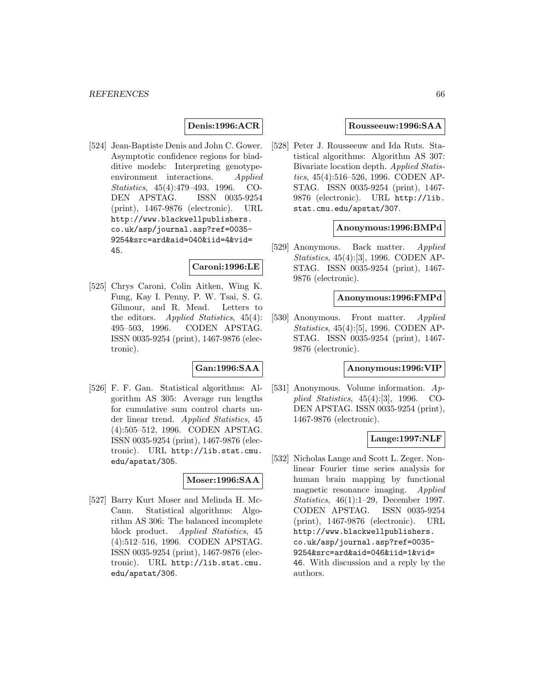## **Denis:1996:ACR**

[524] Jean-Baptiste Denis and John C. Gower. Asymptotic confidence regions for biadditive models: Interpreting genotypeenvironment interactions. Applied Statistics, 45(4):479–493, 1996. CO-DEN APSTAG. ISSN 0035-9254 (print), 1467-9876 (electronic). URL http://www.blackwellpublishers. co.uk/asp/journal.asp?ref=0035- 9254&src=ard&aid=040&iid=4&vid= 45.

#### **Caroni:1996:LE**

[525] Chrys Caroni, Colin Aitken, Wing K. Fung, Kay I. Penny, P. W. Tsai, S. G. Gilmour, and R. Mead. Letters to the editors. Applied Statistics, 45(4): 495–503, 1996. CODEN APSTAG. ISSN 0035-9254 (print), 1467-9876 (electronic).

## **Gan:1996:SAA**

[526] F. F. Gan. Statistical algorithms: Algorithm AS 305: Average run lengths for cumulative sum control charts under linear trend. Applied Statistics, 45 (4):505–512, 1996. CODEN APSTAG. ISSN 0035-9254 (print), 1467-9876 (electronic). URL http://lib.stat.cmu. edu/apstat/305.

# **Moser:1996:SAA**

[527] Barry Kurt Moser and Melinda H. Mc-Cann. Statistical algorithms: Algorithm AS 306: The balanced incomplete block product. Applied Statistics, 45 (4):512–516, 1996. CODEN APSTAG. ISSN 0035-9254 (print), 1467-9876 (electronic). URL http://lib.stat.cmu. edu/apstat/306.

#### **Rousseeuw:1996:SAA**

[528] Peter J. Rousseeuw and Ida Ruts. Statistical algorithms: Algorithm AS 307: Bivariate location depth. Applied Statistics, 45(4):516–526, 1996. CODEN AP-STAG. ISSN 0035-9254 (print), 1467- 9876 (electronic). URL http://lib. stat.cmu.edu/apstat/307.

#### **Anonymous:1996:BMPd**

[529] Anonymous. Back matter. Applied Statistics, 45(4):[3], 1996. CODEN AP-STAG. ISSN 0035-9254 (print), 1467- 9876 (electronic).

#### **Anonymous:1996:FMPd**

[530] Anonymous. Front matter. Applied Statistics, 45(4):[5], 1996. CODEN AP-STAG. ISSN 0035-9254 (print), 1467- 9876 (electronic).

#### **Anonymous:1996:VIP**

[531] Anonymous. Volume information. Applied Statistics, 45(4):[3], 1996. CO-DEN APSTAG. ISSN 0035-9254 (print), 1467-9876 (electronic).

#### **Lange:1997:NLF**

[532] Nicholas Lange and Scott L. Zeger. Nonlinear Fourier time series analysis for human brain mapping by functional magnetic resonance imaging. Applied Statistics, 46(1):1–29, December 1997. CODEN APSTAG. ISSN 0035-9254 (print), 1467-9876 (electronic). URL http://www.blackwellpublishers. co.uk/asp/journal.asp?ref=0035- 9254&src=ard&aid=046&iid=1&vid= 46. With discussion and a reply by the authors.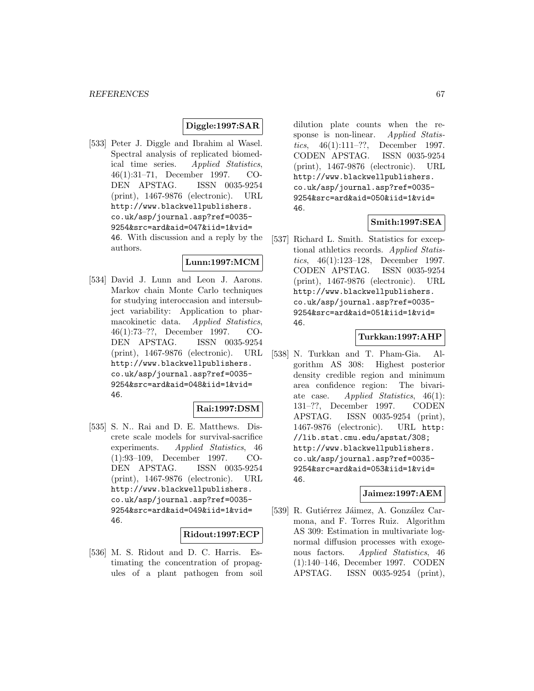## **Diggle:1997:SAR**

[533] Peter J. Diggle and Ibrahim al Wasel. Spectral analysis of replicated biomedical time series. Applied Statistics, 46(1):31–71, December 1997. CO-DEN APSTAG. ISSN 0035-9254 (print), 1467-9876 (electronic). URL http://www.blackwellpublishers. co.uk/asp/journal.asp?ref=0035- 9254&src=ard&aid=047&iid=1&vid= 46. With discussion and a reply by the authors.

### **Lunn:1997:MCM**

[534] David J. Lunn and Leon J. Aarons. Markov chain Monte Carlo techniques for studying interoccasion and intersubject variability: Application to pharmacokinetic data. Applied Statistics, 46(1):73–??, December 1997. CO-DEN APSTAG. ISSN 0035-9254 (print), 1467-9876 (electronic). URL http://www.blackwellpublishers. co.uk/asp/journal.asp?ref=0035- 9254&src=ard&aid=048&iid=1&vid= 46.

### **Rai:1997:DSM**

[535] S. N.. Rai and D. E. Matthews. Discrete scale models for survival-sacrifice experiments. Applied Statistics, 46 (1):93–109, December 1997. CO-DEN APSTAG. ISSN 0035-9254 (print), 1467-9876 (electronic). URL http://www.blackwellpublishers. co.uk/asp/journal.asp?ref=0035- 9254&src=ard&aid=049&iid=1&vid= 46.

#### **Ridout:1997:ECP**

[536] M. S. Ridout and D. C. Harris. Estimating the concentration of propagules of a plant pathogen from soil dilution plate counts when the response is non-linear. Applied Statistics, 46(1):111–??, December 1997. CODEN APSTAG. ISSN 0035-9254 (print), 1467-9876 (electronic). URL http://www.blackwellpublishers. co.uk/asp/journal.asp?ref=0035- 9254&src=ard&aid=050&iid=1&vid= 46.

# **Smith:1997:SEA**

[537] Richard L. Smith. Statistics for exceptional athletics records. Applied Statistics, 46(1):123–128, December 1997. CODEN APSTAG. ISSN 0035-9254 (print), 1467-9876 (electronic). URL http://www.blackwellpublishers. co.uk/asp/journal.asp?ref=0035- 9254&src=ard&aid=051&iid=1&vid= 46.

#### **Turkkan:1997:AHP**

[538] N. Turkkan and T. Pham-Gia. Algorithm AS 308: Highest posterior density credible region and minimum area confidence region: The bivariate case. Applied Statistics, 46(1): 131–??, December 1997. CODEN APSTAG. ISSN 0035-9254 (print), 1467-9876 (electronic). URL http: //lib.stat.cmu.edu/apstat/308; http://www.blackwellpublishers. co.uk/asp/journal.asp?ref=0035- 9254&src=ard&aid=053&iid=1&vid= 46.

#### **Jaimez:1997:AEM**

[539] R. Gutiérrez Jáimez, A. González Carmona, and F. Torres Ruiz. Algorithm AS 309: Estimation in multivariate lognormal diffusion processes with exogenous factors. Applied Statistics, 46 (1):140–146, December 1997. CODEN APSTAG. ISSN 0035-9254 (print),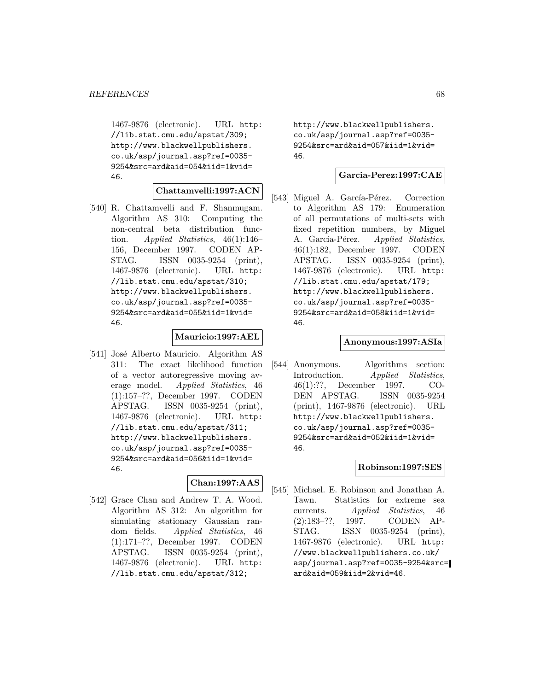1467-9876 (electronic). URL http: //lib.stat.cmu.edu/apstat/309; http://www.blackwellpublishers. co.uk/asp/journal.asp?ref=0035- 9254&src=ard&aid=054&iid=1&vid= 46.

# **Chattamvelli:1997:ACN**

[540] R. Chattamvelli and F. Shanmugam. Algorithm AS 310: Computing the non-central beta distribution function. Applied Statistics, 46(1):146– 156, December 1997. CODEN AP-STAG. ISSN 0035-9254 (print), 1467-9876 (electronic). URL http: //lib.stat.cmu.edu/apstat/310; http://www.blackwellpublishers. co.uk/asp/journal.asp?ref=0035- 9254&src=ard&aid=055&iid=1&vid= 46.

## **Mauricio:1997:AEL**

[541] José Alberto Mauricio. Algorithm AS 311: The exact likelihood function of a vector autoregressive moving average model. Applied Statistics, 46 (1):157–??, December 1997. CODEN APSTAG. ISSN 0035-9254 (print), 1467-9876 (electronic). URL http: //lib.stat.cmu.edu/apstat/311; http://www.blackwellpublishers. co.uk/asp/journal.asp?ref=0035- 9254&src=ard&aid=056&iid=1&vid= 46.

# **Chan:1997:AAS**

[542] Grace Chan and Andrew T. A. Wood. Algorithm AS 312: An algorithm for simulating stationary Gaussian random fields. Applied Statistics, 46 (1):171–??, December 1997. CODEN APSTAG. ISSN 0035-9254 (print), 1467-9876 (electronic). URL http: //lib.stat.cmu.edu/apstat/312;

http://www.blackwellpublishers. co.uk/asp/journal.asp?ref=0035- 9254&src=ard&aid=057&iid=1&vid= 46.

#### **Garcia-Perez:1997:CAE**

[543] Miguel A. García-Pérez. Correction to Algorithm AS 179: Enumeration of all permutations of multi-sets with fixed repetition numbers, by Miguel A. García-Pérez. Applied Statistics, 46(1):182, December 1997. CODEN APSTAG. ISSN 0035-9254 (print), 1467-9876 (electronic). URL http: //lib.stat.cmu.edu/apstat/179; http://www.blackwellpublishers. co.uk/asp/journal.asp?ref=0035- 9254&src=ard&aid=058&iid=1&vid= 46.

#### **Anonymous:1997:ASIa**

[544] Anonymous. Algorithms section: Introduction. Applied Statistics, 46(1):??, December 1997. CO-DEN APSTAG. ISSN 0035-9254 (print), 1467-9876 (electronic). URL http://www.blackwellpublishers. co.uk/asp/journal.asp?ref=0035- 9254&src=ard&aid=052&iid=1&vid= 46.

#### **Robinson:1997:SES**

[545] Michael. E. Robinson and Jonathan A. Tawn. Statistics for extreme sea currents. Applied Statistics, 46 (2):183–??, 1997. CODEN AP-STAG. ISSN 0035-9254 (print), 1467-9876 (electronic). URL http: //www.blackwellpublishers.co.uk/ asp/journal.asp?ref=0035-9254&src= ard&aid=059&iid=2&vid=46.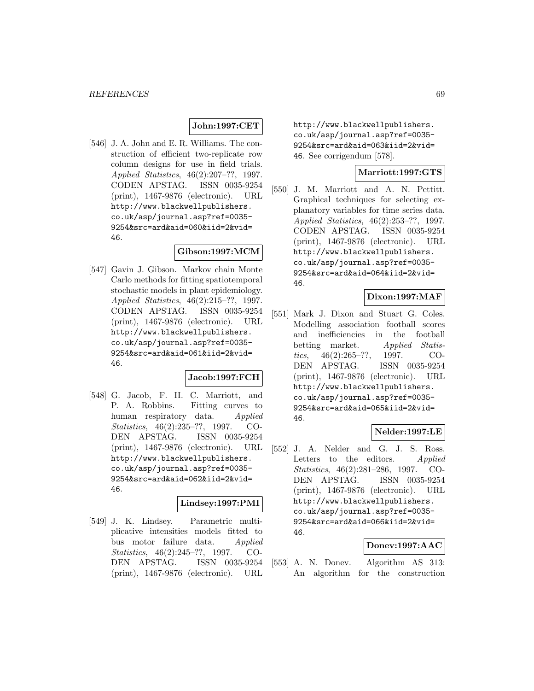# **John:1997:CET**

[546] J. A. John and E. R. Williams. The construction of efficient two-replicate row column designs for use in field trials. Applied Statistics, 46(2):207–??, 1997. CODEN APSTAG. ISSN 0035-9254 (print), 1467-9876 (electronic). URL http://www.blackwellpublishers. co.uk/asp/journal.asp?ref=0035- 9254&src=ard&aid=060&iid=2&vid= 46.

### **Gibson:1997:MCM**

[547] Gavin J. Gibson. Markov chain Monte Carlo methods for fitting spatiotemporal stochastic models in plant epidemiology. Applied Statistics, 46(2):215–??, 1997. CODEN APSTAG. ISSN 0035-9254 (print), 1467-9876 (electronic). URL http://www.blackwellpublishers. co.uk/asp/journal.asp?ref=0035- 9254&src=ard&aid=061&iid=2&vid= 46.

#### **Jacob:1997:FCH**

[548] G. Jacob, F. H. C. Marriott, and P. A. Robbins. Fitting curves to human respiratory data. Applied Statistics, 46(2):235–??, 1997. CO-DEN APSTAG. ISSN 0035-9254 (print), 1467-9876 (electronic). URL http://www.blackwellpublishers. co.uk/asp/journal.asp?ref=0035- 9254&src=ard&aid=062&iid=2&vid= 46.

## **Lindsey:1997:PMI**

[549] J. K. Lindsey. Parametric multiplicative intensities models fitted to bus motor failure data. Applied Statistics, 46(2):245–??, 1997. CO-DEN APSTAG. ISSN 0035-9254 (print), 1467-9876 (electronic). URL

http://www.blackwellpublishers. co.uk/asp/journal.asp?ref=0035- 9254&src=ard&aid=063&iid=2&vid= 46. See corrigendum [578].

### **Marriott:1997:GTS**

[550] J. M. Marriott and A. N. Pettitt. Graphical techniques for selecting explanatory variables for time series data. Applied Statistics, 46(2):253–??, 1997. CODEN APSTAG. ISSN 0035-9254 (print), 1467-9876 (electronic). URL http://www.blackwellpublishers. co.uk/asp/journal.asp?ref=0035- 9254&src=ard&aid=064&iid=2&vid= 46.

#### **Dixon:1997:MAF**

[551] Mark J. Dixon and Stuart G. Coles. Modelling association football scores and inefficiencies in the football betting market. Applied Statistics, 46(2):265–??, 1997. CO-DEN APSTAG. ISSN 0035-9254 (print), 1467-9876 (electronic). URL http://www.blackwellpublishers. co.uk/asp/journal.asp?ref=0035- 9254&src=ard&aid=065&iid=2&vid= 46.

# **Nelder:1997:LE**

[552] J. A. Nelder and G. J. S. Ross. Letters to the editors. Applied Statistics, 46(2):281–286, 1997. CO-DEN APSTAG. ISSN 0035-9254 (print), 1467-9876 (electronic). URL http://www.blackwellpublishers. co.uk/asp/journal.asp?ref=0035- 9254&src=ard&aid=066&iid=2&vid= 46.

#### **Donev:1997:AAC**

[553] A. N. Donev. Algorithm AS 313: An algorithm for the construction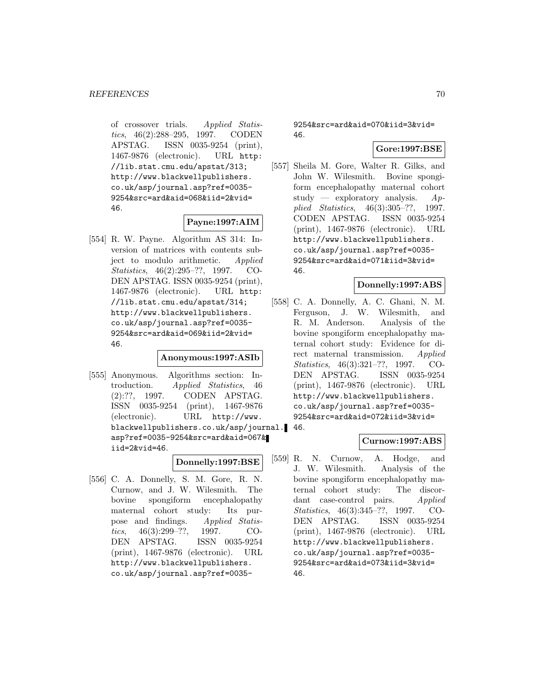of crossover trials. Applied Statistics, 46(2):288–295, 1997. CODEN APSTAG. ISSN 0035-9254 (print), 1467-9876 (electronic). URL http: //lib.stat.cmu.edu/apstat/313; http://www.blackwellpublishers. co.uk/asp/journal.asp?ref=0035- 9254&src=ard&aid=068&iid=2&vid= 46.

### **Payne:1997:AIM**

[554] R. W. Payne. Algorithm AS 314: Inversion of matrices with contents subject to modulo arithmetic. Applied Statistics, 46(2):295–??, 1997. CO-DEN APSTAG. ISSN 0035-9254 (print), 1467-9876 (electronic). URL http: //lib.stat.cmu.edu/apstat/314; http://www.blackwellpublishers. co.uk/asp/journal.asp?ref=0035- 9254&src=ard&aid=069&iid=2&vid= 46.

### **Anonymous:1997:ASIb**

[555] Anonymous. Algorithms section: Introduction. Applied Statistics, 46 (2):??, 1997. CODEN APSTAG. ISSN 0035-9254 (print), 1467-9876 (electronic). URL http://www. blackwellpublishers.co.uk/asp/journal. 46. asp?ref=0035-9254&src=ard&aid=067& iid=2&vid=46.

#### **Donnelly:1997:BSE**

[556] C. A. Donnelly, S. M. Gore, R. N. Curnow, and J. W. Wilesmith. The bovine spongiform encephalopathy maternal cohort study: Its purpose and findings. Applied Statistics, 46(3):299–??, 1997. CO-DEN APSTAG. ISSN 0035-9254 (print), 1467-9876 (electronic). URL http://www.blackwellpublishers. co.uk/asp/journal.asp?ref=00359254&src=ard&aid=070&iid=3&vid= 46.

# **Gore:1997:BSE**

[557] Sheila M. Gore, Walter R. Gilks, and John W. Wilesmith. Bovine spongiform encephalopathy maternal cohort study — exploratory analysis.  $Ap$ plied Statistics, 46(3):305–??, 1997. CODEN APSTAG. ISSN 0035-9254 (print), 1467-9876 (electronic). URL http://www.blackwellpublishers. co.uk/asp/journal.asp?ref=0035- 9254&src=ard&aid=071&iid=3&vid= 46.

#### **Donnelly:1997:ABS**

[558] C. A. Donnelly, A. C. Ghani, N. M. Ferguson, J. W. Wilesmith, and R. M. Anderson. Analysis of the bovine spongiform encephalopathy maternal cohort study: Evidence for direct maternal transmission. Applied Statistics, 46(3):321–??, 1997. CO-DEN APSTAG. ISSN 0035-9254 (print), 1467-9876 (electronic). URL http://www.blackwellpublishers. co.uk/asp/journal.asp?ref=0035- 9254&src=ard&aid=072&iid=3&vid=

## **Curnow:1997:ABS**

[559] R. N. Curnow, A. Hodge, and J. W. Wilesmith. Analysis of the bovine spongiform encephalopathy maternal cohort study: The discordant case-control pairs. Applied Statistics, 46(3):345–??, 1997. CO-DEN APSTAG. ISSN 0035-9254 (print), 1467-9876 (electronic). URL http://www.blackwellpublishers. co.uk/asp/journal.asp?ref=0035- 9254&src=ard&aid=073&iid=3&vid= 46.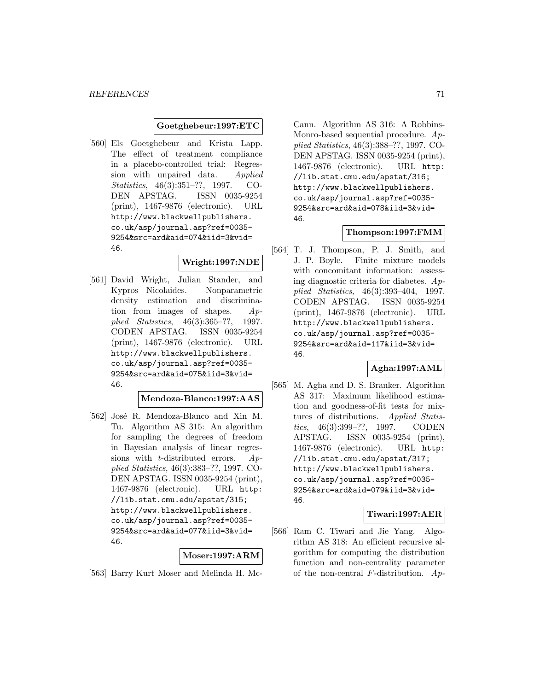#### **Goetghebeur:1997:ETC**

[560] Els Goetghebeur and Krista Lapp. The effect of treatment compliance in a placebo-controlled trial: Regression with unpaired data. Applied Statistics, 46(3):351–??, 1997. CO-DEN APSTAG. ISSN 0035-9254 (print), 1467-9876 (electronic). URL http://www.blackwellpublishers. co.uk/asp/journal.asp?ref=0035- 9254&src=ard&aid=074&iid=3&vid= 46.

# **Wright:1997:NDE**

[561] David Wright, Julian Stander, and Kypros Nicolaides. Nonparametric density estimation and discrimination from images of shapes. Applied Statistics, 46(3):365–??, 1997. CODEN APSTAG. ISSN 0035-9254 (print), 1467-9876 (electronic). URL http://www.blackwellpublishers. co.uk/asp/journal.asp?ref=0035- 9254&src=ard&aid=075&iid=3&vid= 46.

#### **Mendoza-Blanco:1997:AAS**

[562] José R. Mendoza-Blanco and Xin M. Tu. Algorithm AS 315: An algorithm for sampling the degrees of freedom in Bayesian analysis of linear regressions with *t*-distributed errors.  $Ap$ plied Statistics, 46(3):383–??, 1997. CO-DEN APSTAG. ISSN 0035-9254 (print), 1467-9876 (electronic). URL http: //lib.stat.cmu.edu/apstat/315; http://www.blackwellpublishers. co.uk/asp/journal.asp?ref=0035- 9254&src=ard&aid=077&iid=3&vid= 46.

### **Moser:1997:ARM**

[563] Barry Kurt Moser and Melinda H. Mc-

Cann. Algorithm AS 316: A Robbins-Monro-based sequential procedure.  $Ap$ plied Statistics, 46(3):388–??, 1997. CO-DEN APSTAG. ISSN 0035-9254 (print), 1467-9876 (electronic). URL http: //lib.stat.cmu.edu/apstat/316; http://www.blackwellpublishers. co.uk/asp/journal.asp?ref=0035- 9254&src=ard&aid=078&iid=3&vid= 46.

## **Thompson:1997:FMM**

[564] T. J. Thompson, P. J. Smith, and J. P. Boyle. Finite mixture models with concomitant information: assessing diagnostic criteria for diabetes.  $Ap$ plied Statistics, 46(3):393–404, 1997. CODEN APSTAG. ISSN 0035-9254 (print), 1467-9876 (electronic). URL http://www.blackwellpublishers. co.uk/asp/journal.asp?ref=0035- 9254&src=ard&aid=117&iid=3&vid= 46.

## **Agha:1997:AML**

[565] M. Agha and D. S. Branker. Algorithm AS 317: Maximum likelihood estimation and goodness-of-fit tests for mixtures of distributions. Applied Statistics, 46(3):399-??, 1997. CODEN APSTAG. ISSN 0035-9254 (print), 1467-9876 (electronic). URL http: //lib.stat.cmu.edu/apstat/317; http://www.blackwellpublishers. co.uk/asp/journal.asp?ref=0035- 9254&src=ard&aid=079&iid=3&vid= 46.

#### **Tiwari:1997:AER**

[566] Ram C. Tiwari and Jie Yang. Algorithm AS 318: An efficient recursive algorithm for computing the distribution function and non-centrality parameter of the non-central  $F$ -distribution.  $Ap$ -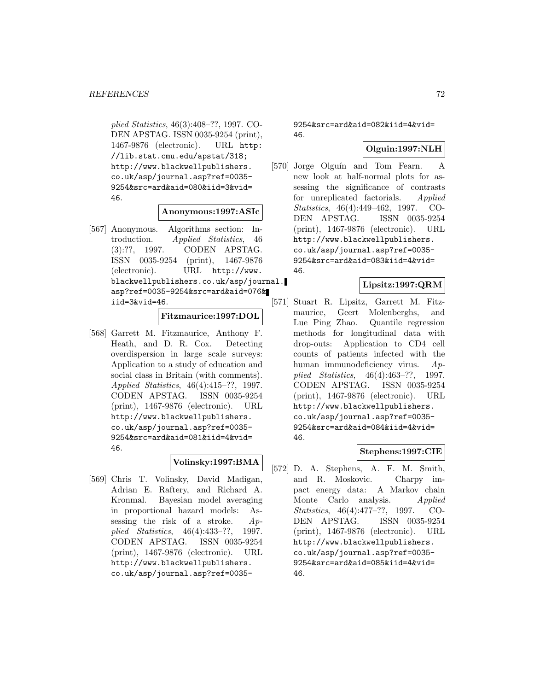plied Statistics, 46(3):408–??, 1997. CO-DEN APSTAG. ISSN 0035-9254 (print), 1467-9876 (electronic). URL http: //lib.stat.cmu.edu/apstat/318; http://www.blackwellpublishers. co.uk/asp/journal.asp?ref=0035- 9254&src=ard&aid=080&iid=3&vid= 46.

#### **Anonymous:1997:ASIc**

[567] Anonymous. Algorithms section: Introduction. Applied Statistics, 46 (3):??, 1997. CODEN APSTAG. ISSN 0035-9254 (print), 1467-9876 (electronic). URL http://www. blackwellpublishers.co.uk/asp/journal. asp?ref=0035-9254&src=ard&aid=076& iid=3&vid=46.

# **Fitzmaurice:1997:DOL**

[568] Garrett M. Fitzmaurice, Anthony F. Heath, and D. R. Cox. Detecting overdispersion in large scale surveys: Application to a study of education and social class in Britain (with comments). Applied Statistics, 46(4):415–??, 1997. CODEN APSTAG. ISSN 0035-9254 (print), 1467-9876 (electronic). URL http://www.blackwellpublishers. co.uk/asp/journal.asp?ref=0035- 9254&src=ard&aid=081&iid=4&vid= 46.

# **Volinsky:1997:BMA**

[569] Chris T. Volinsky, David Madigan, Adrian E. Raftery, and Richard A. Kronmal. Bayesian model averaging in proportional hazard models: Assessing the risk of a stroke. Applied Statistics, 46(4):433–??, 1997. CODEN APSTAG. ISSN 0035-9254 (print), 1467-9876 (electronic). URL http://www.blackwellpublishers. co.uk/asp/journal.asp?ref=00359254&src=ard&aid=082&iid=4&vid= 46.

# **Olguin:1997:NLH**

[570] Jorge Olguín and Tom Fearn. A new look at half-normal plots for assessing the significance of contrasts for unreplicated factorials. Applied Statistics, 46(4):449–462, 1997. CO-DEN APSTAG. ISSN 0035-9254 (print), 1467-9876 (electronic). URL http://www.blackwellpublishers. co.uk/asp/journal.asp?ref=0035- 9254&src=ard&aid=083&iid=4&vid= 46.

### **Lipsitz:1997:QRM**

[571] Stuart R. Lipsitz, Garrett M. Fitzmaurice, Geert Molenberghs, and Lue Ping Zhao. Quantile regression methods for longitudinal data with drop-outs: Application to CD4 cell counts of patients infected with the human immunodeficiency virus. Applied Statistics, 46(4):463–??, 1997. CODEN APSTAG. ISSN 0035-9254 (print), 1467-9876 (electronic). URL http://www.blackwellpublishers. co.uk/asp/journal.asp?ref=0035- 9254&src=ard&aid=084&iid=4&vid= 46.

## **Stephens:1997:CIE**

[572] D. A. Stephens, A. F. M. Smith, and R. Moskovic. Charpy impact energy data: A Markov chain Monte Carlo analysis. Applied Statistics, 46(4):477–??, 1997. CO-DEN APSTAG. ISSN 0035-9254 (print), 1467-9876 (electronic). URL http://www.blackwellpublishers. co.uk/asp/journal.asp?ref=0035- 9254&src=ard&aid=085&iid=4&vid= 46.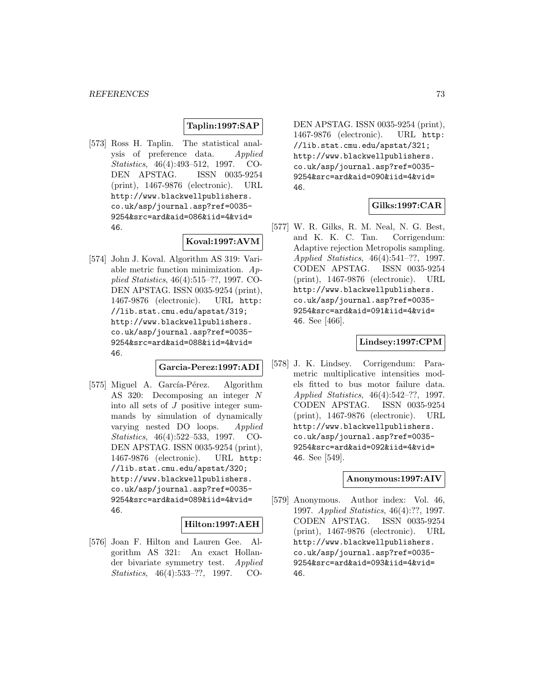# **Taplin:1997:SAP**

[573] Ross H. Taplin. The statistical analysis of preference data. Applied Statistics, 46(4):493–512, 1997. CO-DEN APSTAG. ISSN 0035-9254 (print), 1467-9876 (electronic). URL http://www.blackwellpublishers. co.uk/asp/journal.asp?ref=0035- 9254&src=ard&aid=086&iid=4&vid= 46.

# **Koval:1997:AVM**

[574] John J. Koval. Algorithm AS 319: Variable metric function minimization.  $Ap$ plied Statistics, 46(4):515–??, 1997. CO-DEN APSTAG. ISSN 0035-9254 (print), 1467-9876 (electronic). URL http: //lib.stat.cmu.edu/apstat/319; http://www.blackwellpublishers. co.uk/asp/journal.asp?ref=0035- 9254&src=ard&aid=088&iid=4&vid= 46.

#### **Garcia-Perez:1997:ADI**

[575] Miguel A. García-Pérez. Algorithm AS 320: Decomposing an integer N into all sets of J positive integer summands by simulation of dynamically varying nested DO loops. Applied Statistics, 46(4):522–533, 1997. CO-DEN APSTAG. ISSN 0035-9254 (print), 1467-9876 (electronic). URL http: //lib.stat.cmu.edu/apstat/320; http://www.blackwellpublishers. co.uk/asp/journal.asp?ref=0035- 9254&src=ard&aid=089&iid=4&vid= 46.

# **Hilton:1997:AEH**

[576] Joan F. Hilton and Lauren Gee. Algorithm AS 321: An exact Hollander bivariate symmetry test. Applied Statistics, 46(4):533–??, 1997. CO-

DEN APSTAG. ISSN 0035-9254 (print), 1467-9876 (electronic). URL http: //lib.stat.cmu.edu/apstat/321; http://www.blackwellpublishers. co.uk/asp/journal.asp?ref=0035- 9254&src=ard&aid=090&iid=4&vid= 46.

# **Gilks:1997:CAR**

[577] W. R. Gilks, R. M. Neal, N. G. Best, and K. K. C. Tan. Corrigendum: Adaptive rejection Metropolis sampling. Applied Statistics, 46(4):541–??, 1997. CODEN APSTAG. ISSN 0035-9254 (print), 1467-9876 (electronic). URL http://www.blackwellpublishers. co.uk/asp/journal.asp?ref=0035- 9254&src=ard&aid=091&iid=4&vid= 46. See [466].

#### **Lindsey:1997:CPM**

[578] J. K. Lindsey. Corrigendum: Parametric multiplicative intensities models fitted to bus motor failure data. Applied Statistics, 46(4):542–??, 1997. CODEN APSTAG. ISSN 0035-9254 (print), 1467-9876 (electronic). URL http://www.blackwellpublishers. co.uk/asp/journal.asp?ref=0035- 9254&src=ard&aid=092&iid=4&vid= 46. See [549].

#### **Anonymous:1997:AIV**

[579] Anonymous. Author index: Vol. 46, 1997. *Applied Statistics*, 46(4):??, 1997.<br>CODEN APSTAG. ISSN 0035-9254 CODEN APSTAG. (print), 1467-9876 (electronic). URL http://www.blackwellpublishers. co.uk/asp/journal.asp?ref=0035- 9254&src=ard&aid=093&iid=4&vid= 46.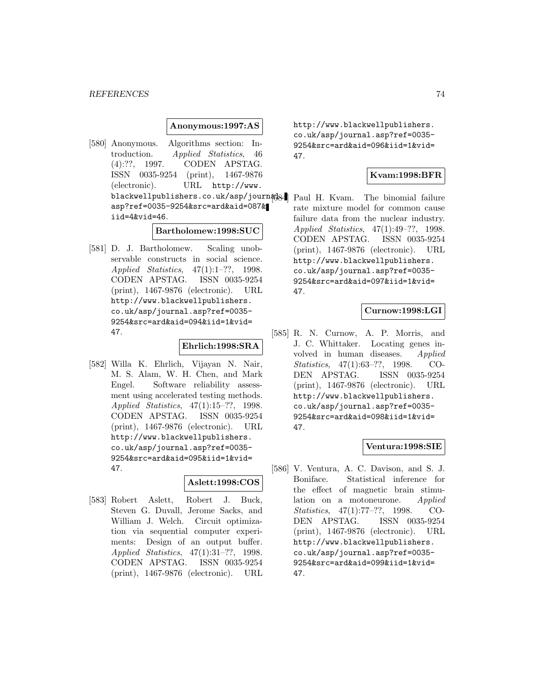#### **Anonymous:1997:AS**

[580] Anonymous. Algorithms section: Introduction. Applied Statistics, 46 (4):??, 1997. CODEN APSTAG. ISSN 0035-9254 (print), 1467-9876 (electronic). URL http://www. blackwellpublishers.co.uk/asp/journ#B& Paul H. Kvam. The binomial failure asp?ref=0035-9254&src=ard&aid=087& iid=4&vid=46.

# **Bartholomew:1998:SUC**

[581] D. J. Bartholomew. Scaling unobservable constructs in social science. Applied Statistics, 47(1):1–??, 1998. CODEN APSTAG. ISSN 0035-9254 (print), 1467-9876 (electronic). URL http://www.blackwellpublishers. co.uk/asp/journal.asp?ref=0035- 9254&src=ard&aid=094&iid=1&vid= 47.

### **Ehrlich:1998:SRA**

[582] Willa K. Ehrlich, Vijayan N. Nair, M. S. Alam, W. H. Chen, and Mark Engel. Software reliability assessment using accelerated testing methods. Applied Statistics, 47(1):15–??, 1998. CODEN APSTAG. ISSN 0035-9254 (print), 1467-9876 (electronic). URL http://www.blackwellpublishers. co.uk/asp/journal.asp?ref=0035- 9254&src=ard&aid=095&iid=1&vid= 47.

# **Aslett:1998:COS**

[583] Robert Aslett, Robert J. Buck, Steven G. Duvall, Jerome Sacks, and William J. Welch. Circuit optimization via sequential computer experiments: Design of an output buffer. Applied Statistics, 47(1):31–??, 1998. CODEN APSTAG. ISSN 0035-9254 (print), 1467-9876 (electronic). URL

http://www.blackwellpublishers. co.uk/asp/journal.asp?ref=0035- 9254&src=ard&aid=096&iid=1&vid= 47.

# **Kvam:1998:BFR**

rate mixture model for common cause failure data from the nuclear industry. Applied Statistics, 47(1):49–??, 1998. CODEN APSTAG. ISSN 0035-9254 (print), 1467-9876 (electronic). URL http://www.blackwellpublishers. co.uk/asp/journal.asp?ref=0035- 9254&src=ard&aid=097&iid=1&vid= 47.

# **Curnow:1998:LGI**

[585] R. N. Curnow, A. P. Morris, and J. C. Whittaker. Locating genes involved in human diseases. Applied Statistics, 47(1):63–??, 1998. CO-DEN APSTAG. ISSN 0035-9254 (print), 1467-9876 (electronic). URL http://www.blackwellpublishers. co.uk/asp/journal.asp?ref=0035- 9254&src=ard&aid=098&iid=1&vid= 47.

# **Ventura:1998:SIE**

[586] V. Ventura, A. C. Davison, and S. J. Boniface. Statistical inference for the effect of magnetic brain stimulation on a motoneurone. Applied Statistics, 47(1):77–??, 1998. CO-DEN APSTAG. ISSN 0035-9254 (print), 1467-9876 (electronic). URL http://www.blackwellpublishers. co.uk/asp/journal.asp?ref=0035- 9254&src=ard&aid=099&iid=1&vid= 47.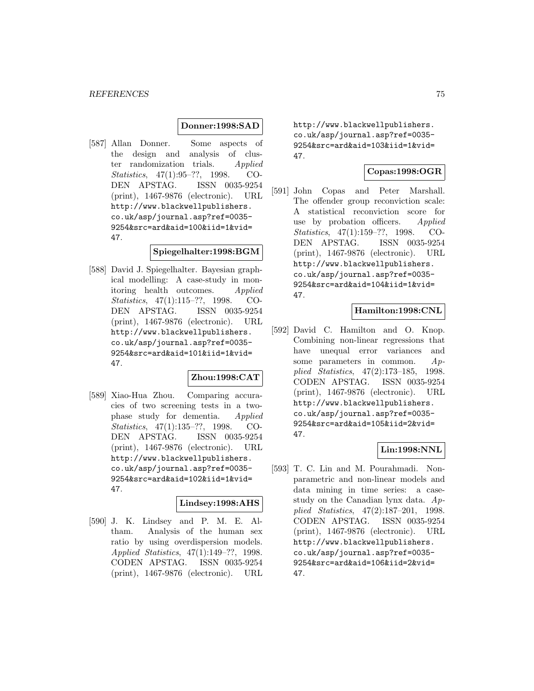# **Donner:1998:SAD**

[587] Allan Donner. Some aspects of the design and analysis of cluster randomization trials. Applied Statistics, 47(1):95–??, 1998. CO-DEN APSTAG. ISSN 0035-9254 (print), 1467-9876 (electronic). URL http://www.blackwellpublishers. co.uk/asp/journal.asp?ref=0035- 9254&src=ard&aid=100&iid=1&vid= 47.

#### **Spiegelhalter:1998:BGM**

[588] David J. Spiegelhalter. Bayesian graphical modelling: A case-study in monitoring health outcomes. Applied Statistics, 47(1):115–??, 1998. CO-DEN APSTAG. ISSN 0035-9254 (print), 1467-9876 (electronic). URL http://www.blackwellpublishers. co.uk/asp/journal.asp?ref=0035- 9254&src=ard&aid=101&iid=1&vid= 47.

#### **Zhou:1998:CAT**

[589] Xiao-Hua Zhou. Comparing accuracies of two screening tests in a twophase study for dementia. Applied Statistics, 47(1):135–??, 1998. CO-DEN APSTAG. ISSN 0035-9254 (print), 1467-9876 (electronic). URL http://www.blackwellpublishers. co.uk/asp/journal.asp?ref=0035- 9254&src=ard&aid=102&iid=1&vid= 47.

### **Lindsey:1998:AHS**

[590] J. K. Lindsey and P. M. E. Altham. Analysis of the human sex ratio by using overdispersion models. Applied Statistics, 47(1):149–??, 1998. CODEN APSTAG. ISSN 0035-9254 (print), 1467-9876 (electronic). URL

http://www.blackwellpublishers. co.uk/asp/journal.asp?ref=0035- 9254&src=ard&aid=103&iid=1&vid= 47.

# **Copas:1998:OGR**

[591] John Copas and Peter Marshall. The offender group reconviction scale: A statistical reconviction score for use by probation officers. Applied Statistics, 47(1):159–??, 1998. CO-DEN APSTAG. ISSN 0035-9254 (print), 1467-9876 (electronic). URL http://www.blackwellpublishers. co.uk/asp/journal.asp?ref=0035- 9254&src=ard&aid=104&iid=1&vid= 47.

# **Hamilton:1998:CNL**

[592] David C. Hamilton and O. Knop. Combining non-linear regressions that have unequal error variances and some parameters in common.  $Ap$ plied Statistics, 47(2):173–185, 1998. CODEN APSTAG. ISSN 0035-9254 (print), 1467-9876 (electronic). URL http://www.blackwellpublishers. co.uk/asp/journal.asp?ref=0035- 9254&src=ard&aid=105&iid=2&vid= 47.

### **Lin:1998:NNL**

[593] T. C. Lin and M. Pourahmadi. Nonparametric and non-linear models and data mining in time series: a casestudy on the Canadian lynx data.  $Ap$ plied Statistics, 47(2):187–201, 1998. CODEN APSTAG. ISSN 0035-9254 (print), 1467-9876 (electronic). URL http://www.blackwellpublishers. co.uk/asp/journal.asp?ref=0035- 9254&src=ard&aid=106&iid=2&vid= 47.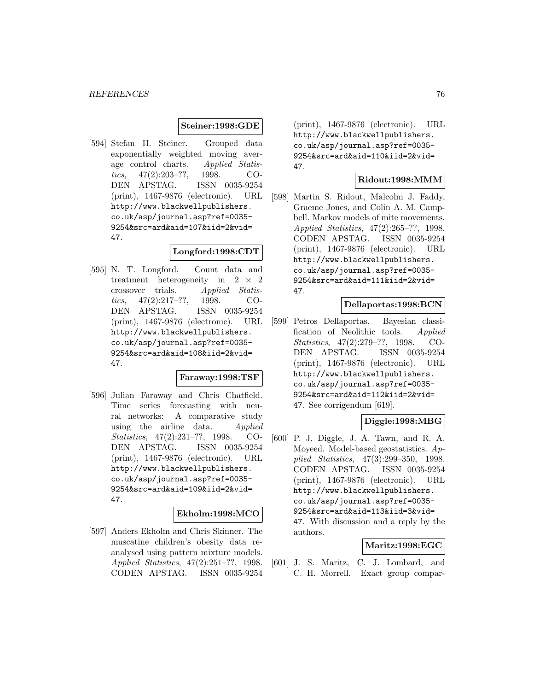#### **Steiner:1998:GDE**

[594] Stefan H. Steiner. Grouped data exponentially weighted moving average control charts. Applied Statistics, 47(2):203–??, 1998. CO-DEN APSTAG. ISSN 0035-9254 (print), 1467-9876 (electronic). URL http://www.blackwellpublishers. co.uk/asp/journal.asp?ref=0035- 9254&src=ard&aid=107&iid=2&vid= 47.

#### **Longford:1998:CDT**

[595] N. T. Longford. Count data and treatment heterogeneity in  $2 \times 2$ <br>crossover trials. Applied Statiscrossover tics, 47(2):217–??, 1998. CO-DEN APSTAG. ISSN 0035-9254 (print), 1467-9876 (electronic). URL http://www.blackwellpublishers. co.uk/asp/journal.asp?ref=0035- 9254&src=ard&aid=108&iid=2&vid= 47.

#### **Faraway:1998:TSF**

[596] Julian Faraway and Chris Chatfield. Time series forecasting with neural networks: A comparative study using the airline data. Applied Statistics, 47(2):231–??, 1998. CO-DEN APSTAG. ISSN 0035-9254 (print), 1467-9876 (electronic). URL http://www.blackwellpublishers. co.uk/asp/journal.asp?ref=0035- 9254&src=ard&aid=109&iid=2&vid= 47.

#### **Ekholm:1998:MCO**

[597] Anders Ekholm and Chris Skinner. The muscatine children's obesity data reanalysed using pattern mixture models. Applied Statistics, 47(2):251–??, 1998. CODEN APSTAG. ISSN 0035-9254

(print), 1467-9876 (electronic). URL http://www.blackwellpublishers. co.uk/asp/journal.asp?ref=0035- 9254&src=ard&aid=110&iid=2&vid= 47.

#### **Ridout:1998:MMM**

[598] Martin S. Ridout, Malcolm J. Faddy, Graeme Jones, and Colin A. M. Campbell. Markov models of mite movements. Applied Statistics, 47(2):265–??, 1998. CODEN APSTAG. ISSN 0035-9254 (print), 1467-9876 (electronic). URL http://www.blackwellpublishers. co.uk/asp/journal.asp?ref=0035- 9254&src=ard&aid=111&iid=2&vid= 47.

# **Dellaportas:1998:BCN**

[599] Petros Dellaportas. Bayesian classification of Neolithic tools. Applied Statistics, 47(2):279–??, 1998. CO-DEN APSTAG. ISSN 0035-9254 (print), 1467-9876 (electronic). URL http://www.blackwellpublishers. co.uk/asp/journal.asp?ref=0035- 9254&src=ard&aid=112&iid=2&vid= 47. See corrigendum [619].

# **Diggle:1998:MBG**

[600] P. J. Diggle, J. A. Tawn, and R. A. Moyeed. Model-based geostatistics. Applied Statistics, 47(3):299–350, 1998. CODEN APSTAG. ISSN 0035-9254 (print), 1467-9876 (electronic). URL http://www.blackwellpublishers. co.uk/asp/journal.asp?ref=0035- 9254&src=ard&aid=113&iid=3&vid= 47. With discussion and a reply by the authors.

#### **Maritz:1998:EGC**

[601] J. S. Maritz, C. J. Lombard, and C. H. Morrell. Exact group compar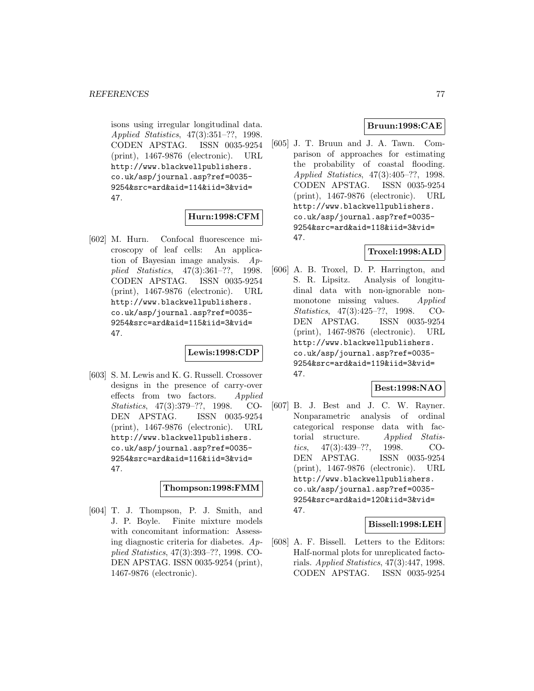isons using irregular longitudinal data. Applied Statistics, 47(3):351–??, 1998. CODEN APSTAG. ISSN 0035-9254 (print), 1467-9876 (electronic). URL http://www.blackwellpublishers. co.uk/asp/journal.asp?ref=0035- 9254&src=ard&aid=114&iid=3&vid= 47.

# **Hurn:1998:CFM**

[602] M. Hurn. Confocal fluorescence microscopy of leaf cells: An application of Bayesian image analysis. Applied Statistics, 47(3):361–??, 1998. CODEN APSTAG. ISSN 0035-9254 (print), 1467-9876 (electronic). URL http://www.blackwellpublishers. co.uk/asp/journal.asp?ref=0035- 9254&src=ard&aid=115&iid=3&vid= 47.

# **Lewis:1998:CDP**

[603] S. M. Lewis and K. G. Russell. Crossover designs in the presence of carry-over effects from two factors. Applied Statistics, 47(3):379–??, 1998. CO-DEN APSTAG. ISSN 0035-9254 (print), 1467-9876 (electronic). URL http://www.blackwellpublishers. co.uk/asp/journal.asp?ref=0035- 9254&src=ard&aid=116&iid=3&vid= 47.

# **Thompson:1998:FMM**

[604] T. J. Thompson, P. J. Smith, and J. P. Boyle. Finite mixture models with concomitant information: Assessing diagnostic criteria for diabetes.  $Ap$ plied Statistics, 47(3):393–??, 1998. CO-DEN APSTAG. ISSN 0035-9254 (print), 1467-9876 (electronic).

# **Bruun:1998:CAE**

[605] J. T. Bruun and J. A. Tawn. Comparison of approaches for estimating the probability of coastal flooding. Applied Statistics, 47(3):405–??, 1998. CODEN APSTAG. ISSN 0035-9254 (print), 1467-9876 (electronic). URL http://www.blackwellpublishers. co.uk/asp/journal.asp?ref=0035- 9254&src=ard&aid=118&iid=3&vid= 47.

# **Troxel:1998:ALD**

[606] A. B. Troxel, D. P. Harrington, and S. R. Lipsitz. Analysis of longitudinal data with non-ignorable nonmonotone missing values. Applied Statistics, 47(3):425–??, 1998. CO-DEN APSTAG. ISSN 0035-9254 (print), 1467-9876 (electronic). URL http://www.blackwellpublishers. co.uk/asp/journal.asp?ref=0035- 9254&src=ard&aid=119&iid=3&vid= 47.

# **Best:1998:NAO**

[607] B. J. Best and J. C. W. Rayner. Nonparametric analysis of ordinal categorical response data with factorial structure. Applied Statistics, 47(3):439–??, 1998. CO-DEN APSTAG. ISSN 0035-9254 (print), 1467-9876 (electronic). URL http://www.blackwellpublishers. co.uk/asp/journal.asp?ref=0035- 9254&src=ard&aid=120&iid=3&vid= 47.

#### **Bissell:1998:LEH**

[608] A. F. Bissell. Letters to the Editors: Half-normal plots for unreplicated factorials. Applied Statistics, 47(3):447, 1998. CODEN APSTAG. ISSN 0035-9254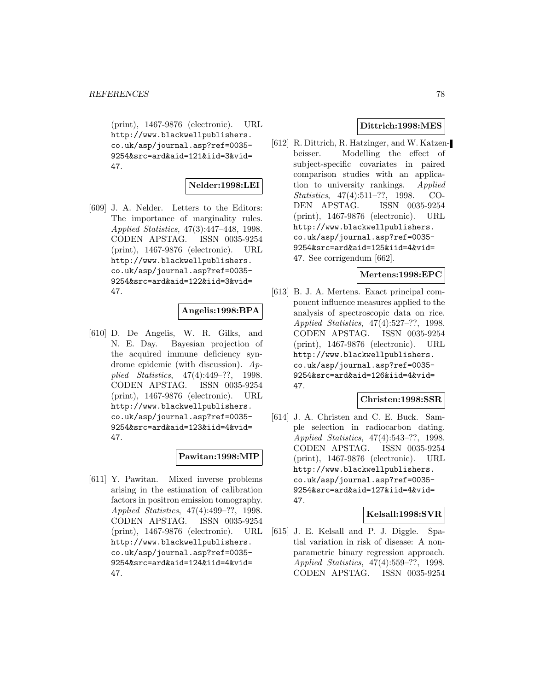(print), 1467-9876 (electronic). URL http://www.blackwellpublishers. co.uk/asp/journal.asp?ref=0035- 9254&src=ard&aid=121&iid=3&vid= 47.

# **Nelder:1998:LEI**

[609] J. A. Nelder. Letters to the Editors: The importance of marginality rules. Applied Statistics, 47(3):447–448, 1998. CODEN APSTAG. ISSN 0035-9254 (print), 1467-9876 (electronic). URL http://www.blackwellpublishers. co.uk/asp/journal.asp?ref=0035- 9254&src=ard&aid=122&iid=3&vid= 47.

# **Angelis:1998:BPA**

[610] D. De Angelis, W. R. Gilks, and N. E. Day. Bayesian projection of the acquired immune deficiency syndrome epidemic (with discussion). Applied Statistics, 47(4):449–??, 1998. CODEN APSTAG. ISSN 0035-9254 (print), 1467-9876 (electronic). URL http://www.blackwellpublishers. co.uk/asp/journal.asp?ref=0035- 9254&src=ard&aid=123&iid=4&vid= 47.

# **Pawitan:1998:MIP**

[611] Y. Pawitan. Mixed inverse problems arising in the estimation of calibration factors in positron emission tomography. Applied Statistics, 47(4):499–??, 1998. CODEN APSTAG. ISSN 0035-9254 (print), 1467-9876 (electronic). URL http://www.blackwellpublishers. co.uk/asp/journal.asp?ref=0035- 9254&src=ard&aid=124&iid=4&vid= 47.

# **Dittrich:1998:MES**

[612] R. Dittrich, R. Hatzinger, and W. Katzenbeisser. Modelling the effect of subject-specific covariates in paired comparison studies with an application to university rankings. Applied Statistics, 47(4):511–??, 1998. CO-DEN APSTAG. ISSN 0035-9254 (print), 1467-9876 (electronic). URL http://www.blackwellpublishers. co.uk/asp/journal.asp?ref=0035- 9254&src=ard&aid=125&iid=4&vid= 47. See corrigendum [662].

# **Mertens:1998:EPC**

[613] B. J. A. Mertens. Exact principal component influence measures applied to the analysis of spectroscopic data on rice. Applied Statistics, 47(4):527–??, 1998. CODEN APSTAG. ISSN 0035-9254 (print), 1467-9876 (electronic). URL http://www.blackwellpublishers. co.uk/asp/journal.asp?ref=0035- 9254&src=ard&aid=126&iid=4&vid= 47.

### **Christen:1998:SSR**

[614] J. A. Christen and C. E. Buck. Sample selection in radiocarbon dating. Applied Statistics, 47(4):543–??, 1998. CODEN APSTAG. ISSN 0035-9254 (print), 1467-9876 (electronic). URL http://www.blackwellpublishers. co.uk/asp/journal.asp?ref=0035- 9254&src=ard&aid=127&iid=4&vid= 47.

# **Kelsall:1998:SVR**

[615] J. E. Kelsall and P. J. Diggle. Spatial variation in risk of disease: A nonparametric binary regression approach. Applied Statistics, 47(4):559–??, 1998. CODEN APSTAG. ISSN 0035-9254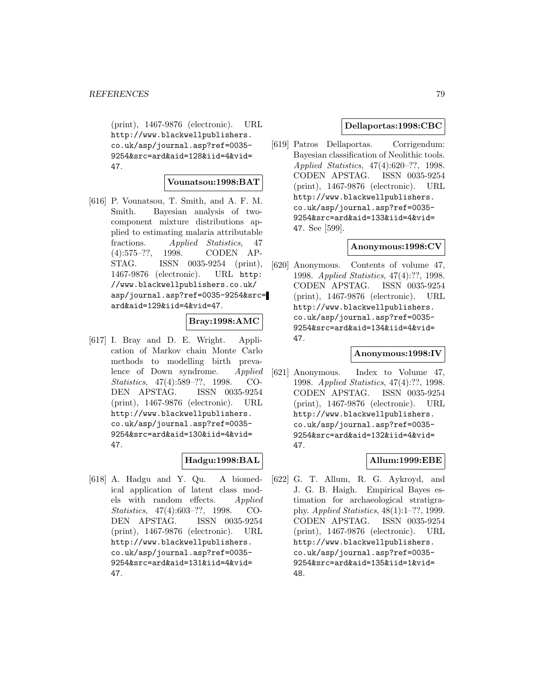(print), 1467-9876 (electronic). URL http://www.blackwellpublishers. co.uk/asp/journal.asp?ref=0035- 9254&src=ard&aid=128&iid=4&vid= 47.

#### **Vounatsou:1998:BAT**

[616] P. Vounatsou, T. Smith, and A. F. M. Smith. Bayesian analysis of twocomponent mixture distributions applied to estimating malaria attributable fractions. Applied Statistics, 47 (4):575–??, 1998. CODEN AP-STAG. ISSN 0035-9254 (print), 1467-9876 (electronic). URL http: //www.blackwellpublishers.co.uk/ asp/journal.asp?ref=0035-9254&src= ard&aid=129&iid=4&vid=47.

# **Bray:1998:AMC**

[617] I. Bray and D. E. Wright. Application of Markov chain Monte Carlo methods to modelling birth prevalence of Down syndrome. Applied Statistics, 47(4):589–??, 1998. CO-DEN APSTAG. ISSN 0035-9254 (print), 1467-9876 (electronic). URL http://www.blackwellpublishers. co.uk/asp/journal.asp?ref=0035- 9254&src=ard&aid=130&iid=4&vid= 47.

# **Hadgu:1998:BAL**

[618] A. Hadgu and Y. Qu. A biomedical application of latent class models with random effects. Applied Statistics, 47(4):603–??, 1998. CO-DEN APSTAG. ISSN 0035-9254 (print), 1467-9876 (electronic). URL http://www.blackwellpublishers. co.uk/asp/journal.asp?ref=0035- 9254&src=ard&aid=131&iid=4&vid= 47.

# **Dellaportas:1998:CBC**

[619] Patros Dellaportas. Corrigendum: Bayesian classification of Neolithic tools. Applied Statistics, 47(4):620–??, 1998. CODEN APSTAG. ISSN 0035-9254 (print), 1467-9876 (electronic). URL http://www.blackwellpublishers. co.uk/asp/journal.asp?ref=0035- 9254&src=ard&aid=133&iid=4&vid= 47. See [599].

# **Anonymous:1998:CV**

[620] Anonymous. Contents of volume 47, 1998. Applied Statistics, 47(4):??, 1998. CODEN APSTAG. ISSN 0035-9254 (print), 1467-9876 (electronic). URL http://www.blackwellpublishers. co.uk/asp/journal.asp?ref=0035- 9254&src=ard&aid=134&iid=4&vid= 47.

### **Anonymous:1998:IV**

[621] Anonymous. Index to Volume 47, 1998. Applied Statistics, 47(4):??, 1998. CODEN APSTAG. ISSN 0035-9254 (print), 1467-9876 (electronic). URL http://www.blackwellpublishers. co.uk/asp/journal.asp?ref=0035- 9254&src=ard&aid=132&iid=4&vid= 47.

# **Allum:1999:EBE**

[622] G. T. Allum, R. G. Aykroyd, and J. G. B. Haigh. Empirical Bayes estimation for archaeological stratigraphy. Applied Statistics, 48(1):1–??, 1999. CODEN APSTAG. ISSN 0035-9254 (print), 1467-9876 (electronic). URL http://www.blackwellpublishers. co.uk/asp/journal.asp?ref=0035- 9254&src=ard&aid=135&iid=1&vid= 48.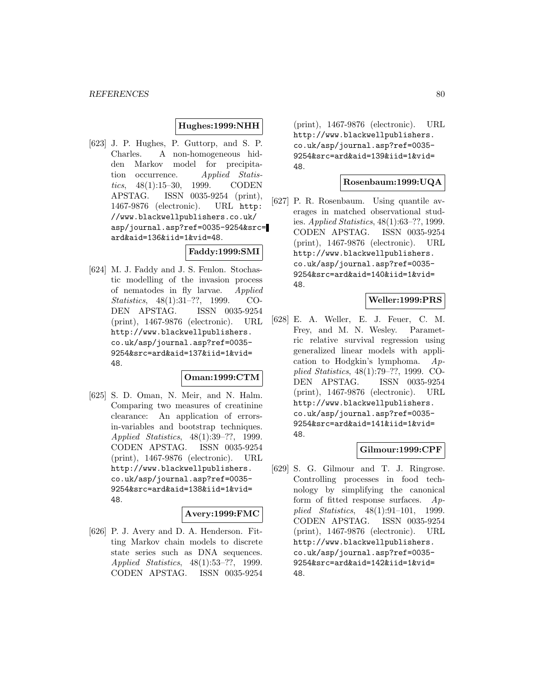### **Hughes:1999:NHH**

[623] J. P. Hughes, P. Guttorp, and S. P. Charles. A non-homogeneous hidden Markov model for precipitation occurrence. Applied Statistics, 48(1):15–30, 1999. CODEN APSTAG. ISSN 0035-9254 (print), 1467-9876 (electronic). URL http: //www.blackwellpublishers.co.uk/ asp/journal.asp?ref=0035-9254&src= ard&aid=136&iid=1&vid=48.

### **Faddy:1999:SMI**

[624] M. J. Faddy and J. S. Fenlon. Stochastic modelling of the invasion process of nematodes in fly larvae. Applied Statistics, 48(1):31–??, 1999. CO-DEN APSTAG. ISSN 0035-9254 (print), 1467-9876 (electronic). URL http://www.blackwellpublishers. co.uk/asp/journal.asp?ref=0035- 9254&src=ard&aid=137&iid=1&vid= 48.

### **Oman:1999:CTM**

[625] S. D. Oman, N. Meir, and N. Halm. Comparing two measures of creatinine clearance: An application of errorsin-variables and bootstrap techniques. Applied Statistics, 48(1):39–??, 1999. CODEN APSTAG. ISSN 0035-9254 (print), 1467-9876 (electronic). URL http://www.blackwellpublishers. co.uk/asp/journal.asp?ref=0035- 9254&src=ard&aid=138&iid=1&vid= 48.

# **Avery:1999:FMC**

[626] P. J. Avery and D. A. Henderson. Fitting Markov chain models to discrete state series such as DNA sequences. Applied Statistics, 48(1):53–??, 1999. CODEN APSTAG. ISSN 0035-9254

(print), 1467-9876 (electronic). URL http://www.blackwellpublishers. co.uk/asp/journal.asp?ref=0035- 9254&src=ard&aid=139&iid=1&vid= 48.

# **Rosenbaum:1999:UQA**

[627] P. R. Rosenbaum. Using quantile averages in matched observational studies. Applied Statistics, 48(1):63–??, 1999. CODEN APSTAG. ISSN 0035-9254 (print), 1467-9876 (electronic). URL http://www.blackwellpublishers. co.uk/asp/journal.asp?ref=0035- 9254&src=ard&aid=140&iid=1&vid= 48.

#### **Weller:1999:PRS**

[628] E. A. Weller, E. J. Feuer, C. M. Frey, and M. N. Wesley. Parametric relative survival regression using generalized linear models with application to Hodgkin's lymphoma. Applied Statistics, 48(1):79–??, 1999. CO-DEN APSTAG. ISSN 0035-9254 (print), 1467-9876 (electronic). URL http://www.blackwellpublishers. co.uk/asp/journal.asp?ref=0035- 9254&src=ard&aid=141&iid=1&vid= 48.

### **Gilmour:1999:CPF**

[629] S. G. Gilmour and T. J. Ringrose. Controlling processes in food technology by simplifying the canonical form of fitted response surfaces.  $Ap$ plied Statistics, 48(1):91–101, 1999. CODEN APSTAG. ISSN 0035-9254 (print), 1467-9876 (electronic). URL http://www.blackwellpublishers. co.uk/asp/journal.asp?ref=0035- 9254&src=ard&aid=142&iid=1&vid= 48.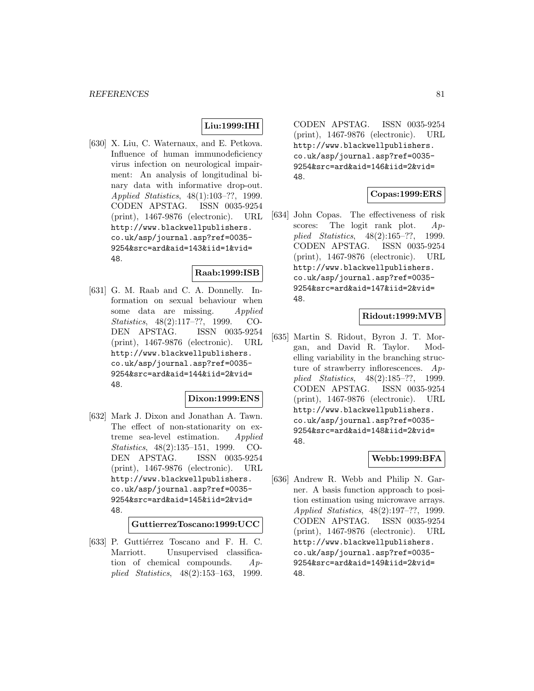# **Liu:1999:IHI**

[630] X. Liu, C. Waternaux, and E. Petkova. Influence of human immunodeficiency virus infection on neurological impairment: An analysis of longitudinal binary data with informative drop-out. Applied Statistics, 48(1):103–??, 1999. CODEN APSTAG. ISSN 0035-9254 (print), 1467-9876 (electronic). URL http://www.blackwellpublishers. co.uk/asp/journal.asp?ref=0035- 9254&src=ard&aid=143&iid=1&vid= 48.

# **Raab:1999:ISB**

[631] G. M. Raab and C. A. Donnelly. Information on sexual behaviour when some data are missing. Applied Statistics, 48(2):117–??, 1999. CO-DEN APSTAG. ISSN 0035-9254 (print), 1467-9876 (electronic). URL http://www.blackwellpublishers. co.uk/asp/journal.asp?ref=0035- 9254&src=ard&aid=144&iid=2&vid= 48.

# **Dixon:1999:ENS**

[632] Mark J. Dixon and Jonathan A. Tawn. The effect of non-stationarity on extreme sea-level estimation. Applied Statistics, 48(2):135–151, 1999. CO-DEN APSTAG. ISSN 0035-9254 (print), 1467-9876 (electronic). URL http://www.blackwellpublishers. co.uk/asp/journal.asp?ref=0035- 9254&src=ard&aid=145&iid=2&vid= 48.

**GuttierrezToscano:1999:UCC**

[633] P. Guttiérrez Toscano and F. H. C. Marriott. Unsupervised classification of chemical compounds. Applied Statistics, 48(2):153–163, 1999.

CODEN APSTAG. ISSN 0035-9254 (print), 1467-9876 (electronic). URL http://www.blackwellpublishers. co.uk/asp/journal.asp?ref=0035- 9254&src=ard&aid=146&iid=2&vid= 48.

# **Copas:1999:ERS**

[634] John Copas. The effectiveness of risk scores: The logit rank plot.  $Ap$ plied Statistics, 48(2):165–??, 1999. CODEN APSTAG. ISSN 0035-9254 (print), 1467-9876 (electronic). URL http://www.blackwellpublishers. co.uk/asp/journal.asp?ref=0035- 9254&src=ard&aid=147&iid=2&vid= 48.

# **Ridout:1999:MVB**

[635] Martin S. Ridout, Byron J. T. Morgan, and David R. Taylor. Modelling variability in the branching structure of strawberry inflorescences. Applied Statistics, 48(2):185–??, 1999. CODEN APSTAG. ISSN 0035-9254 (print), 1467-9876 (electronic). URL http://www.blackwellpublishers. co.uk/asp/journal.asp?ref=0035- 9254&src=ard&aid=148&iid=2&vid= 48.

# **Webb:1999:BFA**

[636] Andrew R. Webb and Philip N. Garner. A basis function approach to position estimation using microwave arrays. Applied Statistics, 48(2):197–??, 1999. CODEN APSTAG. ISSN 0035-9254 (print), 1467-9876 (electronic). URL http://www.blackwellpublishers. co.uk/asp/journal.asp?ref=0035- 9254&src=ard&aid=149&iid=2&vid= 48.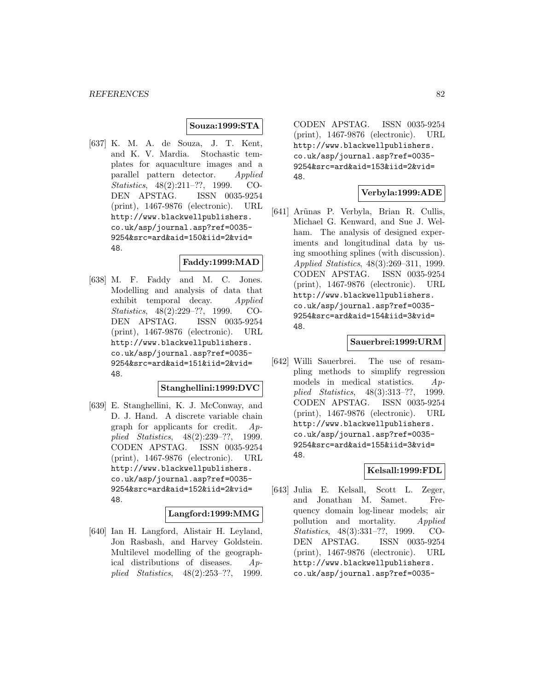#### **Souza:1999:STA**

[637] K. M. A. de Souza, J. T. Kent, and K. V. Mardia. Stochastic templates for aquaculture images and a parallel pattern detector. Applied Statistics, 48(2):211–??, 1999. CO-DEN APSTAG. ISSN 0035-9254 (print), 1467-9876 (electronic). URL http://www.blackwellpublishers. co.uk/asp/journal.asp?ref=0035- 9254&src=ard&aid=150&iid=2&vid= 48.

#### **Faddy:1999:MAD**

[638] M. F. Faddy and M. C. Jones. Modelling and analysis of data that exhibit temporal decay. Applied Statistics, 48(2):229–??, 1999. CO-DEN APSTAG. ISSN 0035-9254 (print), 1467-9876 (electronic). URL http://www.blackwellpublishers. co.uk/asp/journal.asp?ref=0035- 9254&src=ard&aid=151&iid=2&vid= 48.

# **Stanghellini:1999:DVC**

[639] E. Stanghellini, K. J. McConway, and D. J. Hand. A discrete variable chain graph for applicants for credit.  $Ap$ plied Statistics, 48(2):239–??, 1999. CODEN APSTAG. ISSN 0035-9254 (print), 1467-9876 (electronic). URL http://www.blackwellpublishers. co.uk/asp/journal.asp?ref=0035- 9254&src=ard&aid=152&iid=2&vid= 48.

#### **Langford:1999:MMG**

[640] Ian H. Langford, Alistair H. Leyland, Jon Rasbash, and Harvey Goldstein. Multilevel modelling of the geographical distributions of diseases. Applied Statistics, 48(2):253–??, 1999.

CODEN APSTAG. ISSN 0035-9254 (print), 1467-9876 (electronic). URL http://www.blackwellpublishers. co.uk/asp/journal.asp?ref=0035- 9254&src=ard&aid=153&iid=2&vid= 48.

# **Verbyla:1999:ADE**

[641] Ar˜unas P. Verbyla, Brian R. Cullis, Michael G. Kenward, and Sue J. Welham. The analysis of designed experiments and longitudinal data by using smoothing splines (with discussion). Applied Statistics, 48(3):269–311, 1999. CODEN APSTAG. ISSN 0035-9254 (print), 1467-9876 (electronic). URL http://www.blackwellpublishers. co.uk/asp/journal.asp?ref=0035- 9254&src=ard&aid=154&iid=3&vid= 48.

# **Sauerbrei:1999:URM**

[642] Willi Sauerbrei. The use of resampling methods to simplify regression models in medical statistics. Applied Statistics, 48(3):313–??, 1999. CODEN APSTAG. ISSN 0035-9254 (print), 1467-9876 (electronic). URL http://www.blackwellpublishers. co.uk/asp/journal.asp?ref=0035- 9254&src=ard&aid=155&iid=3&vid= 48.

# **Kelsall:1999:FDL**

[643] Julia E. Kelsall, Scott L. Zeger, and Jonathan M. Samet. Frequency domain log-linear models; air pollution and mortality. Applied Statistics, 48(3):331–??, 1999. CO-DEN APSTAG. ISSN 0035-9254 (print), 1467-9876 (electronic). URL http://www.blackwellpublishers. co.uk/asp/journal.asp?ref=0035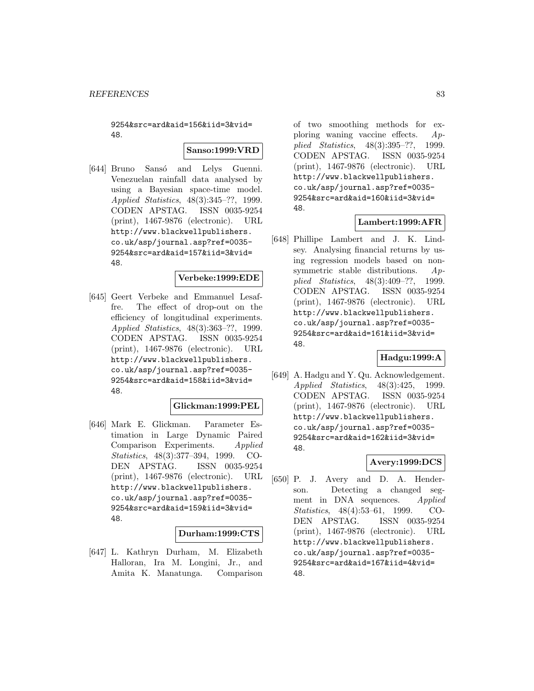9254&src=ard&aid=156&iid=3&vid= 48.

**Sanso:1999:VRD**

[644] Bruno Sansó and Lelys Guenni. Venezuelan rainfall data analysed by using a Bayesian space-time model. Applied Statistics, 48(3):345–??, 1999. CODEN APSTAG. ISSN 0035-9254 (print), 1467-9876 (electronic). URL http://www.blackwellpublishers. co.uk/asp/journal.asp?ref=0035- 9254&src=ard&aid=157&iid=3&vid= 48.

# **Verbeke:1999:EDE**

[645] Geert Verbeke and Emmanuel Lesaffre. The effect of drop-out on the efficiency of longitudinal experiments. Applied Statistics, 48(3):363–??, 1999. CODEN APSTAG. ISSN 0035-9254 (print), 1467-9876 (electronic). URL http://www.blackwellpublishers. co.uk/asp/journal.asp?ref=0035- 9254&src=ard&aid=158&iid=3&vid= 48.

# **Glickman:1999:PEL**

[646] Mark E. Glickman. Parameter Estimation in Large Dynamic Paired Comparison Experiments. Applied Statistics, 48(3):377–394, 1999. CO-DEN APSTAG. ISSN 0035-9254 (print), 1467-9876 (electronic). URL http://www.blackwellpublishers. co.uk/asp/journal.asp?ref=0035- 9254&src=ard&aid=159&iid=3&vid= 48.

# **Durham:1999:CTS**

[647] L. Kathryn Durham, M. Elizabeth Halloran, Ira M. Longini, Jr., and Amita K. Manatunga. Comparison of two smoothing methods for exploring waning vaccine effects. Applied Statistics, 48(3):395–??, 1999. CODEN APSTAG. ISSN 0035-9254 (print), 1467-9876 (electronic). URL http://www.blackwellpublishers. co.uk/asp/journal.asp?ref=0035- 9254&src=ard&aid=160&iid=3&vid= 48.

# **Lambert:1999:AFR**

[648] Phillipe Lambert and J. K. Lindsey. Analysing financial returns by using regression models based on nonsymmetric stable distributions.  $Ap$ plied Statistics, 48(3):409–??, 1999. CODEN APSTAG. ISSN 0035-9254 (print), 1467-9876 (electronic). URL http://www.blackwellpublishers. co.uk/asp/journal.asp?ref=0035- 9254&src=ard&aid=161&iid=3&vid= 48.

# **Hadgu:1999:A**

[649] A. Hadgu and Y. Qu. Acknowledgement. Applied Statistics, 48(3):425, 1999. CODEN APSTAG. ISSN 0035-9254 (print), 1467-9876 (electronic). URL http://www.blackwellpublishers. co.uk/asp/journal.asp?ref=0035- 9254&src=ard&aid=162&iid=3&vid= 48.

# **Avery:1999:DCS**

[650] P. J. Avery and D. A. Henderson. Detecting a changed segment in DNA sequences. Applied Statistics, 48(4):53–61, 1999. CO-DEN APSTAG. ISSN 0035-9254 (print), 1467-9876 (electronic). URL http://www.blackwellpublishers. co.uk/asp/journal.asp?ref=0035- 9254&src=ard&aid=167&iid=4&vid= 48.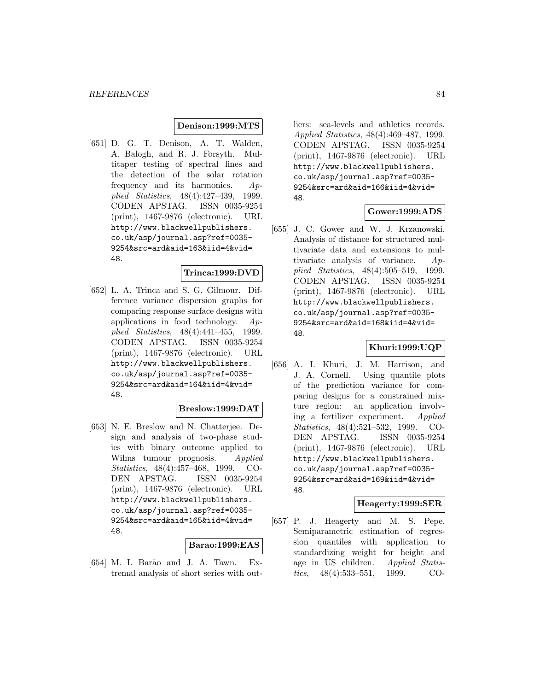#### **Denison:1999:MTS**

[651] D. G. T. Denison, A. T. Walden, A. Balogh, and R. J. Forsyth. Multitaper testing of spectral lines and the detection of the solar rotation frequency and its harmonics. Applied Statistics, 48(4):427–439, 1999. CODEN APSTAG. ISSN 0035-9254 (print), 1467-9876 (electronic). URL http://www.blackwellpublishers. co.uk/asp/journal.asp?ref=0035- 9254&src=ard&aid=163&iid=4&vid= 48.

# **Trinca:1999:DVD**

[652] L. A. Trinca and S. G. Gilmour. Difference variance dispersion graphs for comparing response surface designs with applications in food technology. Applied Statistics, 48(4):441–455, 1999. CODEN APSTAG. ISSN 0035-9254 (print), 1467-9876 (electronic). URL http://www.blackwellpublishers. co.uk/asp/journal.asp?ref=0035- 9254&src=ard&aid=164&iid=4&vid= 48.

#### **Breslow:1999:DAT**

[653] N. E. Breslow and N. Chatterjee. Design and analysis of two-phase studies with binary outcome applied to Wilms tumour prognosis. Applied Statistics, 48(4):457–468, 1999. CO-DEN APSTAG. ISSN 0035-9254 (print), 1467-9876 (electronic). URL http://www.blackwellpublishers. co.uk/asp/journal.asp?ref=0035- 9254&src=ard&aid=165&iid=4&vid= 48.

# **Barao:1999:EAS**

[654] M. I. Barão and J. A. Tawn. Extremal analysis of short series with outliers: sea-levels and athletics records. Applied Statistics, 48(4):469–487, 1999. CODEN APSTAG. ISSN 0035-9254 (print), 1467-9876 (electronic). URL http://www.blackwellpublishers. co.uk/asp/journal.asp?ref=0035- 9254&src=ard&aid=166&iid=4&vid= 48.

#### **Gower:1999:ADS**

[655] J. C. Gower and W. J. Krzanowski. Analysis of distance for structured multivariate data and extensions to multivariate analysis of variance. Applied Statistics, 48(4):505–519, 1999. CODEN APSTAG. ISSN 0035-9254 (print), 1467-9876 (electronic). URL http://www.blackwellpublishers. co.uk/asp/journal.asp?ref=0035- 9254&src=ard&aid=168&iid=4&vid= 48.

# **Khuri:1999:UQP**

[656] A. I. Khuri, J. M. Harrison, and J. A. Cornell. Using quantile plots of the prediction variance for comparing designs for a constrained mixture region: an application involving a fertilizer experiment. Applied Statistics, 48(4):521–532, 1999. CO-DEN APSTAG. ISSN 0035-9254 (print), 1467-9876 (electronic). URL http://www.blackwellpublishers. co.uk/asp/journal.asp?ref=0035- 9254&src=ard&aid=169&iid=4&vid= 48.

# **Heagerty:1999:SER**

[657] P. J. Heagerty and M. S. Pepe. Semiparametric estimation of regression quantiles with application to standardizing weight for height and age in US children. Applied Statistics, 48(4):533–551, 1999. CO-